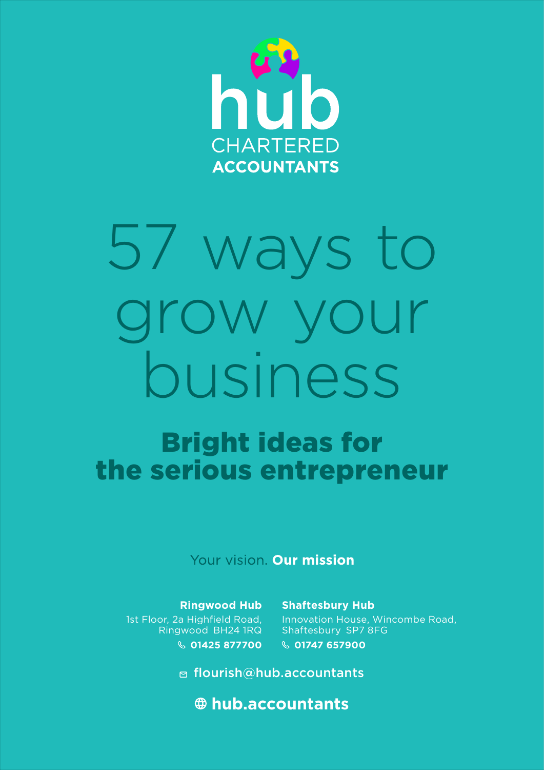

# 57 ways to grow your business

# Bright ideas for the serious entrepreneur

Your vision. Our mission

**Ringwood Hub** 1st Floor, 2a Highfield Road, Ringwood BH24 1RQ **01425 877700**

**Shaftesbury Hub** Innovation House, Wincombe Road, Shaftesbury SP7 8FG **01747 657900**

**□ flourish@hub.accountants** 

 **hub.accountants**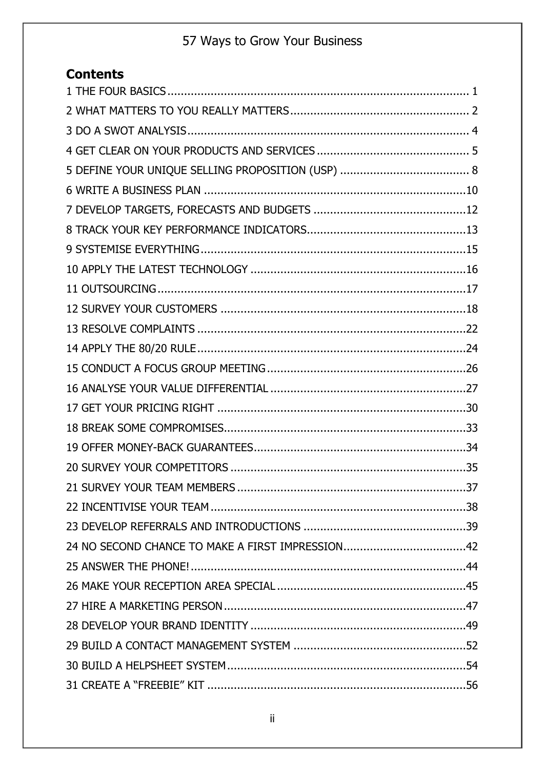### **Contents**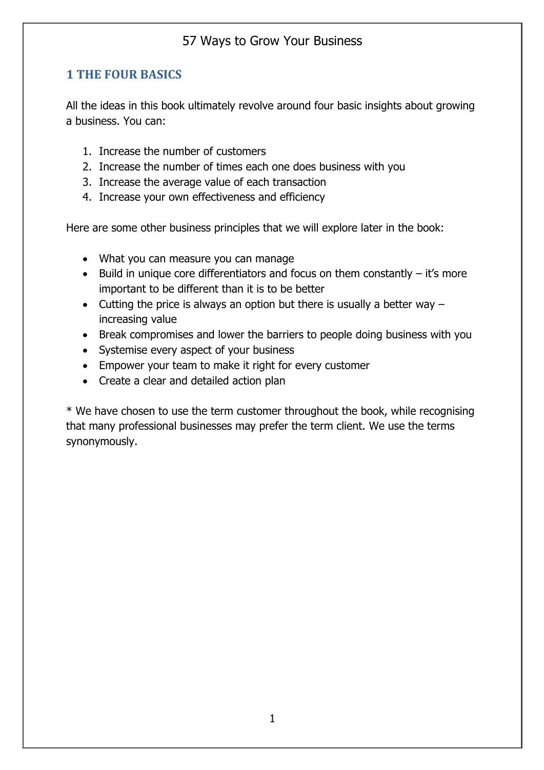#### **1 THE FOUR BASICS**

All the ideas in this book ultimately revolve around four basic insights about growing a business. You can:

- 1. Increase the number of customers
- 2. Increase the number of times each one does business with you
- 3. Increase the average value of each transaction
- 4. Increase your own effectiveness and efficiency

Here are some other business principles that we will explore later in the book:

- What you can measure you can manage
- Build in unique core differentiators and focus on them constantly it's more important to be different than it is to be better
- Cutting the price is always an option but there is usually a better way  $$ increasing value
- Break compromises and lower the barriers to people doing business with you
- Systemise every aspect of your business
- Empower your team to make it right for every customer
- Create a clear and detailed action plan

\* We have chosen to use the term customer throughout the book, while recognising that many professional businesses may prefer the term client. We use the terms synonymously.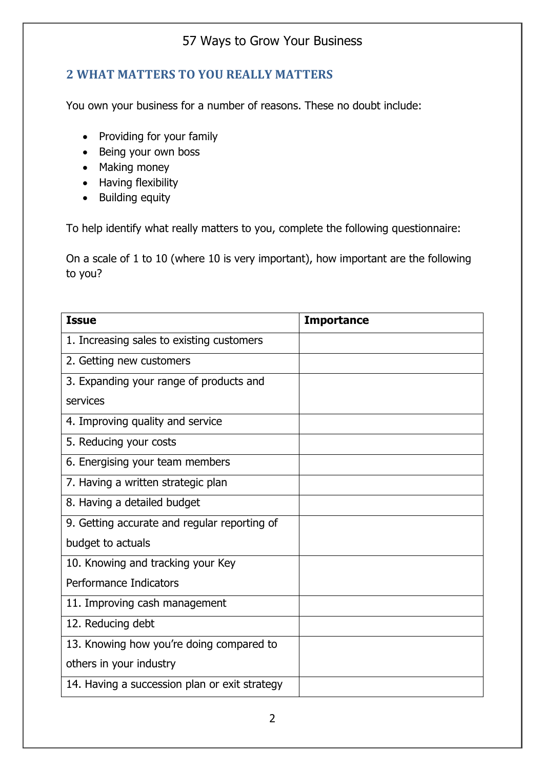#### **2 WHAT MATTERS TO YOU REALLY MATTERS**

You own your business for a number of reasons. These no doubt include:

- Providing for your family
- Being your own boss
- Making money
- Having flexibility
- Building equity

To help identify what really matters to you, complete the following questionnaire:

On a scale of 1 to 10 (where 10 is very important), how important are the following to you?

| <b>Issue</b>                                  | <b>Importance</b> |
|-----------------------------------------------|-------------------|
| 1. Increasing sales to existing customers     |                   |
| 2. Getting new customers                      |                   |
| 3. Expanding your range of products and       |                   |
| services                                      |                   |
| 4. Improving quality and service              |                   |
| 5. Reducing your costs                        |                   |
| 6. Energising your team members               |                   |
| 7. Having a written strategic plan            |                   |
| 8. Having a detailed budget                   |                   |
| 9. Getting accurate and regular reporting of  |                   |
| budget to actuals                             |                   |
| 10. Knowing and tracking your Key             |                   |
| Performance Indicators                        |                   |
| 11. Improving cash management                 |                   |
| 12. Reducing debt                             |                   |
| 13. Knowing how you're doing compared to      |                   |
| others in your industry                       |                   |
| 14. Having a succession plan or exit strategy |                   |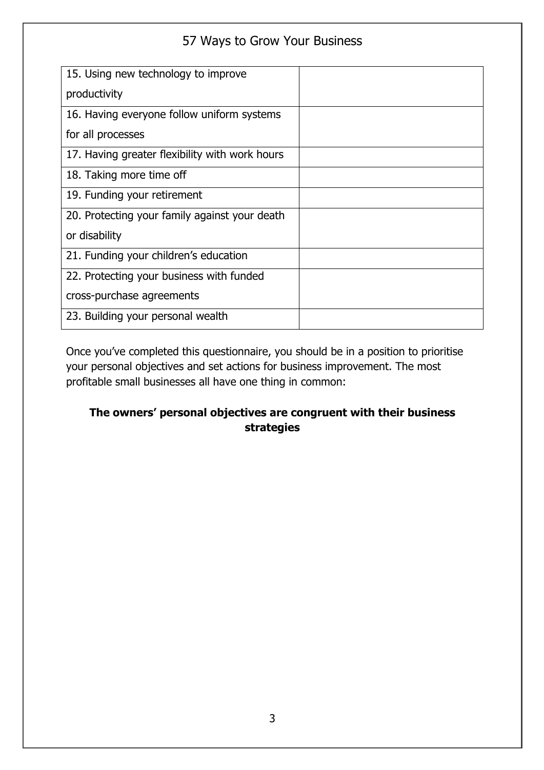| 15. Using new technology to improve            |  |
|------------------------------------------------|--|
| productivity                                   |  |
| 16. Having everyone follow uniform systems     |  |
| for all processes                              |  |
| 17. Having greater flexibility with work hours |  |
| 18. Taking more time off                       |  |
| 19. Funding your retirement                    |  |
| 20. Protecting your family against your death  |  |
| or disability                                  |  |
| 21. Funding your children's education          |  |
| 22. Protecting your business with funded       |  |
| cross-purchase agreements                      |  |
| 23. Building your personal wealth              |  |

Once you've completed this questionnaire, you should be in a position to prioritise your personal objectives and set actions for business improvement. The most profitable small businesses all have one thing in common:

#### **The owners' personal objectives are congruent with their business strategies**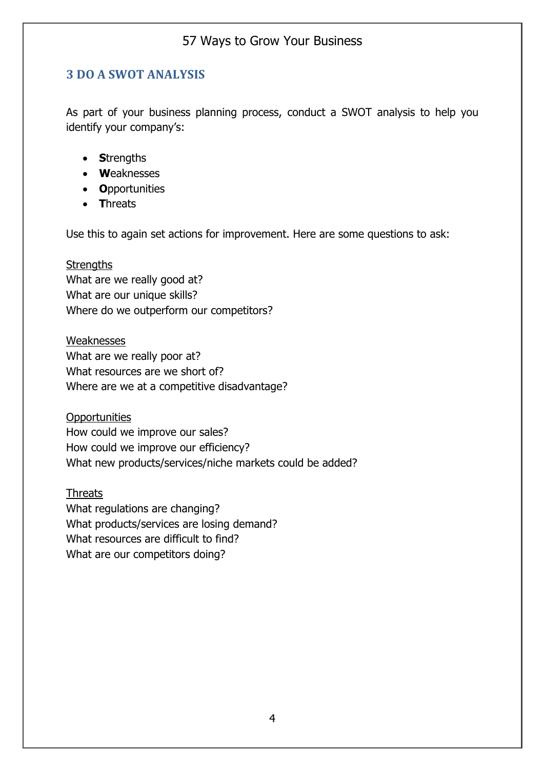#### **3 DO A SWOT ANALYSIS**

As part of your business planning process, conduct a SWOT analysis to help you identify your company's:

- **S**trengths
- **W**eaknesses
- **O**pportunities
- **T**hreats

Use this to again set actions for improvement. Here are some questions to ask:

#### **Strengths**

What are we really good at? What are our unique skills? Where do we outperform our competitors?

Weaknesses What are we really poor at? What resources are we short of? Where are we at a competitive disadvantage?

**Opportunities** How could we improve our sales? How could we improve our efficiency? What new products/services/niche markets could be added?

**Threats** What regulations are changing? What products/services are losing demand? What resources are difficult to find? What are our competitors doing?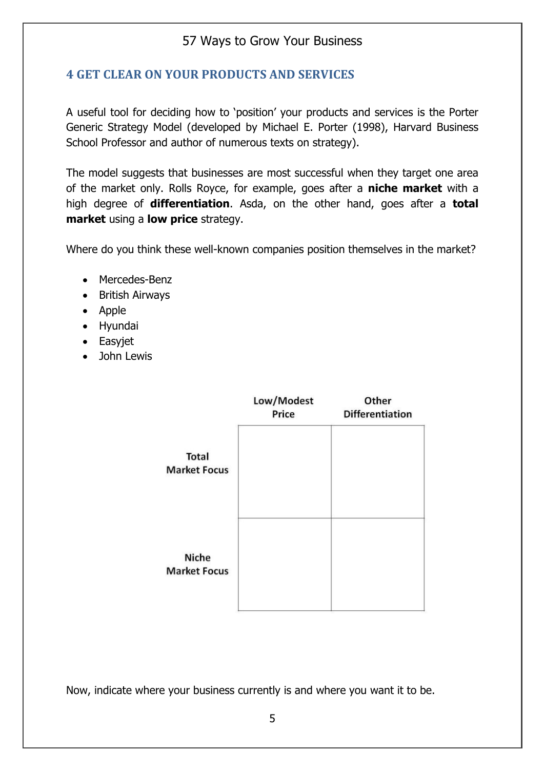#### **4 GET CLEAR ON YOUR PRODUCTS AND SERVICES**

A useful tool for deciding how to 'position' your products and services is the Porter Generic Strategy Model (developed by Michael E. Porter (1998), Harvard Business School Professor and author of numerous texts on strategy).

The model suggests that businesses are most successful when they target one area of the market only. Rolls Royce, for example, goes after a **niche market** with a high degree of **differentiation**. Asda, on the other hand, goes after a **total market** using a **low price** strategy.

Where do you think these well-known companies position themselves in the market?

- Mercedes-Benz
- British Airways
- Apple
- Hyundai
- Easyjet
- John Lewis

|                                     | Low/Modest<br>Price | Other<br><b>Differentiation</b> |
|-------------------------------------|---------------------|---------------------------------|
| <b>Total</b><br><b>Market Focus</b> |                     |                                 |
| <b>Niche</b><br><b>Market Focus</b> |                     |                                 |

Now, indicate where your business currently is and where you want it to be.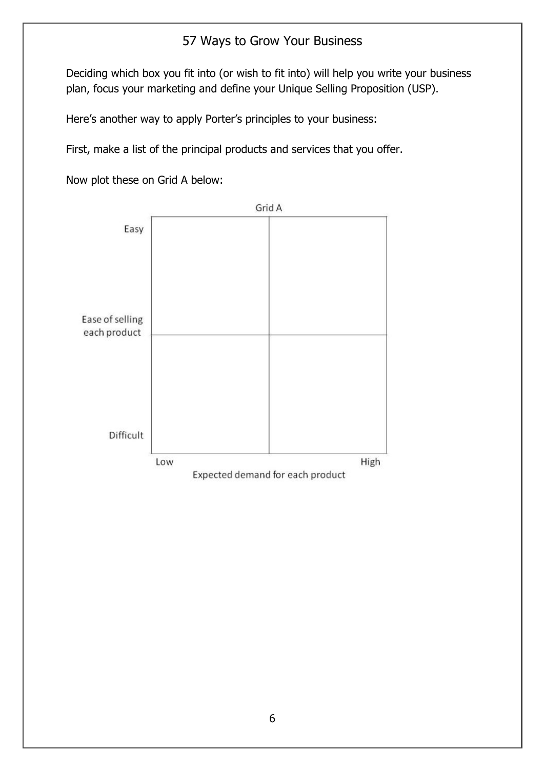Deciding which box you fit into (or wish to fit into) will help you write your business plan, focus your marketing and define your Unique Selling Proposition (USP).

Here's another way to apply Porter's principles to your business:

First, make a list of the principal products and services that you offer.

Now plot these on Grid A below:

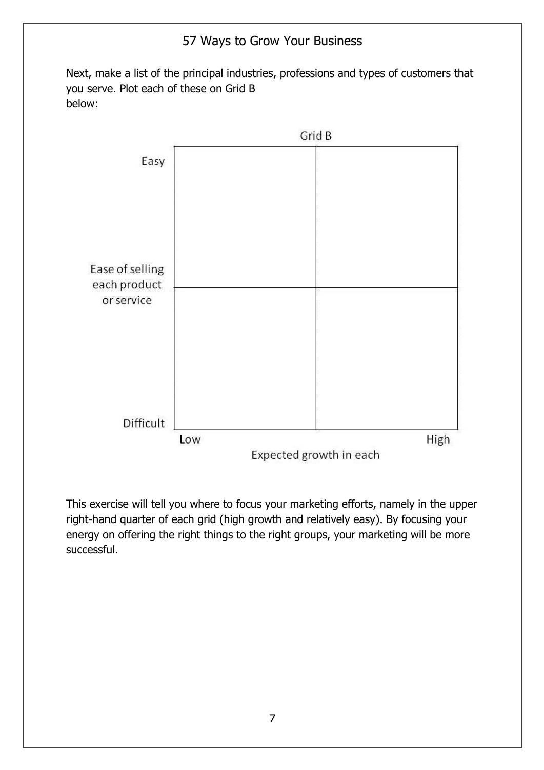Next, make a list of the principal industries, professions and types of customers that you serve. Plot each of these on Grid B below:



This exercise will tell you where to focus your marketing efforts, namely in the upper right-hand quarter of each grid (high growth and relatively easy). By focusing your energy on offering the right things to the right groups, your marketing will be more successful.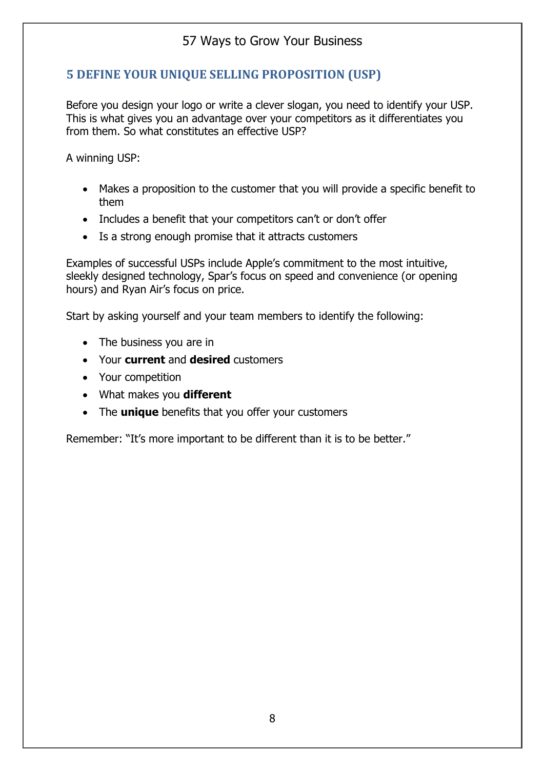#### **5 DEFINE YOUR UNIQUE SELLING PROPOSITION (USP)**

Before you design your logo or write a clever slogan, you need to identify your USP. This is what gives you an advantage over your competitors as it differentiates you from them. So what constitutes an effective USP?

A winning USP:

- Makes a proposition to the customer that you will provide a specific benefit to them
- Includes a benefit that your competitors can't or don't offer
- Is a strong enough promise that it attracts customers

Examples of successful USPs include Apple's commitment to the most intuitive, sleekly designed technology, Spar's focus on speed and convenience (or opening hours) and Ryan Air's focus on price.

Start by asking yourself and your team members to identify the following:

- The business you are in
- Your **current** and **desired** customers
- Your competition
- What makes you **different**
- The **unique** benefits that you offer your customers

Remember: "It's more important to be different than it is to be better."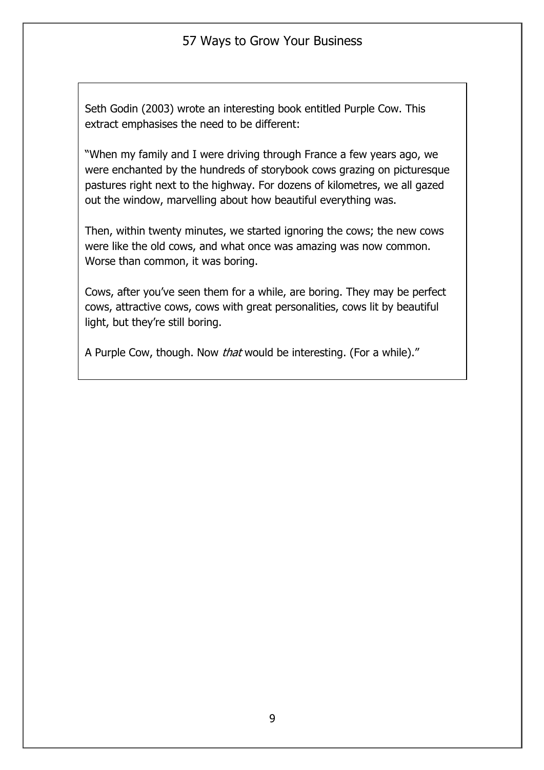Seth Godin (2003) wrote an interesting book entitled Purple Cow. This extract emphasises the need to be different:

"When my family and I were driving through France a few years ago, we were enchanted by the hundreds of storybook cows grazing on picturesque pastures right next to the highway. For dozens of kilometres, we all gazed out the window, marvelling about how beautiful everything was.

Then, within twenty minutes, we started ignoring the cows; the new cows were like the old cows, and what once was amazing was now common. Worse than common, it was boring.

Cows, after you've seen them for a while, are boring. They may be perfect cows, attractive cows, cows with great personalities, cows lit by beautiful light, but they're still boring.

A Purple Cow, though. Now *that* would be interesting. (For a while)."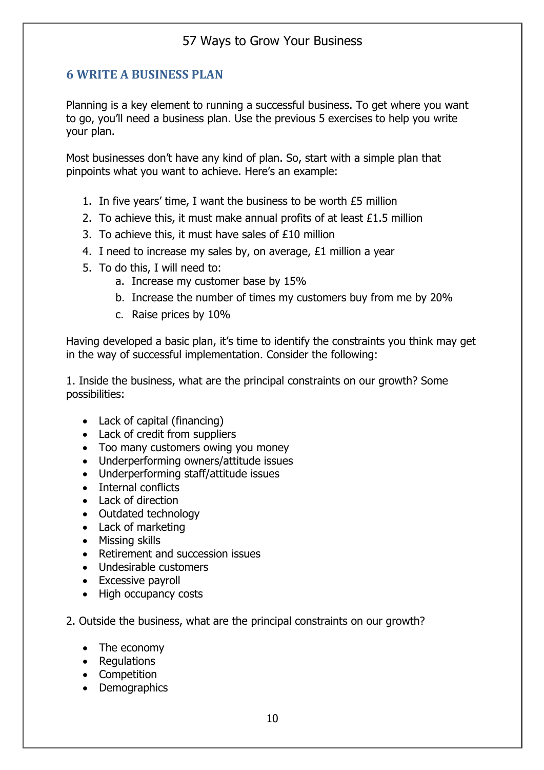#### **6 WRITE A BUSINESS PLAN**

Planning is a key element to running a successful business. To get where you want to go, you'll need a business plan. Use the previous 5 exercises to help you write your plan.

Most businesses don't have any kind of plan. So, start with a simple plan that pinpoints what you want to achieve. Here's an example:

- 1. In five years' time, I want the business to be worth £5 million
- 2. To achieve this, it must make annual profits of at least £1.5 million
- 3. To achieve this, it must have sales of £10 million
- 4. I need to increase my sales by, on average, £1 million a year
- 5. To do this, I will need to:
	- a. Increase my customer base by 15%
	- b. Increase the number of times my customers buy from me by 20%
	- c. Raise prices by 10%

Having developed a basic plan, it's time to identify the constraints you think may get in the way of successful implementation. Consider the following:

1. Inside the business, what are the principal constraints on our growth? Some possibilities:

- Lack of capital (financing)
- Lack of credit from suppliers
- Too many customers owing you money
- Underperforming owners/attitude issues
- Underperforming staff/attitude issues
- Internal conflicts
- Lack of direction
- Outdated technology
- Lack of marketing
- Missing skills
- Retirement and succession issues
- Undesirable customers
- Excessive payroll
- High occupancy costs
- 2. Outside the business, what are the principal constraints on our growth?
	- The economy
	- Regulations
	- Competition
	- Demographics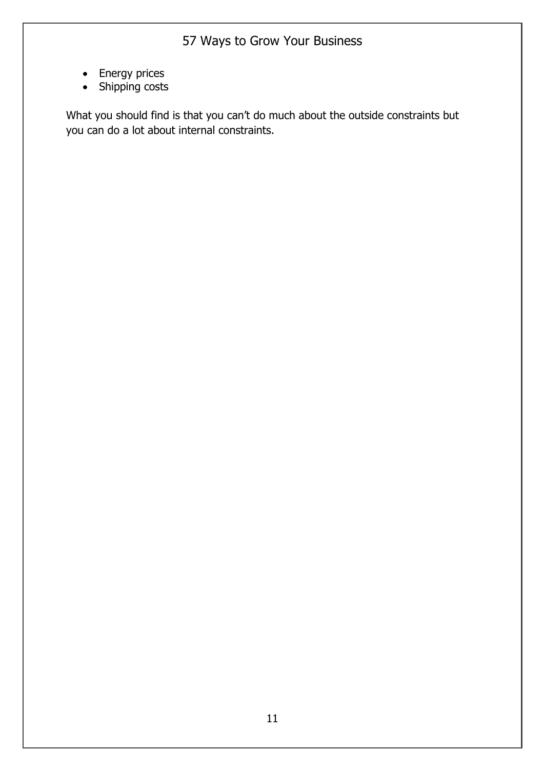- Energy prices
- Shipping costs

What you should find is that you can't do much about the outside constraints but you can do a lot about internal constraints.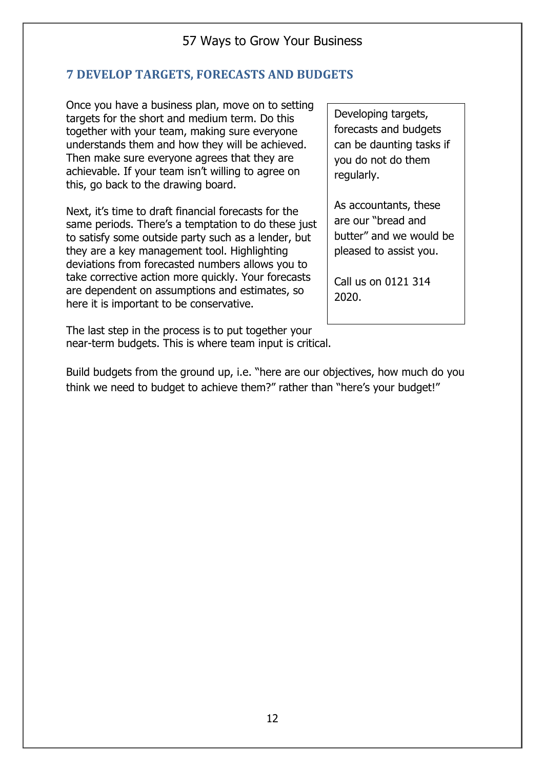#### **7 DEVELOP TARGETS, FORECASTS AND BUDGETS**

Once you have a business plan, move on to setting targets for the short and medium term. Do this together with your team, making sure everyone understands them and how they will be achieved. Then make sure everyone agrees that they are achievable. If your team isn't willing to agree on this, go back to the drawing board.

Next, it's time to draft financial forecasts for the same periods. There's a temptation to do these just to satisfy some outside party such as a lender, but they are a key management tool. Highlighting deviations from forecasted numbers allows you to take corrective action more quickly. Your forecasts are dependent on assumptions and estimates, so here it is important to be conservative.

The last step in the process is to put together your near-term budgets. This is where team input is critical.

Developing targets, forecasts and budgets can be daunting tasks if you do not do them regularly.

As accountants, these are our "bread and butter" and we would be pleased to assist you.

Call us on 0121 314 2020.

Build budgets from the ground up, i.e. "here are our objectives, how much do you think we need to budget to achieve them?" rather than "here's your budget!"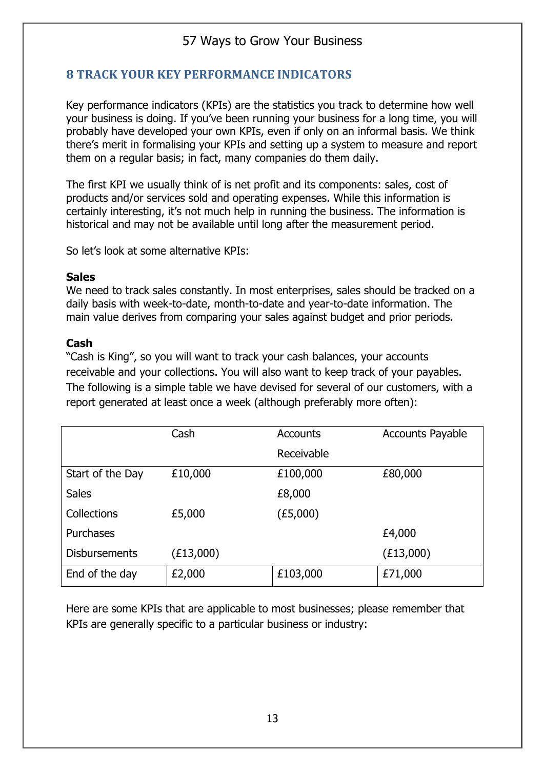#### **8 TRACK YOUR KEY PERFORMANCE INDICATORS**

Key performance indicators (KPIs) are the statistics you track to determine how well your business is doing. If you've been running your business for a long time, you will probably have developed your own KPIs, even if only on an informal basis. We think there's merit in formalising your KPIs and setting up a system to measure and report them on a regular basis; in fact, many companies do them daily.

The first KPI we usually think of is net profit and its components: sales, cost of products and/or services sold and operating expenses. While this information is certainly interesting, it's not much help in running the business. The information is historical and may not be available until long after the measurement period.

So let's look at some alternative KPIs:

#### **Sales**

We need to track sales constantly. In most enterprises, sales should be tracked on a daily basis with week-to-date, month-to-date and year-to-date information. The main value derives from comparing your sales against budget and prior periods.

#### **Cash**

"Cash is King", so you will want to track your cash balances, your accounts receivable and your collections. You will also want to keep track of your payables. The following is a simple table we have devised for several of our customers, with a report generated at least once a week (although preferably more often):

|                      | Cash      | <b>Accounts</b> | <b>Accounts Payable</b> |
|----------------------|-----------|-----------------|-------------------------|
|                      |           | Receivable      |                         |
| Start of the Day     | £10,000   | £100,000        | £80,000                 |
| <b>Sales</b>         |           | £8,000          |                         |
| Collections          | £5,000    | (E5,000)        |                         |
| Purchases            |           |                 | £4,000                  |
| <b>Disbursements</b> | (£13,000) |                 | (E13,000)               |
| End of the day       | £2,000    | £103,000        | £71,000                 |

Here are some KPIs that are applicable to most businesses; please remember that KPIs are generally specific to a particular business or industry: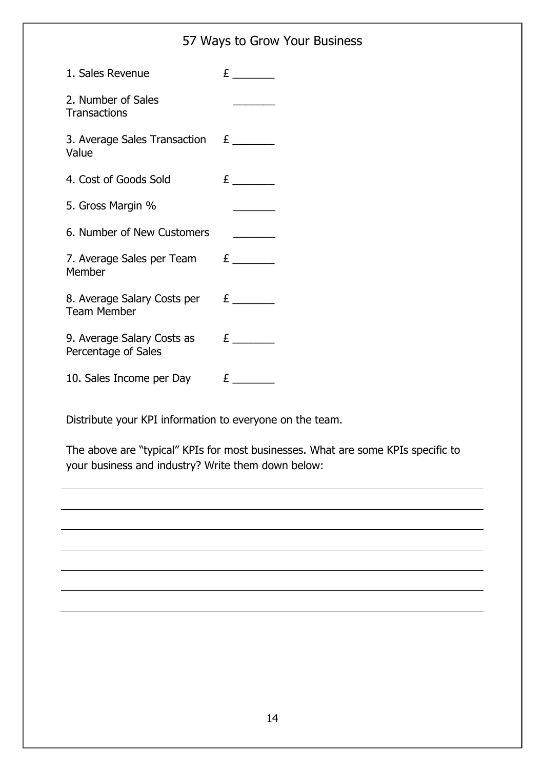| 1. Sales Revenue                                  |                              |
|---------------------------------------------------|------------------------------|
| 2. Number of Sales<br>Transactions                |                              |
| 3. Average Sales Transaction $E_{\perp}$<br>Value |                              |
| 4. Cost of Goods Sold                             |                              |
| 5. Gross Margin %                                 | <u> Liberatura de la pro</u> |
| 6. Number of New Customers                        |                              |
| 7. Average Sales per Team $E$ _______<br>Member   |                              |
| 8. Average Salary Costs per<br><b>Team Member</b> | $\mathbf{E}$                 |
| 9. Average Salary Costs as<br>Percentage of Sales | $\mathbf{E}$                 |
| 10. Sales Income per Day                          | $\mathbf{E}$                 |

Distribute your KPI information to everyone on the team.

The above are "typical" KPIs for most businesses. What are some KPIs specific to your business and industry? Write them down below: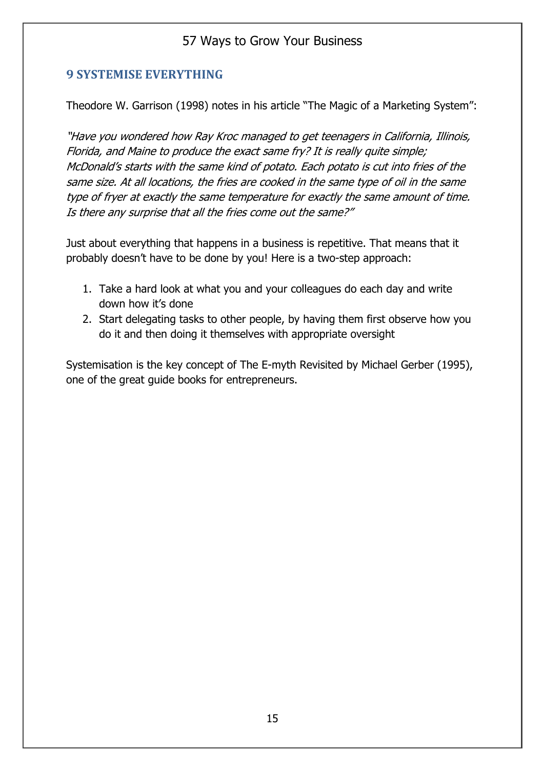#### **9 SYSTEMISE EVERYTHING**

Theodore W. Garrison (1998) notes in his article "The Magic of a Marketing System":

"Have you wondered how Ray Kroc managed to get teenagers in California, Illinois, Florida, and Maine to produce the exact same fry? It is really quite simple; McDonald's starts with the same kind of potato. Each potato is cut into fries of the same size. At all locations, the fries are cooked in the same type of oil in the same type of fryer at exactly the same temperature for exactly the same amount of time. Is there any surprise that all the fries come out the same?"

Just about everything that happens in a business is repetitive. That means that it probably doesn't have to be done by you! Here is a two-step approach:

- 1. Take a hard look at what you and your colleagues do each day and write down how it's done
- 2. Start delegating tasks to other people, by having them first observe how you do it and then doing it themselves with appropriate oversight

Systemisation is the key concept of The E-myth Revisited by Michael Gerber (1995), one of the great guide books for entrepreneurs.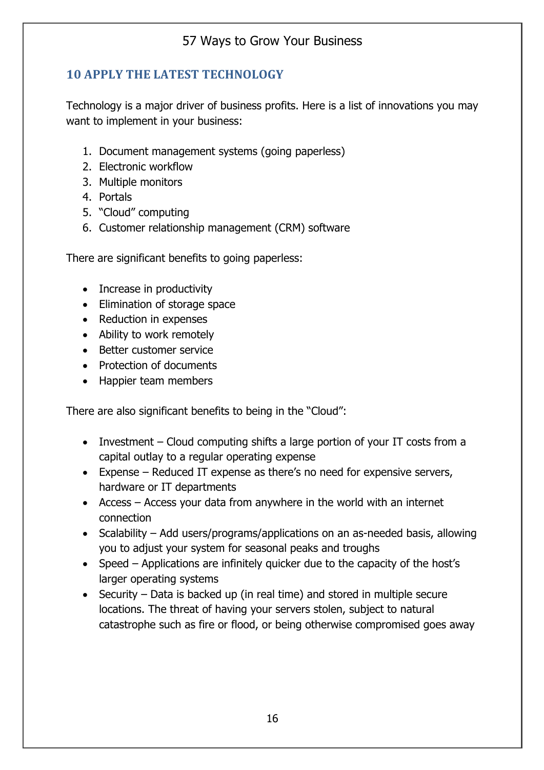#### **10 APPLY THE LATEST TECHNOLOGY**

Technology is a major driver of business profits. Here is a list of innovations you may want to implement in your business:

- 1. Document management systems (going paperless)
- 2. Electronic workflow
- 3. Multiple monitors
- 4. Portals
- 5. "Cloud" computing
- 6. Customer relationship management (CRM) software

There are significant benefits to going paperless:

- Increase in productivity
- Elimination of storage space
- Reduction in expenses
- Ability to work remotely
- Better customer service
- Protection of documents
- Happier team members

There are also significant benefits to being in the "Cloud":

- Investment Cloud computing shifts a large portion of your IT costs from a capital outlay to a regular operating expense
- Expense Reduced IT expense as there's no need for expensive servers, hardware or IT departments
- Access Access your data from anywhere in the world with an internet connection
- Scalability Add users/programs/applications on an as-needed basis, allowing you to adjust your system for seasonal peaks and troughs
- Speed Applications are infinitely quicker due to the capacity of the host's larger operating systems
- Security Data is backed up (in real time) and stored in multiple secure locations. The threat of having your servers stolen, subject to natural catastrophe such as fire or flood, or being otherwise compromised goes away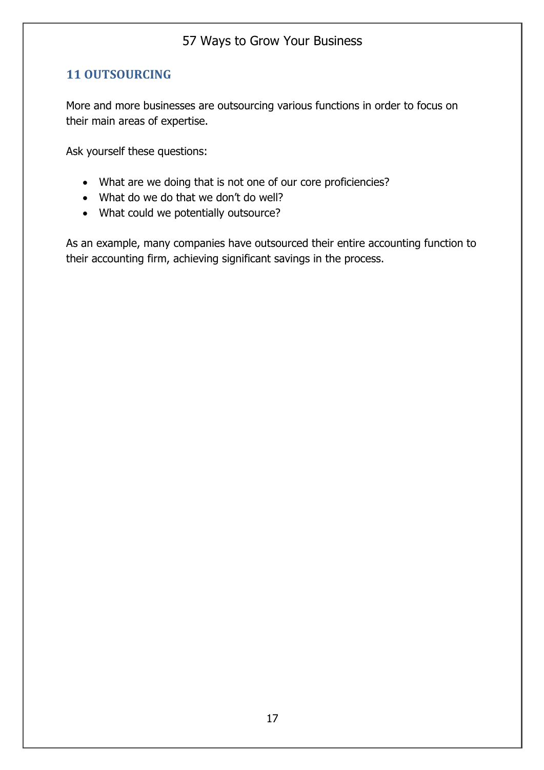#### **11 OUTSOURCING**

More and more businesses are outsourcing various functions in order to focus on their main areas of expertise.

Ask yourself these questions:

- What are we doing that is not one of our core proficiencies?
- What do we do that we don't do well?
- What could we potentially outsource?

As an example, many companies have outsourced their entire accounting function to their accounting firm, achieving significant savings in the process.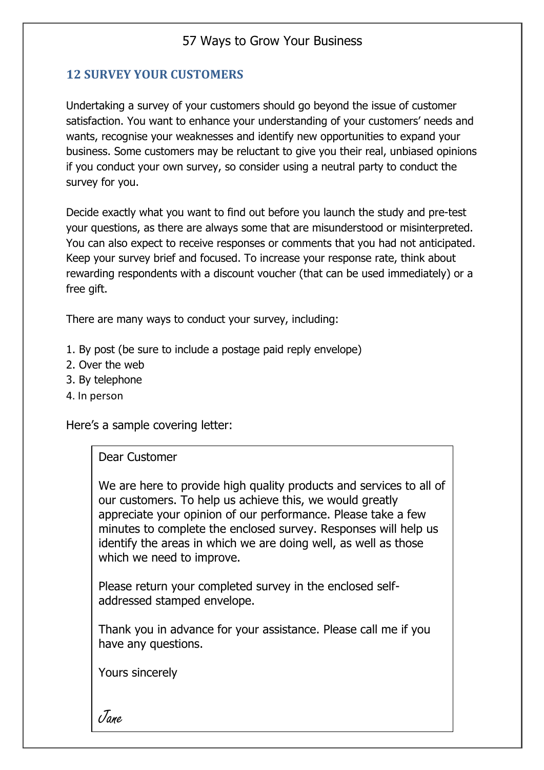#### **12 SURVEY YOUR CUSTOMERS**

Undertaking a survey of your customers should go beyond the issue of customer satisfaction. You want to enhance your understanding of your customers' needs and wants, recognise your weaknesses and identify new opportunities to expand your business. Some customers may be reluctant to give you their real, unbiased opinions if you conduct your own survey, so consider using a neutral party to conduct the survey for you.

Decide exactly what you want to find out before you launch the study and pre-test your questions, as there are always some that are misunderstood or misinterpreted. You can also expect to receive responses or comments that you had not anticipated. Keep your survey brief and focused. To increase your response rate, think about rewarding respondents with a discount voucher (that can be used immediately) or a free gift.

There are many ways to conduct your survey, including:

- 1. By post (be sure to include a postage paid reply envelope)
- 2. Over the web
- 3. By telephone
- 4. In person

Here's a sample covering letter:

Dear Customer

We are here to provide high quality products and services to all of our customers. To help us achieve this, we would greatly appreciate your opinion of our performance. Please take a few minutes to complete the enclosed survey. Responses will help us identify the areas in which we are doing well, as well as those which we need to improve.

Please return your completed survey in the enclosed selfaddressed stamped envelope.

Thank you in advance for your assistance. Please call me if you have any questions.

Yours sincerely

Jane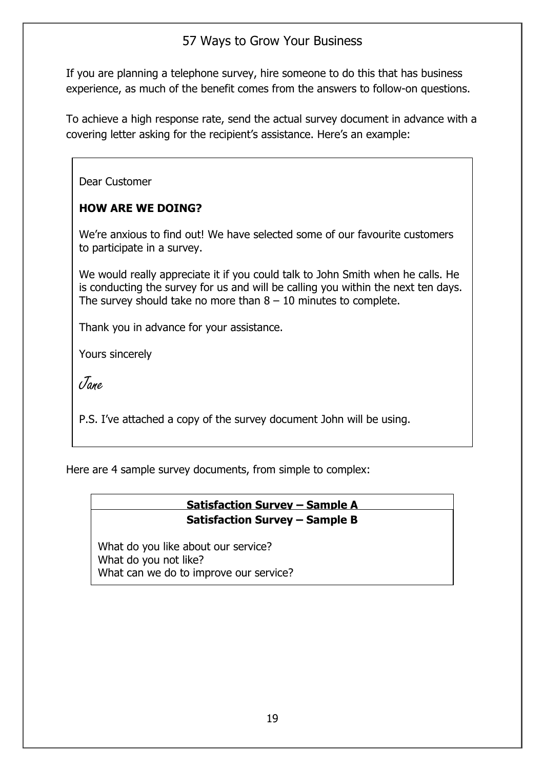If you are planning a telephone survey, hire someone to do this that has business experience, as much of the benefit comes from the answers to follow-on questions.

To achieve a high response rate, send the actual survey document in advance with a covering letter asking for the recipient's assistance. Here's an example:

Dear Customer

#### **HOW ARE WE DOING?**

We're anxious to find out! We have selected some of our favourite customers to participate in a survey.

We would really appreciate it if you could talk to John Smith when he calls. He is conducting the survey for us and will be calling you within the next ten days. The survey should take no more than  $8 - 10$  minutes to complete.

Thank you in advance for your assistance.

Yours sincerely

Jane

P.S. I've attached a copy of the survey document John will be using.

Here are 4 sample survey documents, from simple to complex:

#### **Satisfaction Survey – Sample A Satisfaction Survey – Sample B**

What do you like about our service? (10 = very willing, willing, will be willing. The willing What do you not like? What can we do to improve our service?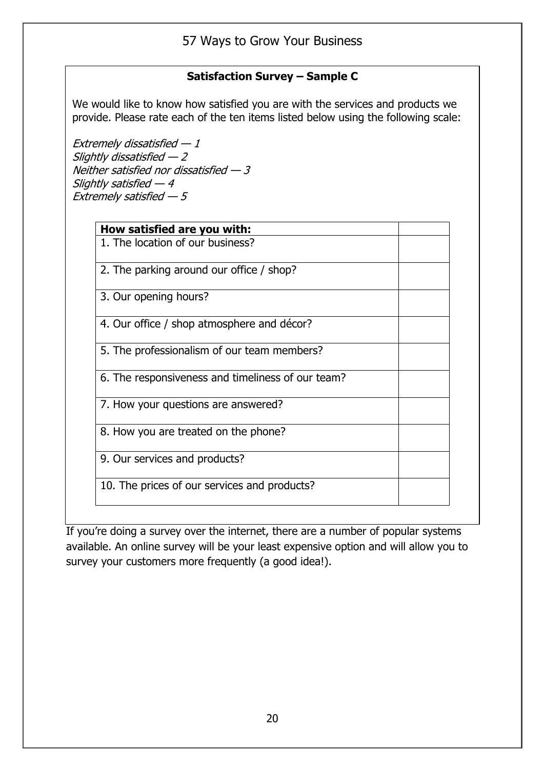#### **Satisfaction Survey – Sample C**

We would like to know how satisfied you are with the services and products we provide. Please rate each of the ten items listed below using the following scale:

Extremely dissatisfied  $-1$ Slightly dissatisfied  $-2$ Neither satisfied nor dissatisfied — 3 Slightly satisfied  $-4$ Extremely satisfied  $-5$ 

| How satisfied are you with:                       |  |
|---------------------------------------------------|--|
| 1. The location of our business?                  |  |
| 2. The parking around our office / shop?          |  |
| 3. Our opening hours?                             |  |
| 4. Our office / shop atmosphere and décor?        |  |
| 5. The professionalism of our team members?       |  |
| 6. The responsiveness and timeliness of our team? |  |
| 7. How your questions are answered?               |  |
| 8. How you are treated on the phone?              |  |
| 9. Our services and products?                     |  |
| 10. The prices of our services and products?      |  |
|                                                   |  |

If you're doing a survey over the internet, there are a number of popular systems available. An online survey will be your least expensive option and will allow you to survey your customers more frequently (a good idea!).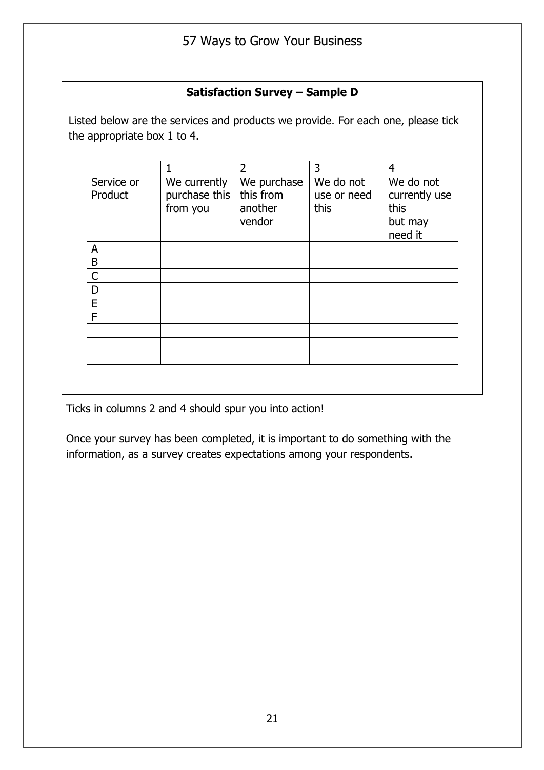#### **Satisfaction Survey – Sample D**

Listed below are the services and products we provide. For each one, please tick the appropriate box 1 to 4.

|                       |                                           | $\overline{2}$                                | 3                                | 4                                                        |
|-----------------------|-------------------------------------------|-----------------------------------------------|----------------------------------|----------------------------------------------------------|
| Service or<br>Product | We currently<br>purchase this<br>from you | We purchase<br>this from<br>another<br>vendor | We do not<br>use or need<br>this | We do not<br>currently use<br>this<br>but may<br>need it |
| A                     |                                           |                                               |                                  |                                                          |
| B                     |                                           |                                               |                                  |                                                          |
| $\mathsf{C}$          |                                           |                                               |                                  |                                                          |
| D                     |                                           |                                               |                                  |                                                          |
| E                     |                                           |                                               |                                  |                                                          |
| F                     |                                           |                                               |                                  |                                                          |
|                       |                                           |                                               |                                  |                                                          |
|                       |                                           |                                               |                                  |                                                          |
|                       |                                           |                                               |                                  |                                                          |
|                       |                                           |                                               |                                  |                                                          |

Ticks in columns 2 and 4 should spur you into action!

Once your survey has been completed, it is important to do something with the information, as a survey creates expectations among your respondents.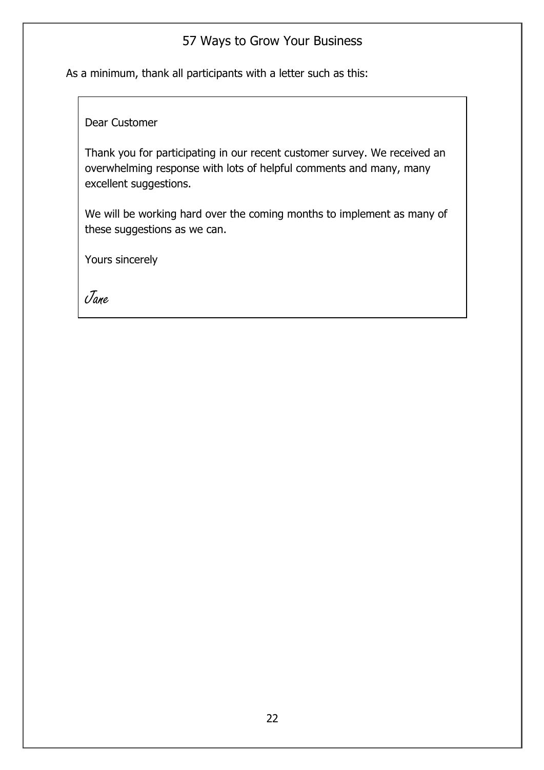As a minimum, thank all participants with a letter such as this:

Dear Customer

Thank you for participating in our recent customer survey. We received an overwhelming response with lots of helpful comments and many, many excellent suggestions.

We will be working hard over the coming months to implement as many of these suggestions as we can.

Yours sincerely

Jane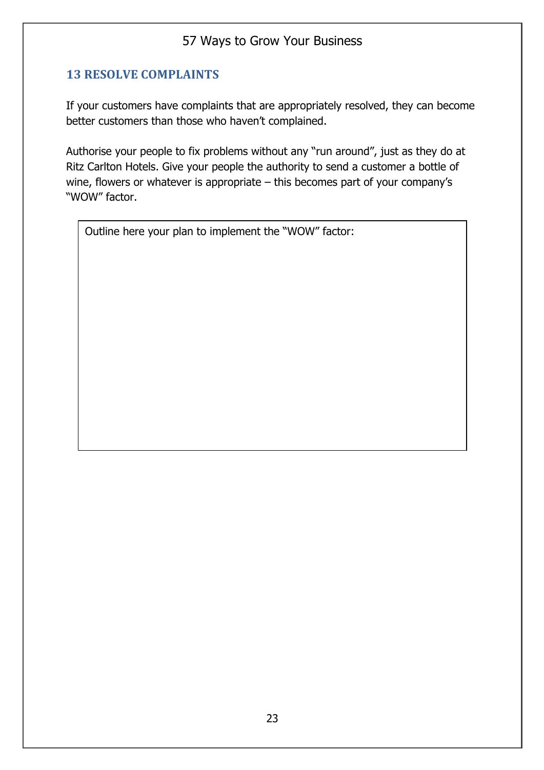#### **13 RESOLVE COMPLAINTS**

If your customers have complaints that are appropriately resolved, they can become better customers than those who haven't complained.

Authorise your people to fix problems without any "run around", just as they do at Ritz Carlton Hotels. Give your people the authority to send a customer a bottle of wine, flowers or whatever is appropriate – this becomes part of your company's "WOW" factor.

Outline here your plan to implement the "WOW" factor: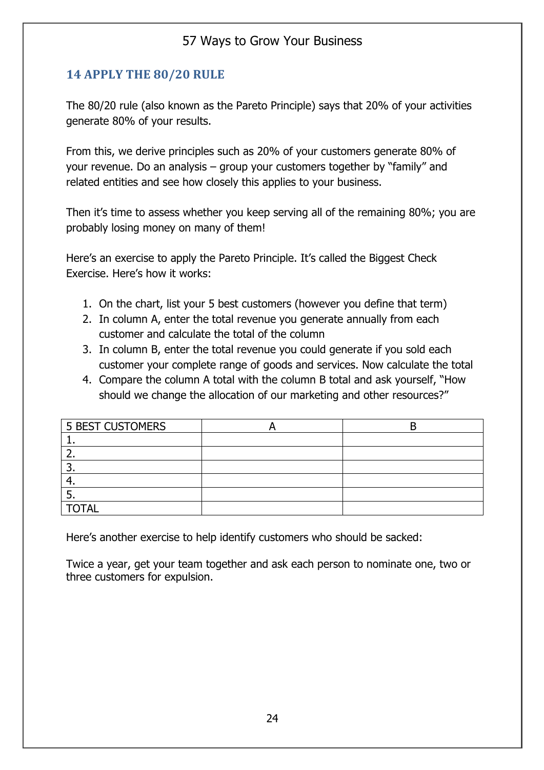#### **14 APPLY THE 80/20 RULE**

The 80/20 rule (also known as the Pareto Principle) says that 20% of your activities generate 80% of your results.

From this, we derive principles such as 20% of your customers generate 80% of your revenue. Do an analysis – group your customers together by "family" and related entities and see how closely this applies to your business.

Then it's time to assess whether you keep serving all of the remaining 80%; you are probably losing money on many of them!

Here's an exercise to apply the Pareto Principle. It's called the Biggest Check Exercise. Here's how it works:

- 1. On the chart, list your 5 best customers (however you define that term)
- 2. In column A, enter the total revenue you generate annually from each customer and calculate the total of the column
- 3. In column B, enter the total revenue you could generate if you sold each customer your complete range of goods and services. Now calculate the total
- 4. Compare the column A total with the column B total and ask yourself, "How should we change the allocation of our marketing and other resources?"

| <b>5 BEST CUSTOMERS</b> |  |
|-------------------------|--|
|                         |  |
|                         |  |
|                         |  |
| .,                      |  |
|                         |  |
| <b>TOTAL</b>            |  |

Here's another exercise to help identify customers who should be sacked:

Twice a year, get your team together and ask each person to nominate one, two or three customers for expulsion.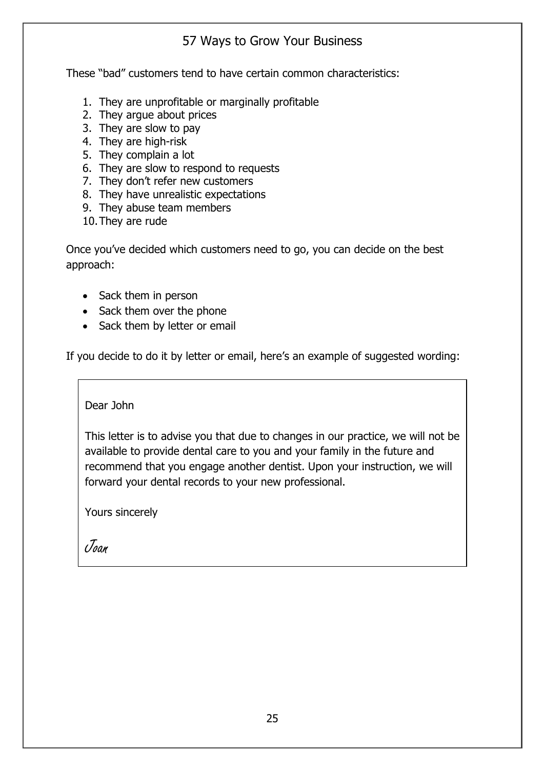These "bad" customers tend to have certain common characteristics:

- 1. They are unprofitable or marginally profitable
- 2. They argue about prices
- 3. They are slow to pay
- 4. They are high-risk
- 5. They complain a lot
- 6. They are slow to respond to requests
- 7. They don't refer new customers
- 8. They have unrealistic expectations
- 9. They abuse team members
- 10.They are rude

Once you've decided which customers need to go, you can decide on the best approach:

- Sack them in person
- Sack them over the phone
- Sack them by letter or email

If you decide to do it by letter or email, here's an example of suggested wording:

Dear John

This letter is to advise you that due to changes in our practice, we will not be available to provide dental care to you and your family in the future and recommend that you engage another dentist. Upon your instruction, we will forward your dental records to your new professional.

Yours sincerely

Joan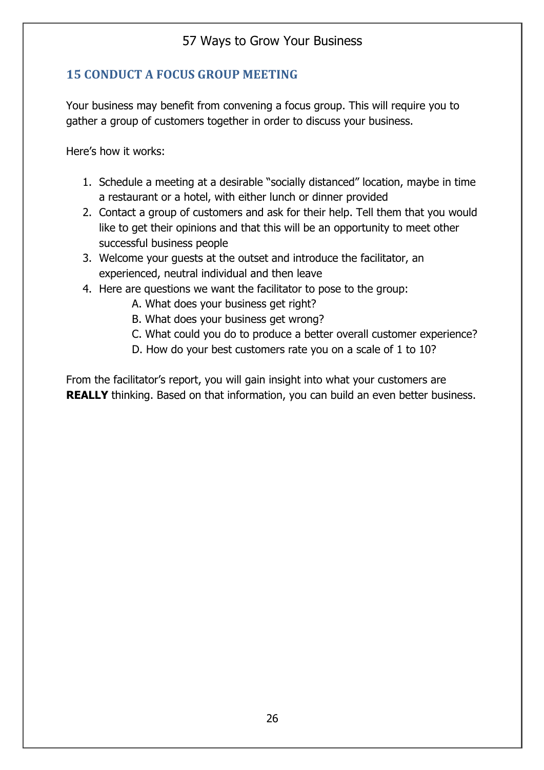#### **15 CONDUCT A FOCUS GROUP MEETING**

Your business may benefit from convening a focus group. This will require you to gather a group of customers together in order to discuss your business.

Here's how it works:

- 1. Schedule a meeting at a desirable "socially distanced" location, maybe in time a restaurant or a hotel, with either lunch or dinner provided
- 2. Contact a group of customers and ask for their help. Tell them that you would like to get their opinions and that this will be an opportunity to meet other successful business people
- 3. Welcome your guests at the outset and introduce the facilitator, an experienced, neutral individual and then leave
- 4. Here are questions we want the facilitator to pose to the group:
	- A. What does your business get right?
	- B. What does your business get wrong?
	- C. What could you do to produce a better overall customer experience?
	- D. How do your best customers rate you on a scale of 1 to 10?

From the facilitator's report, you will gain insight into what your customers are **REALLY** thinking. Based on that information, you can build an even better business.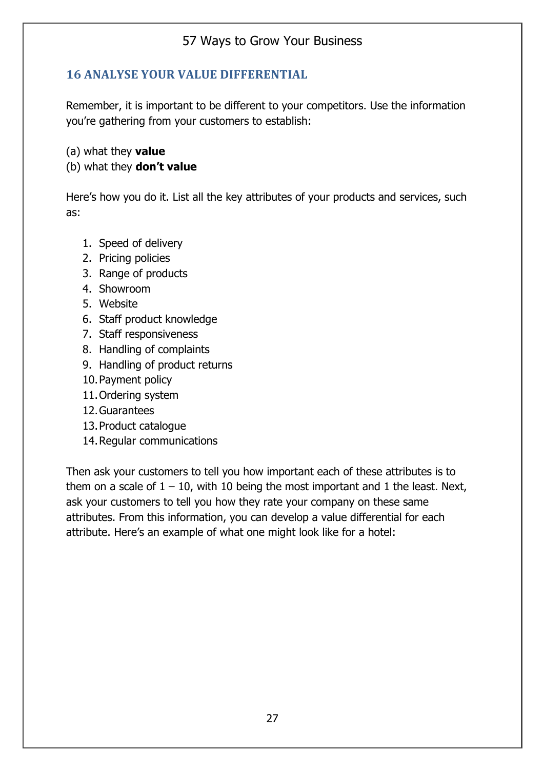#### **16 ANALYSE YOUR VALUE DIFFERENTIAL**

Remember, it is important to be different to your competitors. Use the information you're gathering from your customers to establish:

(a) what they **value**

#### (b) what they **don't value**

Here's how you do it. List all the key attributes of your products and services, such as:

- 1. Speed of delivery
- 2. Pricing policies
- 3. Range of products
- 4. Showroom
- 5. Website
- 6. Staff product knowledge
- 7. Staff responsiveness
- 8. Handling of complaints
- 9. Handling of product returns
- 10.Payment policy
- 11.Ordering system
- 12.Guarantees
- 13.Product catalogue
- 14.Regular communications

Then ask your customers to tell you how important each of these attributes is to them on a scale of  $1 - 10$ , with 10 being the most important and 1 the least. Next, ask your customers to tell you how they rate your company on these same attributes. From this information, you can develop a value differential for each attribute. Here's an example of what one might look like for a hotel: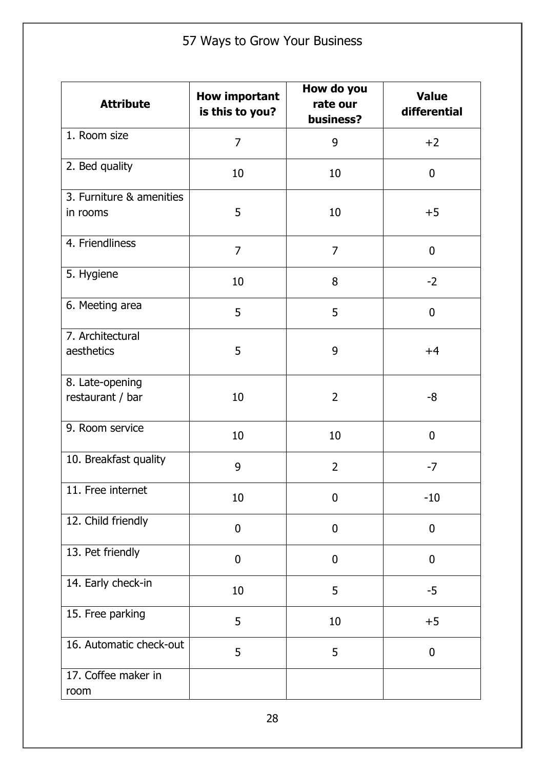| <b>Attribute</b>                     | <b>How important</b><br>is this to you? | How do you<br>rate our<br>business? | <b>Value</b><br>differential |
|--------------------------------------|-----------------------------------------|-------------------------------------|------------------------------|
| 1. Room size                         | $\overline{7}$                          | 9                                   | $+2$                         |
| 2. Bed quality                       | 10                                      | 10                                  | $\mathbf 0$                  |
| 3. Furniture & amenities<br>in rooms | 5                                       | 10                                  | $+5$                         |
| 4. Friendliness                      | $\overline{7}$                          | 7                                   | $\boldsymbol{0}$             |
| 5. Hygiene                           | 10                                      | 8                                   | $-2$                         |
| 6. Meeting area                      | 5                                       | 5                                   | $\boldsymbol{0}$             |
| 7. Architectural<br>aesthetics       | 5                                       | 9                                   | $+4$                         |
| 8. Late-opening<br>restaurant / bar  | 10                                      | $\overline{2}$                      | -8                           |
| 9. Room service                      | 10                                      | 10                                  | $\mathbf 0$                  |
| 10. Breakfast quality                | 9                                       | $\overline{2}$                      | $-7$                         |
| 11. Free internet                    | 10                                      | 0                                   | $-10$                        |
| 12. Child friendly                   | $\mathbf 0$                             | $\overline{0}$                      | $\mathbf 0$                  |
| 13. Pet friendly                     | $\mathbf 0$                             | $\mathbf 0$                         | $\boldsymbol{0}$             |
| 14. Early check-in                   | 10                                      | 5                                   | $-5$                         |
| 15. Free parking                     | 5                                       | 10                                  | $+5$                         |
| 16. Automatic check-out              | 5                                       | 5                                   | $\boldsymbol{0}$             |
| 17. Coffee maker in<br>room          |                                         |                                     |                              |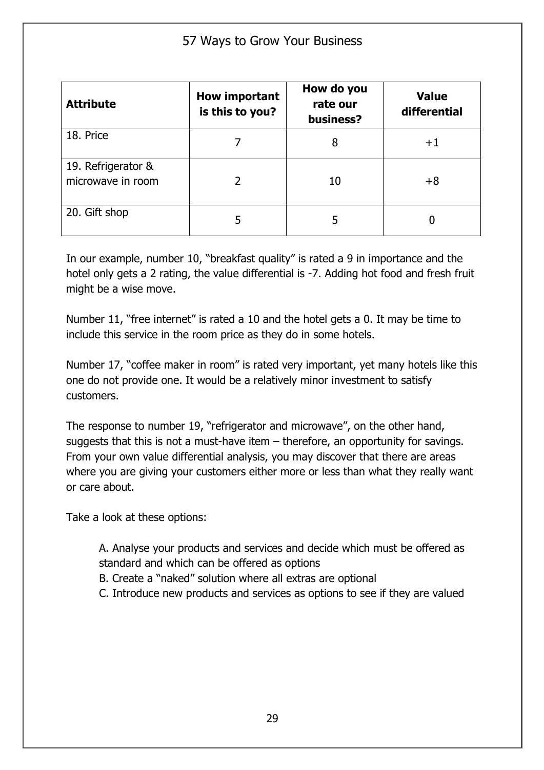| <b>Attribute</b>                        | <b>How important</b><br>is this to you? | How do you<br>rate our<br>business? | <b>Value</b><br>differential |
|-----------------------------------------|-----------------------------------------|-------------------------------------|------------------------------|
| 18. Price                               |                                         | 8                                   | $+1$                         |
| 19. Refrigerator &<br>microwave in room |                                         | 10                                  | $+8$                         |
| 20. Gift shop                           | 5                                       | 5                                   |                              |

In our example, number 10, "breakfast quality" is rated a 9 in importance and the hotel only gets a 2 rating, the value differential is -7. Adding hot food and fresh fruit might be a wise move.

Number 11, "free internet" is rated a 10 and the hotel gets a 0. It may be time to include this service in the room price as they do in some hotels.

Number 17, "coffee maker in room" is rated very important, yet many hotels like this one do not provide one. It would be a relatively minor investment to satisfy customers.

The response to number 19, "refrigerator and microwave", on the other hand, suggests that this is not a must-have item – therefore, an opportunity for savings. From your own value differential analysis, you may discover that there are areas where you are giving your customers either more or less than what they really want or care about.

Take a look at these options:

A. Analyse your products and services and decide which must be offered as standard and which can be offered as options

- B. Create a "naked" solution where all extras are optional
- C. Introduce new products and services as options to see if they are valued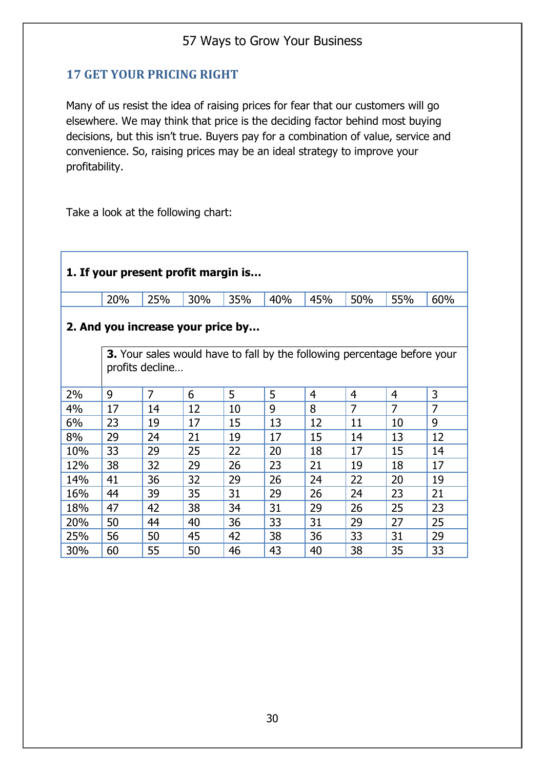#### **17 GET YOUR PRICING RIGHT**

Many of us resist the idea of raising prices for fear that our customers will go elsewhere. We may think that price is the deciding factor behind most buying decisions, but this isn't true. Buyers pay for a combination of value, service and convenience. So, raising prices may be an ideal strategy to improve your profitability.

Take a look at the following chart:

| 1. If your present profit margin is                                                                |     |                |     |     |     |     |     |                |     |  |  |  |
|----------------------------------------------------------------------------------------------------|-----|----------------|-----|-----|-----|-----|-----|----------------|-----|--|--|--|
|                                                                                                    | 20% | 25%            | 30% | 35% | 40% | 45% | 50% | 55%            | 60% |  |  |  |
| 2. And you increase your price by                                                                  |     |                |     |     |     |     |     |                |     |  |  |  |
| <b>3.</b> Your sales would have to fall by the following percentage before your<br>profits decline |     |                |     |     |     |     |     |                |     |  |  |  |
| 2%                                                                                                 | 9   | $\overline{7}$ | 6   | 5   | 5   | 4   | 4   | 4              | 3   |  |  |  |
| 4%                                                                                                 | 17  | 14             | 12  | 10  | 9   | 8   | 7   | $\overline{7}$ | 7   |  |  |  |
| 6%                                                                                                 | 23  | 19             | 17  | 15  | 13  | 12  | 11  | 10             | 9   |  |  |  |
| 8%                                                                                                 | 29  | 24             | 21  | 19  | 17  | 15  | 14  | 13             | 12  |  |  |  |
| 10%                                                                                                | 33  | 29             | 25  | 22  | 20  | 18  | 17  | 15             | 14  |  |  |  |
| 12%                                                                                                | 38  | 32             | 29  | 26  | 23  | 21  | 19  | 18             | 17  |  |  |  |
| 14%                                                                                                | 41  | 36             | 32  | 29  | 26  | 24  | 22  | 20             | 19  |  |  |  |
| 16%                                                                                                | 44  | 39             | 35  | 31  | 29  | 26  | 24  | 23             | 21  |  |  |  |
| 18%                                                                                                | 47  | 42             | 38  | 34  | 31  | 29  | 26  | 25             | 23  |  |  |  |
| 20%                                                                                                | 50  | 44             | 40  | 36  | 33  | 31  | 29  | 27             | 25  |  |  |  |
| 25%                                                                                                | 56  | 50             | 45  | 42  | 38  | 36  | 33  | 31             | 29  |  |  |  |
| 30%                                                                                                | 60  | 55             | 50  | 46  | 43  | 40  | 38  | 35             | 33  |  |  |  |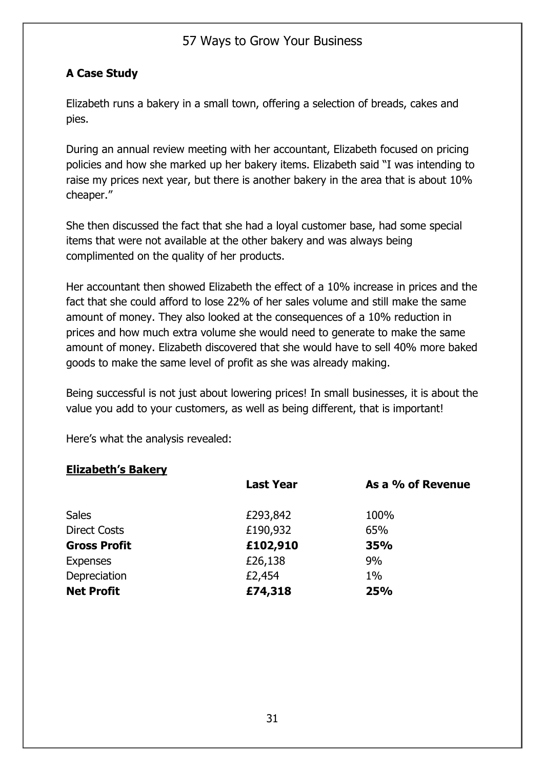#### **A Case Study**

Elizabeth runs a bakery in a small town, offering a selection of breads, cakes and pies.

During an annual review meeting with her accountant, Elizabeth focused on pricing policies and how she marked up her bakery items. Elizabeth said "I was intending to raise my prices next year, but there is another bakery in the area that is about 10% cheaper."

She then discussed the fact that she had a loyal customer base, had some special items that were not available at the other bakery and was always being complimented on the quality of her products.

Her accountant then showed Elizabeth the effect of a 10% increase in prices and the fact that she could afford to lose 22% of her sales volume and still make the same amount of money. They also looked at the consequences of a 10% reduction in prices and how much extra volume she would need to generate to make the same amount of money. Elizabeth discovered that she would have to sell 40% more baked goods to make the same level of profit as she was already making.

Being successful is not just about lowering prices! In small businesses, it is about the value you add to your customers, as well as being different, that is important!

Here's what the analysis revealed:

#### **Elizabeth's Bakery**

|                     | <b>Last Year</b> | As a % of Revenue |
|---------------------|------------------|-------------------|
| <b>Sales</b>        | £293,842         | 100%              |
| <b>Direct Costs</b> | £190,932         | 65%               |
| <b>Gross Profit</b> | £102,910         | 35%               |
| <b>Expenses</b>     | £26,138          | 9%                |
| Depreciation        | £2,454           | $1\%$             |
| <b>Net Profit</b>   | £74,318          | 25%               |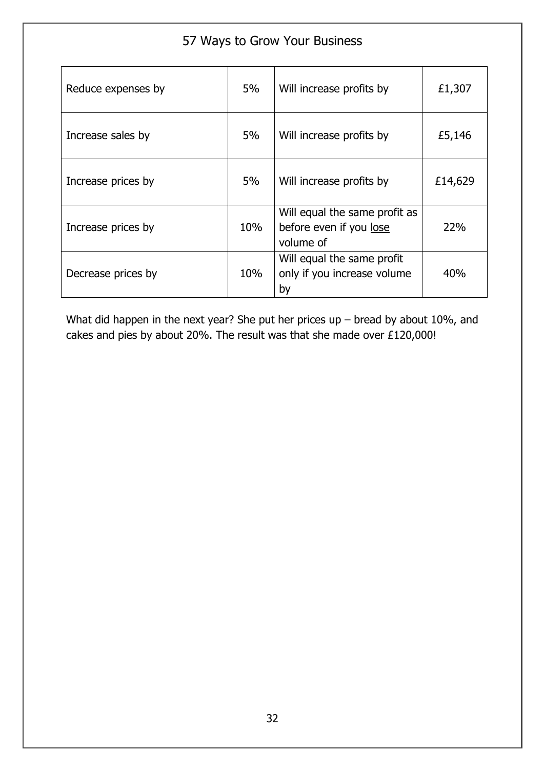| 57 Ways to Grow Your Business |     |                                                                       |         |  |  |  |  |
|-------------------------------|-----|-----------------------------------------------------------------------|---------|--|--|--|--|
| Reduce expenses by            | 5%  | Will increase profits by                                              | £1,307  |  |  |  |  |
| Increase sales by             | 5%  | Will increase profits by                                              | £5,146  |  |  |  |  |
| Increase prices by            | 5%  | Will increase profits by                                              | £14,629 |  |  |  |  |
| Increase prices by            | 10% | Will equal the same profit as<br>before even if you lose<br>volume of | 22%     |  |  |  |  |
| Decrease prices by            | 10% | Will equal the same profit<br>only if you increase volume<br>by       | 40%     |  |  |  |  |

What did happen in the next year? She put her prices up – bread by about 10%, and cakes and pies by about 20%. The result was that she made over £120,000!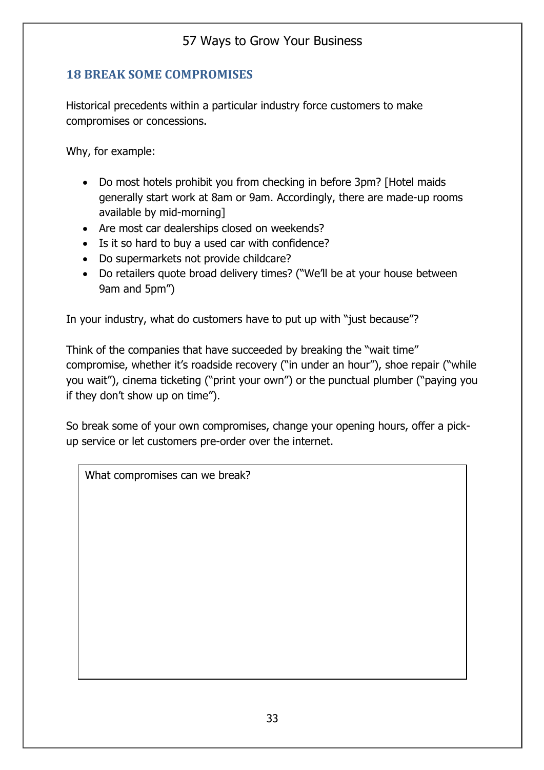#### **18 BREAK SOME COMPROMISES**

Historical precedents within a particular industry force customers to make compromises or concessions.

Why, for example:

- Do most hotels prohibit you from checking in before 3pm? [Hotel maids generally start work at 8am or 9am. Accordingly, there are made-up rooms available by mid-morning]
- Are most car dealerships closed on weekends?
- Is it so hard to buy a used car with confidence?
- Do supermarkets not provide childcare?
- Do retailers quote broad delivery times? ("We'll be at your house between 9am and 5pm")

In your industry, what do customers have to put up with "just because"?

Think of the companies that have succeeded by breaking the "wait time" compromise, whether it's roadside recovery ("in under an hour"), shoe repair ("while you wait"), cinema ticketing ("print your own") or the punctual plumber ("paying you if they don't show up on time").

So break some of your own compromises, change your opening hours, offer a pickup service or let customers pre-order over the internet.

What compromises can we break?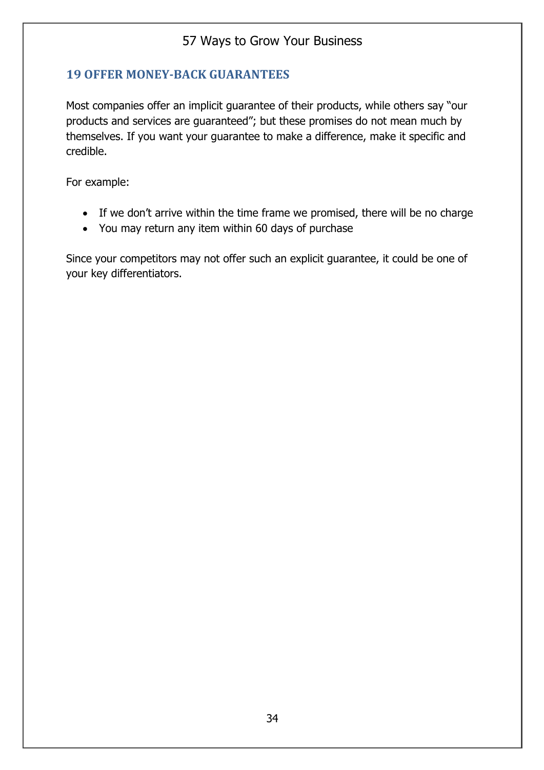### **19 OFFER MONEY-BACK GUARANTEES**

Most companies offer an implicit guarantee of their products, while others say "our products and services are guaranteed"; but these promises do not mean much by themselves. If you want your guarantee to make a difference, make it specific and credible.

For example:

- If we don't arrive within the time frame we promised, there will be no charge
- You may return any item within 60 days of purchase

Since your competitors may not offer such an explicit guarantee, it could be one of your key differentiators.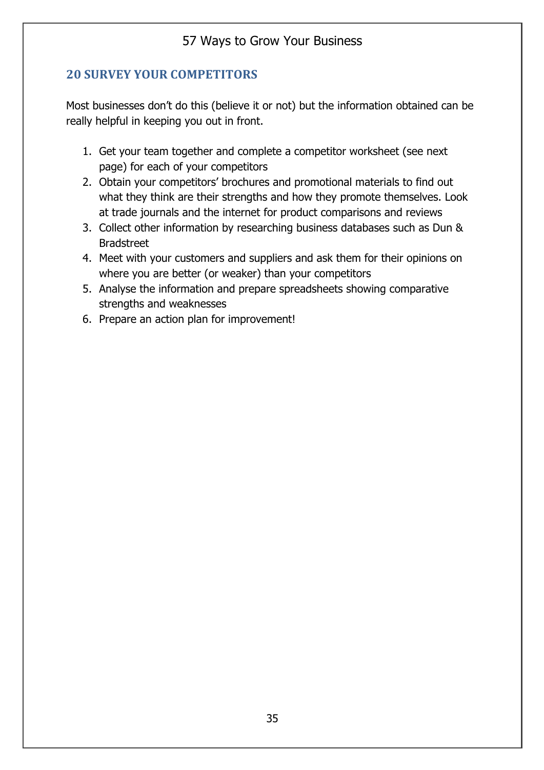### **20 SURVEY YOUR COMPETITORS**

Most businesses don't do this (believe it or not) but the information obtained can be really helpful in keeping you out in front.

- 1. Get your team together and complete a competitor worksheet (see next page) for each of your competitors
- 2. Obtain your competitors' brochures and promotional materials to find out what they think are their strengths and how they promote themselves. Look at trade journals and the internet for product comparisons and reviews
- 3. Collect other information by researching business databases such as Dun & **Bradstreet**
- 4. Meet with your customers and suppliers and ask them for their opinions on where you are better (or weaker) than your competitors
- 5. Analyse the information and prepare spreadsheets showing comparative strengths and weaknesses
- 6. Prepare an action plan for improvement!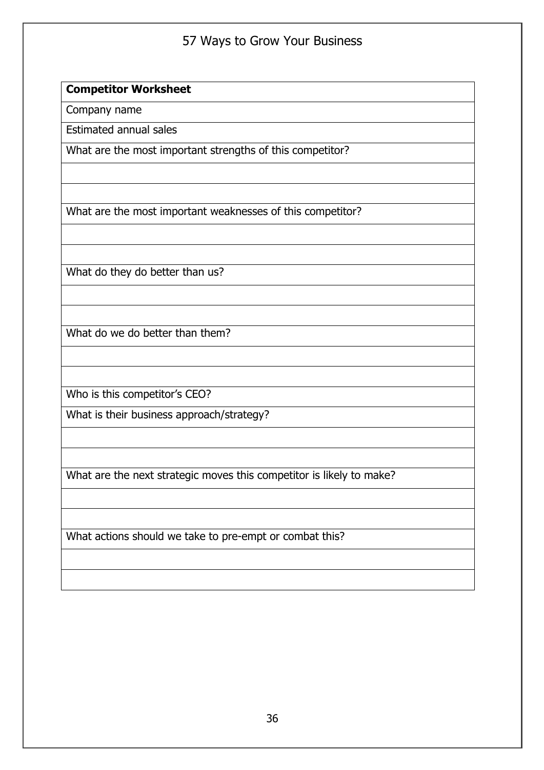#### **Competitor Worksheet**

Company name

Estimated annual sales

What are the most important strengths of this competitor?

What are the most important weaknesses of this competitor?

What do they do better than us?

What do we do better than them?

Who is this competitor's CEO?

What is their business approach/strategy?

What are the next strategic moves this competitor is likely to make?

What actions should we take to pre-empt or combat this?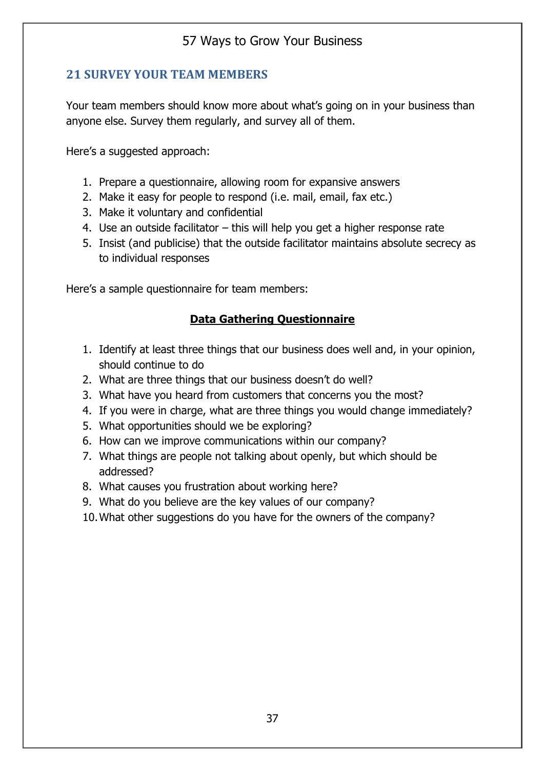### **21 SURVEY YOUR TEAM MEMBERS**

Your team members should know more about what's going on in your business than anyone else. Survey them regularly, and survey all of them.

Here's a suggested approach:

- 1. Prepare a questionnaire, allowing room for expansive answers
- 2. Make it easy for people to respond (i.e. mail, email, fax etc.)
- 3. Make it voluntary and confidential
- 4. Use an outside facilitator this will help you get a higher response rate
- 5. Insist (and publicise) that the outside facilitator maintains absolute secrecy as to individual responses

Here's a sample questionnaire for team members:

### **Data Gathering Questionnaire**

- 1. Identify at least three things that our business does well and, in your opinion, should continue to do
- 2. What are three things that our business doesn't do well?
- 3. What have you heard from customers that concerns you the most?
- 4. If you were in charge, what are three things you would change immediately?
- 5. What opportunities should we be exploring?
- 6. How can we improve communications within our company?
- 7. What things are people not talking about openly, but which should be addressed?
- 8. What causes you frustration about working here?
- 9. What do you believe are the key values of our company?
- 10.What other suggestions do you have for the owners of the company?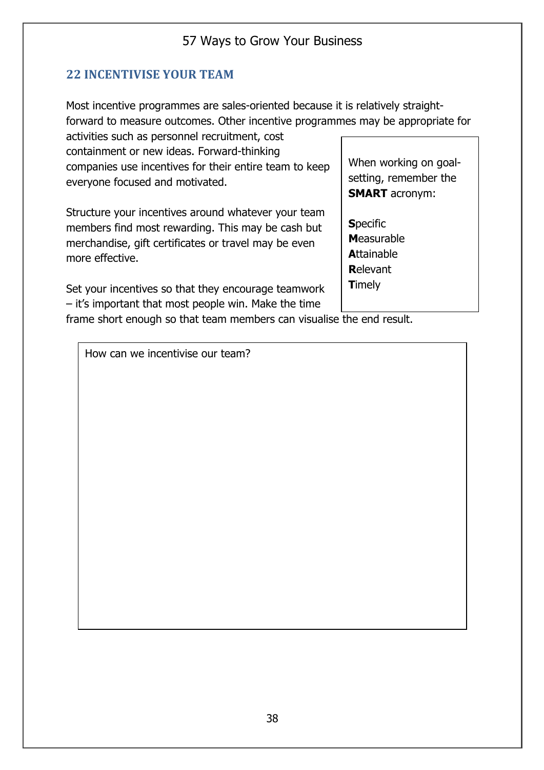### **22 INCENTIVISE YOUR TEAM**

Most incentive programmes are sales-oriented because it is relatively straightforward to measure outcomes. Other incentive programmes may be appropriate for

activities such as personnel recruitment, cost containment or new ideas. Forward-thinking companies use incentives for their entire team to keep everyone focused and motivated.

Structure your incentives around whatever your team members find most rewarding. This may be cash but merchandise, gift certificates or travel may be even more effective.

Set your incentives so that they encourage teamwork – it's important that most people win. Make the time

When working on goalsetting, remember the **SMART** acronym:

**S**pecific **M**easurable **A**ttainable **R**elevant **T**imely

frame short enough so that team members can visualise the end result.

How can we incentivise our team?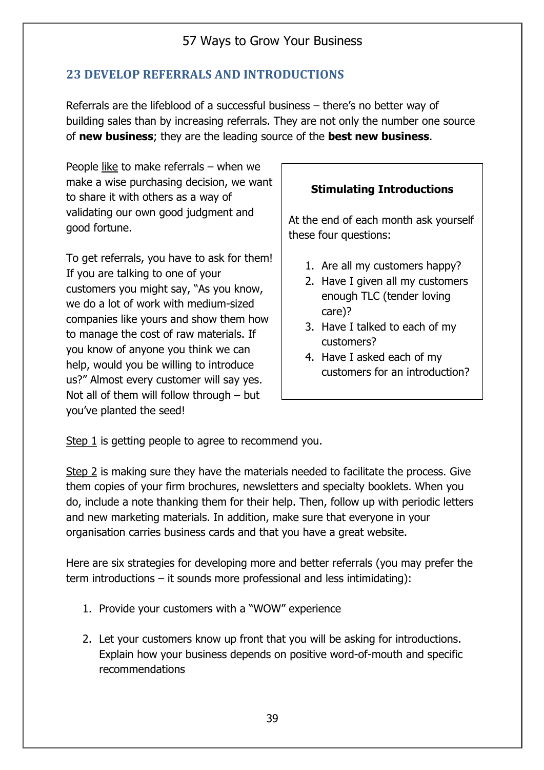### **23 DEVELOP REFERRALS AND INTRODUCTIONS**

Referrals are the lifeblood of a successful business – there's no better way of building sales than by increasing referrals. They are not only the number one source of **new business**; they are the leading source of the **best new business**.

People like to make referrals – when we make a wise purchasing decision, we want to share it with others as a way of validating our own good judgment and good fortune.

To get referrals, you have to ask for them! If you are talking to one of your customers you might say, "As you know, we do a lot of work with medium-sized companies like yours and show them how to manage the cost of raw materials. If you know of anyone you think we can help, would you be willing to introduce us?" Almost every customer will say yes. Not all of them will follow through – but you've planted the seed!

#### **Stimulating Introductions**

At the end of each month ask yourself these four questions:

- 1. Are all my customers happy?
- 2. Have I given all my customers enough TLC (tender loving care)?
- 3. Have I talked to each of my customers?
- 4. Have I asked each of my customers for an introduction?

Step 1 is getting people to agree to recommend you.

Step 2 is making sure they have the materials needed to facilitate the process. Give them copies of your firm brochures, newsletters and specialty booklets. When you do, include a note thanking them for their help. Then, follow up with periodic letters and new marketing materials. In addition, make sure that everyone in your organisation carries business cards and that you have a great website.

Here are six strategies for developing more and better referrals (you may prefer the term introductions – it sounds more professional and less intimidating):

- 1. Provide your customers with a "WOW" experience
- 2. Let your customers know up front that you will be asking for introductions. Explain how your business depends on positive word-of-mouth and specific recommendations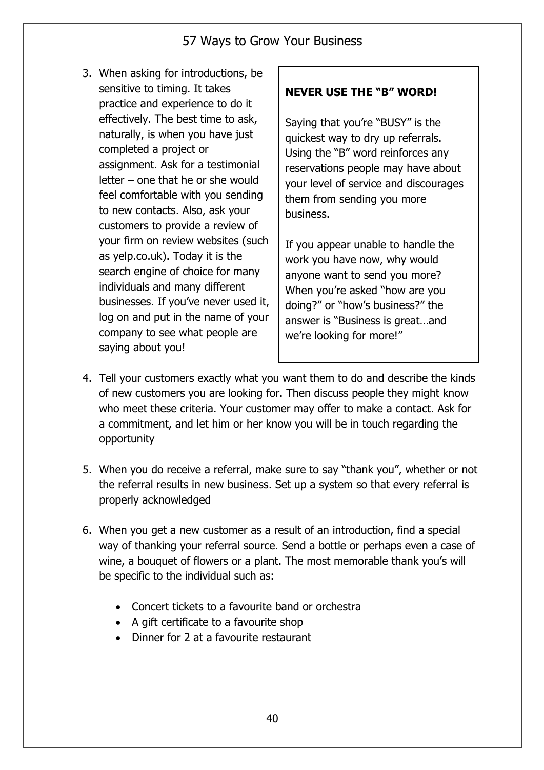3. When asking for introductions, be sensitive to timing. It takes practice and experience to do it effectively. The best time to ask, naturally, is when you have just completed a project or assignment. Ask for a testimonial letter – one that he or she would feel comfortable with you sending to new contacts. Also, ask your customers to provide a review of your firm on review websites (such as yelp.co.uk). Today it is the search engine of choice for many individuals and many different businesses. If you've never used it, log on and put in the name of your company to see what people are saying about you!

### **NEVER USE THE "B" WORD!**

Saying that you're "BUSY" is the quickest way to dry up referrals. Using the "B" word reinforces any reservations people may have about your level of service and discourages them from sending you more business.

If you appear unable to handle the work you have now, why would anyone want to send you more? When you're asked "how are you doing?" or "how's business?" the answer is "Business is great…and we're looking for more!"

- 4. Tell your customers exactly what you want them to do and describe the kinds of new customers you are looking for. Then discuss people they might know who meet these criteria. Your customer may offer to make a contact. Ask for a commitment, and let him or her know you will be in touch regarding the opportunity
- 5. When you do receive a referral, make sure to say "thank you", whether or not the referral results in new business. Set up a system so that every referral is properly acknowledged
- 6. When you get a new customer as a result of an introduction, find a special way of thanking your referral source. Send a bottle or perhaps even a case of wine, a bouquet of flowers or a plant. The most memorable thank you's will be specific to the individual such as:
	- Concert tickets to a favourite band or orchestra
	- A gift certificate to a favourite shop
	- Dinner for 2 at a favourite restaurant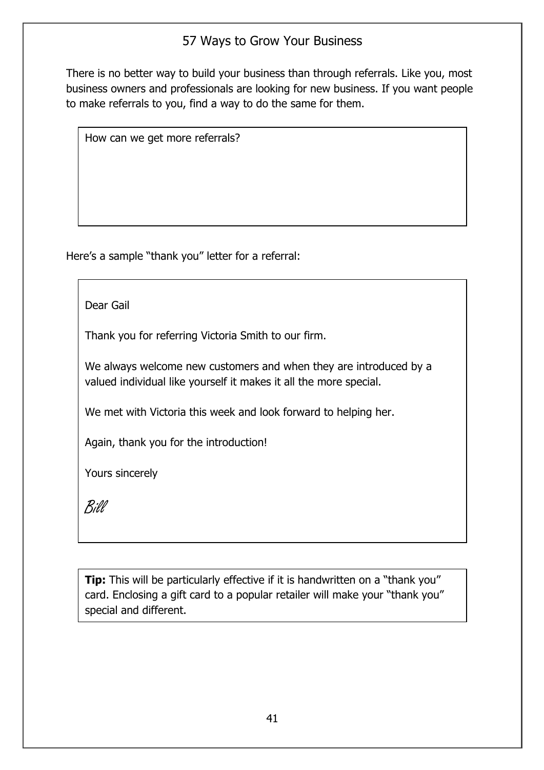There is no better way to build your business than through referrals. Like you, most business owners and professionals are looking for new business. If you want people to make referrals to you, find a way to do the same for them.

How can we get more referrals?

Here's a sample "thank you" letter for a referral:

Dear Gail

Thank you for referring Victoria Smith to our firm.

We always welcome new customers and when they are introduced by a valued individual like yourself it makes it all the more special.

We met with Victoria this week and look forward to helping her.

Again, thank you for the introduction!

Yours sincerely

Bill

**Tip:** This will be particularly effective if it is handwritten on a "thank you" card. Enclosing a gift card to a popular retailer will make your "thank you" special and different.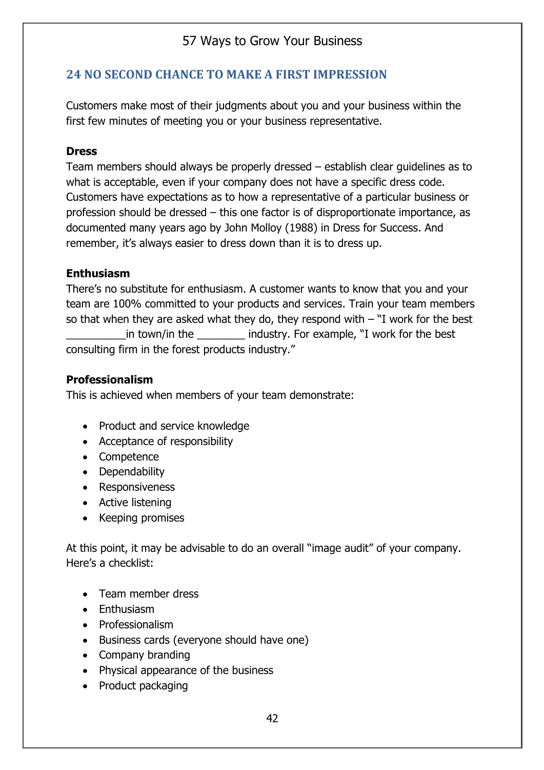### **24 NO SECOND CHANCE TO MAKE A FIRST IMPRESSION**

Customers make most of their judgments about you and your business within the first few minutes of meeting you or your business representative.

#### **Dress**

Team members should always be properly dressed – establish clear guidelines as to what is acceptable, even if your company does not have a specific dress code. Customers have expectations as to how a representative of a particular business or profession should be dressed – this one factor is of disproportionate importance, as documented many years ago by John Molloy (1988) in Dress for Success. And remember, it's always easier to dress down than it is to dress up.

#### **Enthusiasm**

There's no substitute for enthusiasm. A customer wants to know that you and your team are 100% committed to your products and services. Train your team members so that when they are asked what they do, they respond with  $-$  "I work for the best in town/in the comes industry. For example, "I work for the best consulting firm in the forest products industry."

#### **Professionalism**

This is achieved when members of your team demonstrate:

- Product and service knowledge
- Acceptance of responsibility
- Competence
- Dependability
- Responsiveness
- Active listening
- Keeping promises

At this point, it may be advisable to do an overall "image audit" of your company. Here's a checklist:

- Team member dress
- Enthusiasm
- Professionalism
- Business cards (everyone should have one)
- Company branding
- Physical appearance of the business
- Product packaging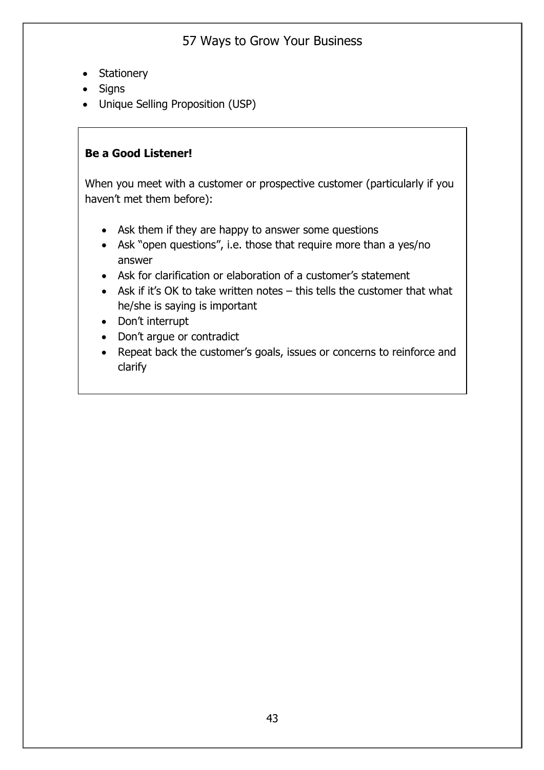- Stationery
- Signs
- Unique Selling Proposition (USP)

#### **Be a Good Listener!**

When you meet with a customer or prospective customer (particularly if you haven't met them before):

- Ask them if they are happy to answer some questions
- Ask "open questions", i.e. those that require more than a yes/no answer
- Ask for clarification or elaboration of a customer's statement
- Ask if it's OK to take written notes this tells the customer that what he/she is saying is important
- Don't interrupt
- Don't argue or contradict
- Repeat back the customer's goals, issues or concerns to reinforce and clarify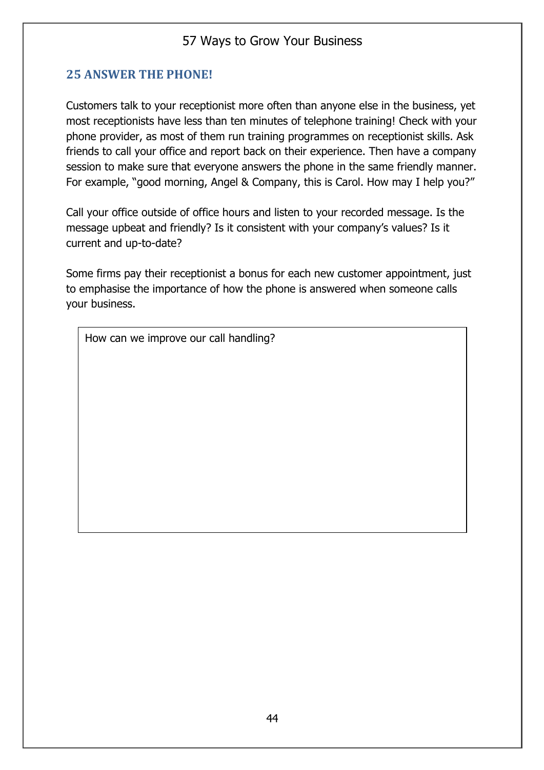### **25 ANSWER THE PHONE!**

Customers talk to your receptionist more often than anyone else in the business, yet most receptionists have less than ten minutes of telephone training! Check with your phone provider, as most of them run training programmes on receptionist skills. Ask friends to call your office and report back on their experience. Then have a company session to make sure that everyone answers the phone in the same friendly manner. For example, "good morning, Angel & Company, this is Carol. How may I help you?"

Call your office outside of office hours and listen to your recorded message. Is the message upbeat and friendly? Is it consistent with your company's values? Is it current and up-to-date?

Some firms pay their receptionist a bonus for each new customer appointment, just to emphasise the importance of how the phone is answered when someone calls your business.

How can we improve our call handling?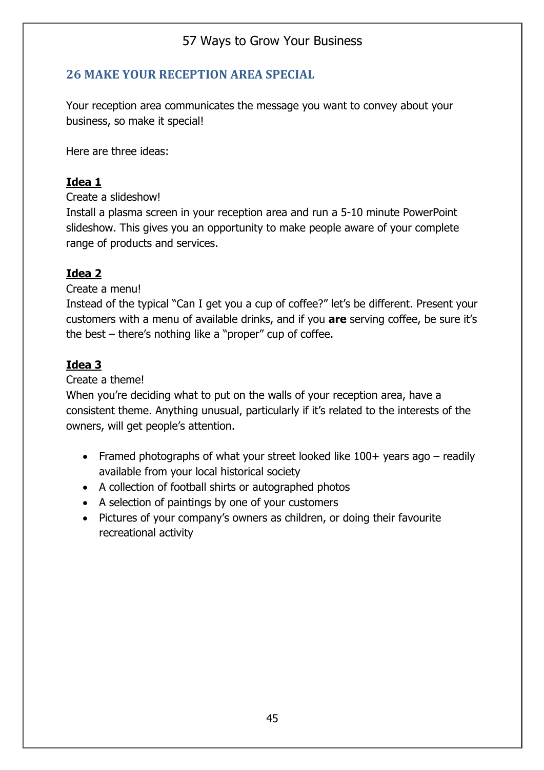### **26 MAKE YOUR RECEPTION AREA SPECIAL**

Your reception area communicates the message you want to convey about your business, so make it special!

Here are three ideas:

#### **Idea 1**

Create a slideshow!

Install a plasma screen in your reception area and run a 5-10 minute PowerPoint slideshow. This gives you an opportunity to make people aware of your complete range of products and services.

### **Idea 2**

Create a menu!

Instead of the typical "Can I get you a cup of coffee?" let's be different. Present your customers with a menu of available drinks, and if you **are** serving coffee, be sure it's the best – there's nothing like a "proper" cup of coffee.

### **Idea 3**

Create a theme!

When you're deciding what to put on the walls of your reception area, have a consistent theme. Anything unusual, particularly if it's related to the interests of the owners, will get people's attention.

- Framed photographs of what your street looked like 100+ years ago readily available from your local historical society
- A collection of football shirts or autographed photos
- A selection of paintings by one of your customers
- Pictures of your company's owners as children, or doing their favourite recreational activity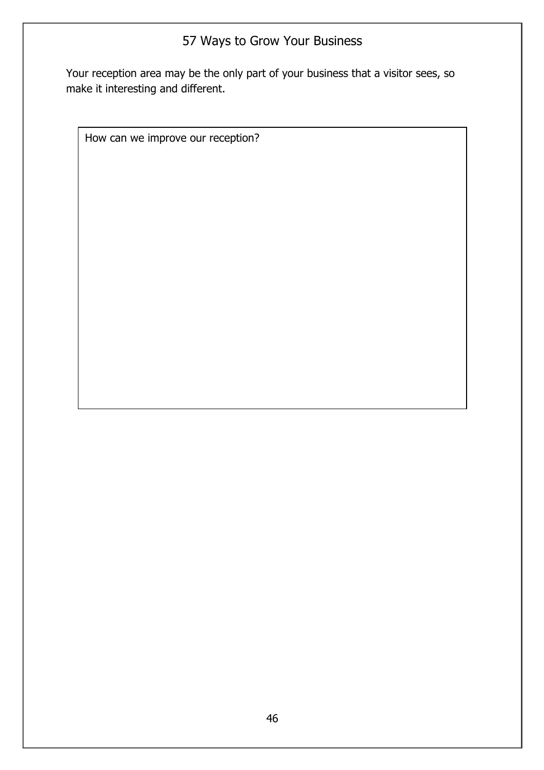Your reception area may be the only part of your business that a visitor sees, so make it interesting and different.

How can we improve our reception?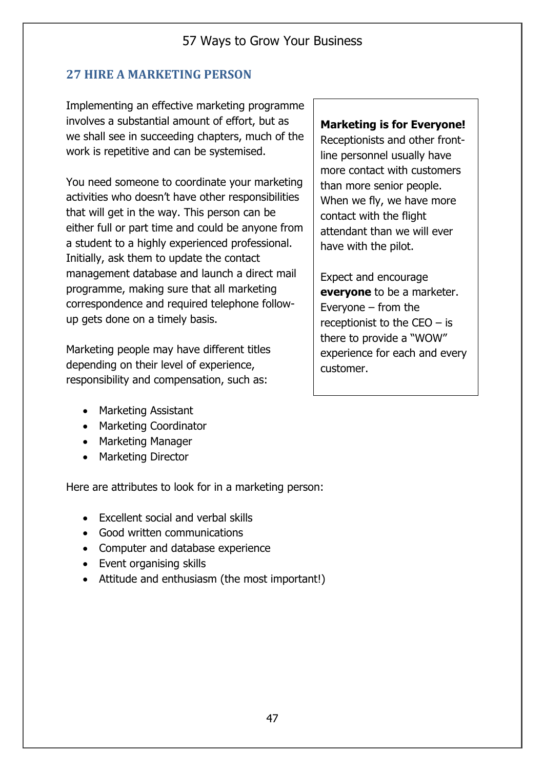## **27 HIRE A MARKETING PERSON**

Implementing an effective marketing programme involves a substantial amount of effort, but as we shall see in succeeding chapters, much of the work is repetitive and can be systemised.

You need someone to coordinate your marketing activities who doesn't have other responsibilities that will get in the way. This person can be either full or part time and could be anyone from a student to a highly experienced professional. Initially, ask them to update the contact management database and launch a direct mail programme, making sure that all marketing correspondence and required telephone followup gets done on a timely basis.

Marketing people may have different titles depending on their level of experience, responsibility and compensation, such as:

- Marketing Assistant
- Marketing Coordinator
- Marketing Manager
- Marketing Director

Here are attributes to look for in a marketing person:

- Excellent social and verbal skills
- Good written communications
- Computer and database experience
- Event organising skills
- Attitude and enthusiasm (the most important!)

#### **Marketing is for Everyone!**

Receptionists and other frontline personnel usually have more contact with customers than more senior people. When we fly, we have more contact with the flight attendant than we will ever have with the pilot.

Expect and encourage **everyone** to be a marketer. Everyone – from the receptionist to the  $CEO - is$ there to provide a "WOW" experience for each and every customer.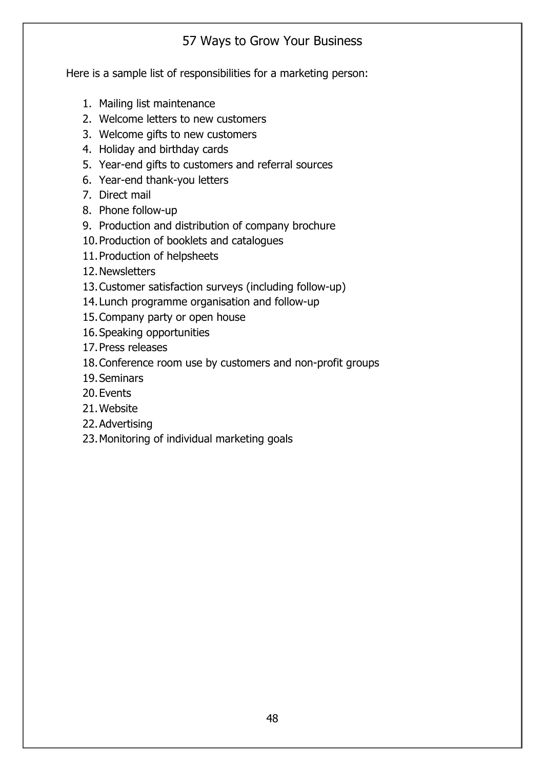Here is a sample list of responsibilities for a marketing person:

- 1. Mailing list maintenance
- 2. Welcome letters to new customers
- 3. Welcome gifts to new customers
- 4. Holiday and birthday cards
- 5. Year-end gifts to customers and referral sources
- 6. Year-end thank-you letters
- 7. Direct mail
- 8. Phone follow-up
- 9. Production and distribution of company brochure
- 10.Production of booklets and catalogues
- 11.Production of helpsheets
- 12.Newsletters
- 13.Customer satisfaction surveys (including follow-up)
- 14.Lunch programme organisation and follow-up
- 15.Company party or open house
- 16.Speaking opportunities
- 17.Press releases
- 18.Conference room use by customers and non-profit groups
- 19.Seminars
- 20.Events
- 21.Website
- 22.Advertising
- 23.Monitoring of individual marketing goals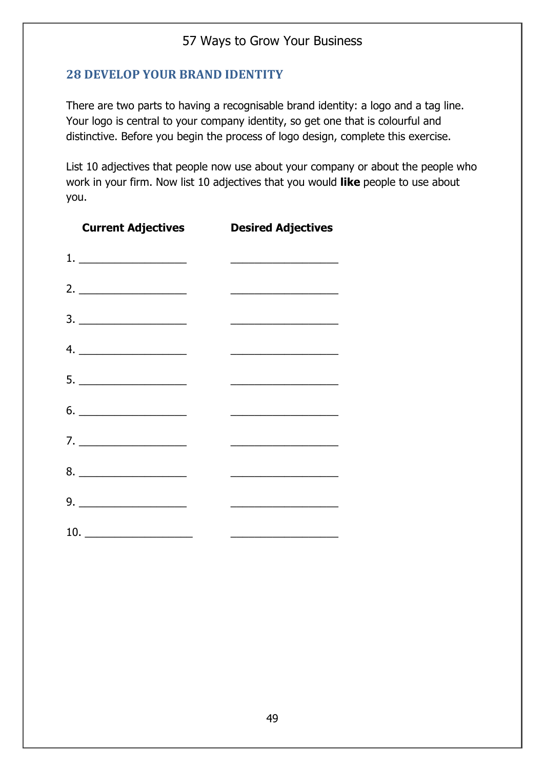#### **28 DEVELOP YOUR BRAND IDENTITY**

There are two parts to having a recognisable brand identity: a logo and a tag line. Your logo is central to your company identity, so get one that is colourful and distinctive. Before you begin the process of logo design, complete this exercise.

List 10 adjectives that people now use about your company or about the people who work in your firm. Now list 10 adjectives that you would **like** people to use about you.

| <b>Current Adjectives</b>                                                               | <b>Desired Adjectives</b>                                                                                               |
|-----------------------------------------------------------------------------------------|-------------------------------------------------------------------------------------------------------------------------|
|                                                                                         |                                                                                                                         |
|                                                                                         | <u> 1989 - Johann Stoff, deutscher Stoffen und der Stoffen und der Stoffen und der Stoffen und der Stoffen und der </u> |
| $\begin{array}{c}\n3. \quad \textcolor{blue}{\overbrace{\qquad \qquad \qquad \qquad }}$ |                                                                                                                         |
| 4.                                                                                      | <u> 1950 - Johann John Stone, mars et al. (</u>                                                                         |
| $5. \underline{\hspace{2cm}}$                                                           |                                                                                                                         |
| $6. \underline{\hspace{1.5cm}}$                                                         | <u> 1989 - Johann John Stone, mars eta bat eta bat eta bat eta bat eta bat eta bat eta bat eta bat eta bat eta b</u>    |
| 7.                                                                                      | <u> 2008 - Johann Stoff, deutscher Stoffen und der Stoffen und der Stoffen und der Stoffen und der Stoffen und der</u>  |
|                                                                                         |                                                                                                                         |
| $9. \underline{\hspace{2cm}}$                                                           | <u> 1989 - Johann Barbara, martxa alemani</u> ar                                                                        |
| 10. $\qquad \qquad$                                                                     | <u> 1989 - Johann John Stein, mars ar breist ar breist ar breist ar breist ar breist ar breist ar breist ar breis</u>   |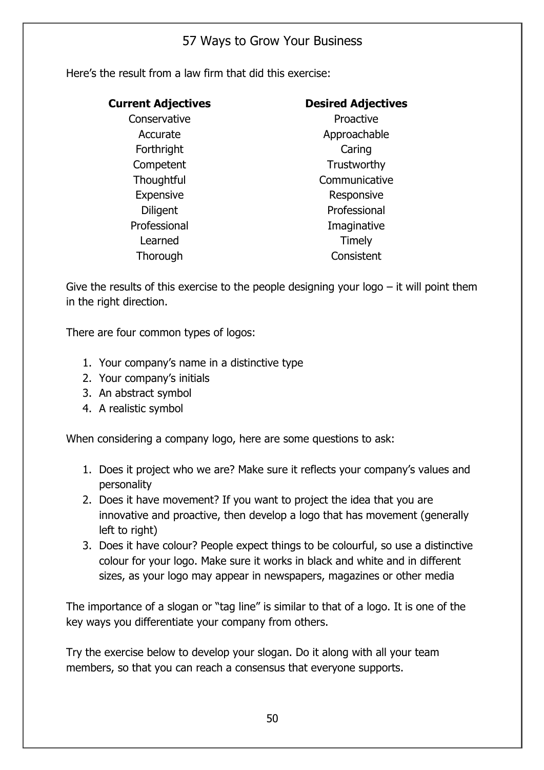Here's the result from a law firm that did this exercise:

| <b>Current Adjectives</b> | <b>Desired Adjectives</b> |  |  |
|---------------------------|---------------------------|--|--|
| Conservative              | Proactive                 |  |  |
| Accurate                  | Approachable              |  |  |
| Forthright                | Caring                    |  |  |
| Competent                 | Trustworthy               |  |  |
| Thoughtful                | Communicative             |  |  |
| <b>Expensive</b>          | Responsive                |  |  |
| <b>Diligent</b>           | Professional              |  |  |
| Professional              | Imaginative               |  |  |
| Learned                   | Timely                    |  |  |
| Thorough                  | Consistent                |  |  |

Give the results of this exercise to the people designing your logo  $-$  it will point them in the right direction.

There are four common types of logos:

- 1. Your company's name in a distinctive type
- 2. Your company's initials
- 3. An abstract symbol
- 4. A realistic symbol

When considering a company logo, here are some questions to ask:

- 1. Does it project who we are? Make sure it reflects your company's values and personality
- 2. Does it have movement? If you want to project the idea that you are innovative and proactive, then develop a logo that has movement (generally left to right)
- 3. Does it have colour? People expect things to be colourful, so use a distinctive colour for your logo. Make sure it works in black and white and in different sizes, as your logo may appear in newspapers, magazines or other media

The importance of a slogan or "tag line" is similar to that of a logo. It is one of the key ways you differentiate your company from others.

Try the exercise below to develop your slogan. Do it along with all your team members, so that you can reach a consensus that everyone supports.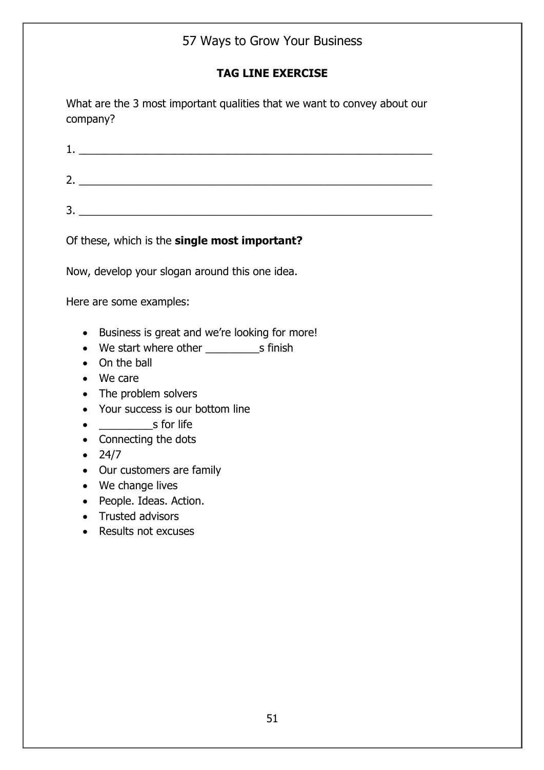### **TAG LINE EXERCISE**

What are the 3 most important qualities that we want to convey about our company?

1. \_\_\_\_\_\_\_\_\_\_\_\_\_\_\_\_\_\_\_\_\_\_\_\_\_\_\_\_\_\_\_\_\_\_\_\_\_\_\_\_\_\_\_\_\_\_\_\_\_\_\_\_\_\_\_\_\_\_\_  $2.$ 

 $3.$ 

Of these, which is the **single most important?**

Now, develop your slogan around this one idea.

Here are some examples:

- Business is great and we're looking for more!
- We start where other The Summish
- On the ball
- We care
- The problem solvers
- Your success is our bottom line
- e s for life
- Connecting the dots
- 24/7
- Our customers are family
- We change lives
- People. Ideas. Action.
- Trusted advisors
- Results not excuses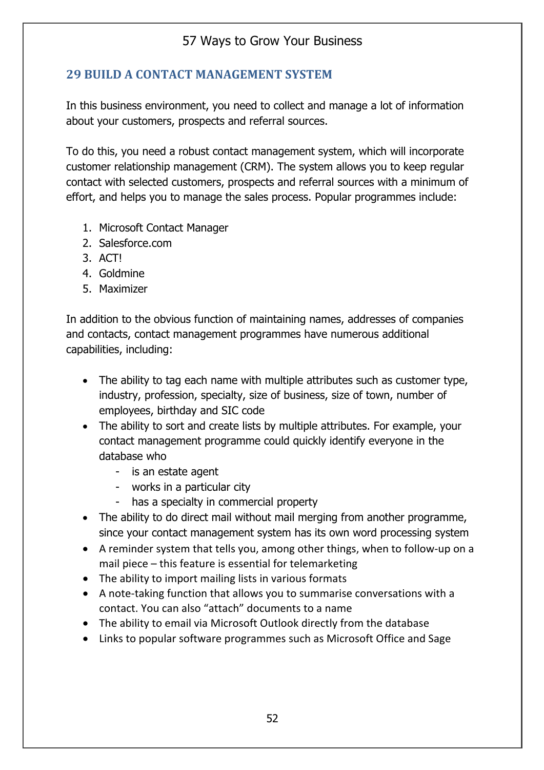### **29 BUILD A CONTACT MANAGEMENT SYSTEM**

In this business environment, you need to collect and manage a lot of information about your customers, prospects and referral sources.

To do this, you need a robust contact management system, which will incorporate customer relationship management (CRM). The system allows you to keep regular contact with selected customers, prospects and referral sources with a minimum of effort, and helps you to manage the sales process. Popular programmes include:

- 1. Microsoft Contact Manager
- 2. Salesforce.com
- 3. ACT!
- 4. Goldmine
- 5. Maximizer

In addition to the obvious function of maintaining names, addresses of companies and contacts, contact management programmes have numerous additional capabilities, including:

- The ability to tag each name with multiple attributes such as customer type, industry, profession, specialty, size of business, size of town, number of employees, birthday and SIC code
- The ability to sort and create lists by multiple attributes. For example, your contact management programme could quickly identify everyone in the database who
	- is an estate agent
	- works in a particular city
	- has a specialty in commercial property
- The ability to do direct mail without mail merging from another programme, since your contact management system has its own word processing system
- A reminder system that tells you, among other things, when to follow-up on a mail piece – this feature is essential for telemarketing
- The ability to import mailing lists in various formats
- A note-taking function that allows you to summarise conversations with a contact. You can also "attach" documents to a name
- The ability to email via Microsoft Outlook directly from the database
- Links to popular software programmes such as Microsoft Office and Sage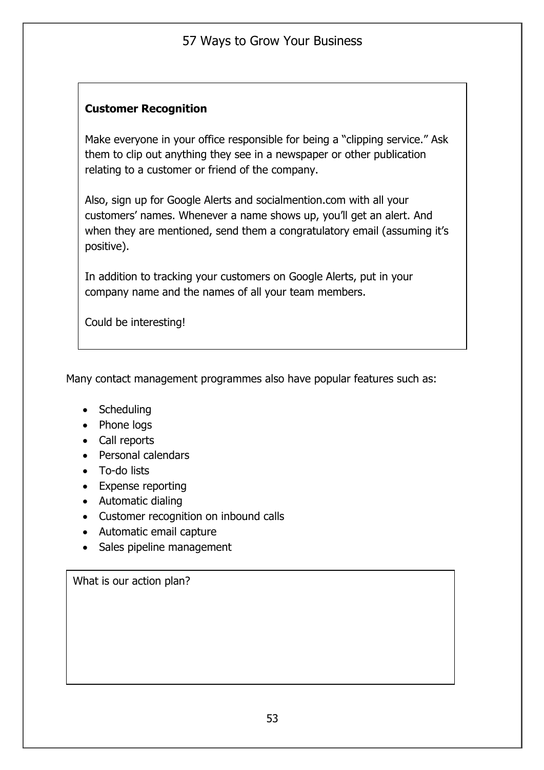### **Customer Recognition**

Make everyone in your office responsible for being a "clipping service." Ask them to clip out anything they see in a newspaper or other publication relating to a customer or friend of the company.

Also, sign up for Google Alerts and socialmention.com with all your customers' names. Whenever a name shows up, you'll get an alert. And when they are mentioned, send them a congratulatory email (assuming it's positive).

In addition to tracking your customers on Google Alerts, put in your company name and the names of all your team members.

Could be interesting!

Many contact management programmes also have popular features such as:

- Scheduling
- Phone logs
- Call reports
- Personal calendars
- To-do lists
- Expense reporting
- Automatic dialing
- Customer recognition on inbound calls
- Automatic email capture
- Sales pipeline management

What is our action plan?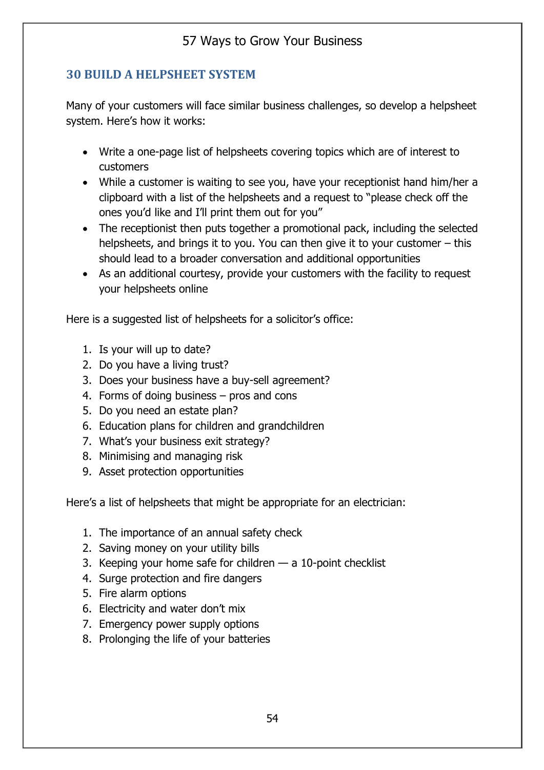### **30 BUILD A HELPSHEET SYSTEM**

Many of your customers will face similar business challenges, so develop a helpsheet system. Here's how it works:

- Write a one-page list of helpsheets covering topics which are of interest to customers
- While a customer is waiting to see you, have your receptionist hand him/her a clipboard with a list of the helpsheets and a request to "please check off the ones you'd like and I'll print them out for you"
- The receptionist then puts together a promotional pack, including the selected helpsheets, and brings it to you. You can then give it to your customer – this should lead to a broader conversation and additional opportunities
- As an additional courtesy, provide your customers with the facility to request your helpsheets online

Here is a suggested list of helpsheets for a solicitor's office:

- 1. Is your will up to date?
- 2. Do you have a living trust?
- 3. Does your business have a buy-sell agreement?
- 4. Forms of doing business pros and cons
- 5. Do you need an estate plan?
- 6. Education plans for children and grandchildren
- 7. What's your business exit strategy?
- 8. Minimising and managing risk
- 9. Asset protection opportunities

Here's a list of helpsheets that might be appropriate for an electrician:

- 1. The importance of an annual safety check
- 2. Saving money on your utility bills
- 3. Keeping your home safe for children a 10-point checklist
- 4. Surge protection and fire dangers
- 5. Fire alarm options
- 6. Electricity and water don't mix
- 7. Emergency power supply options
- 8. Prolonging the life of your batteries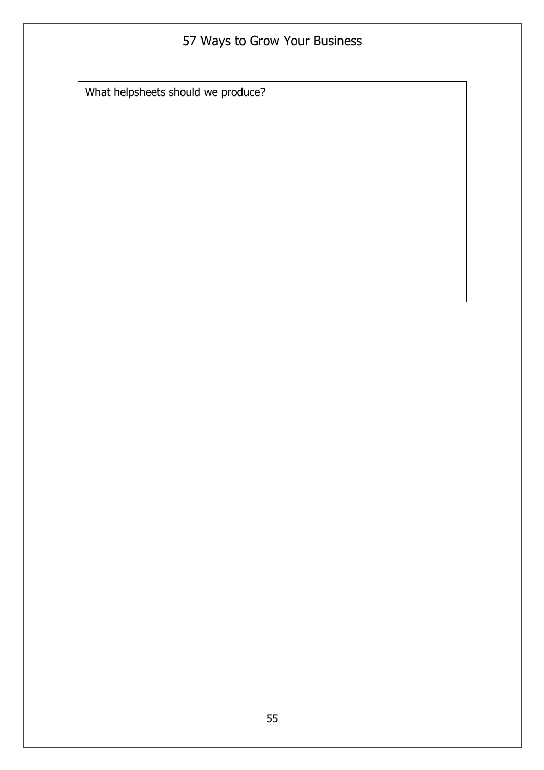What helpsheets should we produce?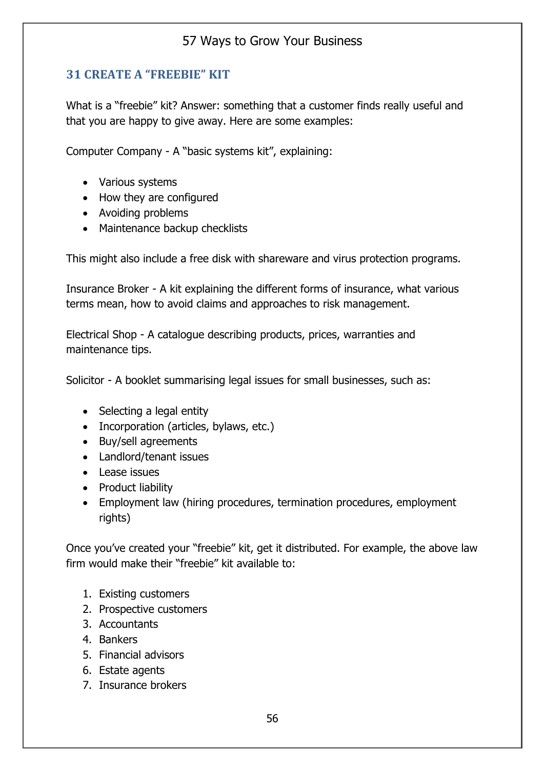### **31 CREATE A "FREEBIE" KIT**

What is a "freebie" kit? Answer: something that a customer finds really useful and that you are happy to give away. Here are some examples:

Computer Company - A "basic systems kit", explaining:

- Various systems
- How they are configured
- Avoiding problems
- Maintenance backup checklists

This might also include a free disk with shareware and virus protection programs.

Insurance Broker - A kit explaining the different forms of insurance, what various terms mean, how to avoid claims and approaches to risk management.

Electrical Shop - A catalogue describing products, prices, warranties and maintenance tips.

Solicitor - A booklet summarising legal issues for small businesses, such as:

- Selecting a legal entity
- Incorporation (articles, bylaws, etc.)
- Buy/sell agreements
- Landlord/tenant issues
- Lease issues
- Product liability
- Employment law (hiring procedures, termination procedures, employment rights)

Once you've created your "freebie" kit, get it distributed. For example, the above law firm would make their "freebie" kit available to:

- 1. Existing customers
- 2. Prospective customers
- 3. Accountants
- 4. Bankers
- 5. Financial advisors
- 6. Estate agents
- 7. Insurance brokers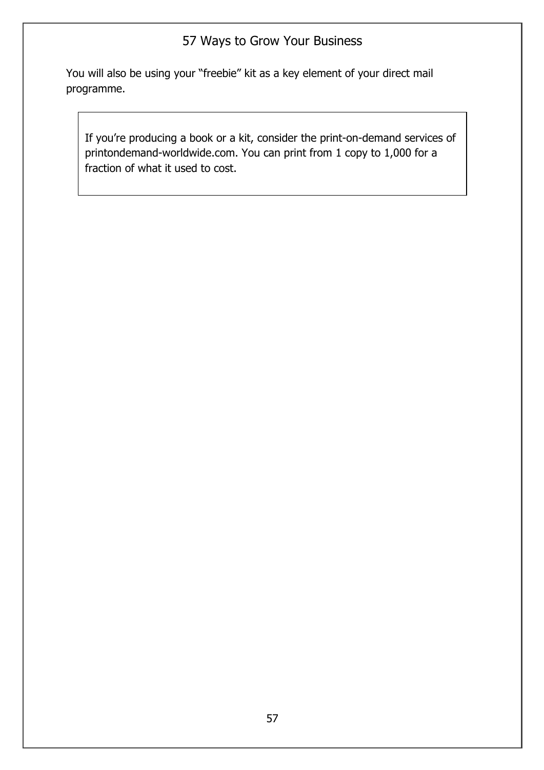You will also be using your "freebie" kit as a key element of your direct mail programme.

If you're producing a book or a kit, consider the print-on-demand services of printondemand-worldwide.com. You can print from 1 copy to 1,000 for a fraction of what it used to cost.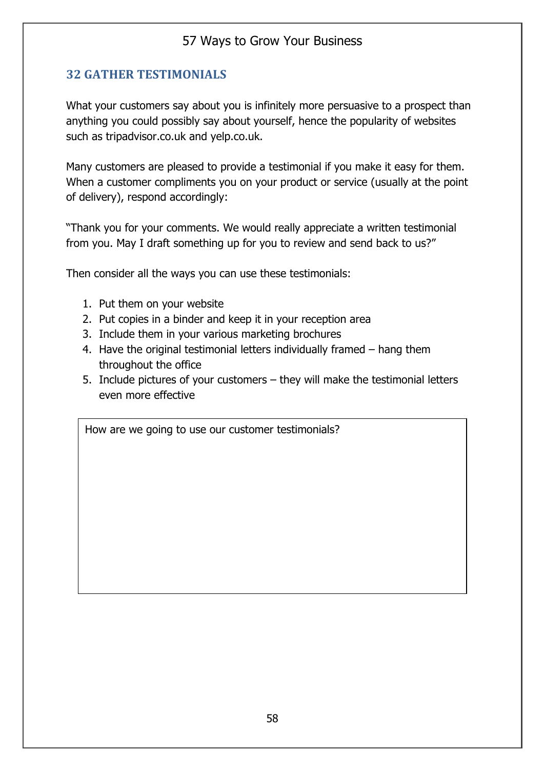### **32 GATHER TESTIMONIALS**

What your customers say about you is infinitely more persuasive to a prospect than anything you could possibly say about yourself, hence the popularity of websites such as tripadvisor.co.uk and yelp.co.uk.

Many customers are pleased to provide a testimonial if you make it easy for them. When a customer compliments you on your product or service (usually at the point of delivery), respond accordingly:

"Thank you for your comments. We would really appreciate a written testimonial from you. May I draft something up for you to review and send back to us?"

Then consider all the ways you can use these testimonials:

- 1. Put them on your website
- 2. Put copies in a binder and keep it in your reception area
- 3. Include them in your various marketing brochures
- 4. Have the original testimonial letters individually framed hang them throughout the office
- 5. Include pictures of your customers they will make the testimonial letters even more effective

How are we going to use our customer testimonials?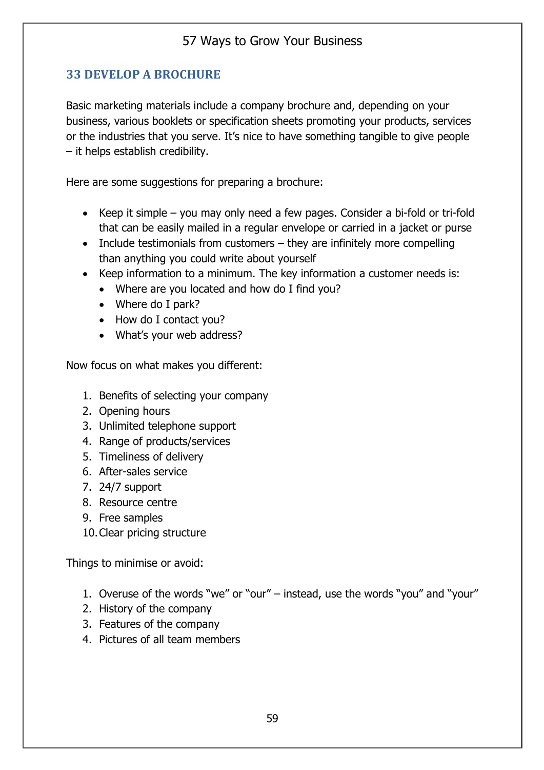## **33 DEVELOP A BROCHURE**

Basic marketing materials include a company brochure and, depending on your business, various booklets or specification sheets promoting your products, services or the industries that you serve. It's nice to have something tangible to give people – it helps establish credibility.

Here are some suggestions for preparing a brochure:

- Keep it simple you may only need a few pages. Consider a bi-fold or tri-fold that can be easily mailed in a regular envelope or carried in a jacket or purse
- Include testimonials from customers they are infinitely more compelling than anything you could write about yourself
- Keep information to a minimum. The key information a customer needs is:
	- Where are you located and how do I find you?
	- Where do I park?
	- How do I contact you?
	- What's your web address?

Now focus on what makes you different:

- 1. Benefits of selecting your company
- 2. Opening hours
- 3. Unlimited telephone support
- 4. Range of products/services
- 5. Timeliness of delivery
- 6. After-sales service
- 7. 24/7 support
- 8. Resource centre
- 9. Free samples
- 10.Clear pricing structure

Things to minimise or avoid:

- 1. Overuse of the words "we" or "our" instead, use the words "you" and "your"
- 2. History of the company
- 3. Features of the company
- 4. Pictures of all team members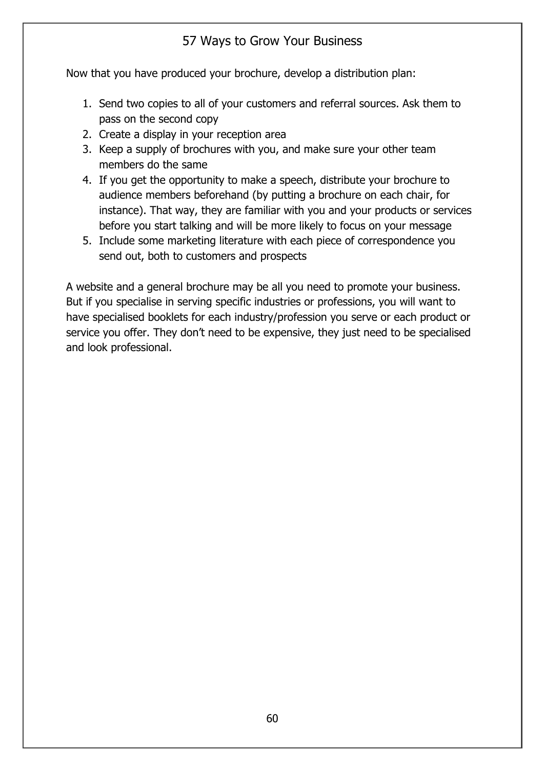Now that you have produced your brochure, develop a distribution plan:

- 1. Send two copies to all of your customers and referral sources. Ask them to pass on the second copy
- 2. Create a display in your reception area
- 3. Keep a supply of brochures with you, and make sure your other team members do the same
- 4. If you get the opportunity to make a speech, distribute your brochure to audience members beforehand (by putting a brochure on each chair, for instance). That way, they are familiar with you and your products or services before you start talking and will be more likely to focus on your message
- 5. Include some marketing literature with each piece of correspondence you send out, both to customers and prospects

A website and a general brochure may be all you need to promote your business. But if you specialise in serving specific industries or professions, you will want to have specialised booklets for each industry/profession you serve or each product or service you offer. They don't need to be expensive, they just need to be specialised and look professional.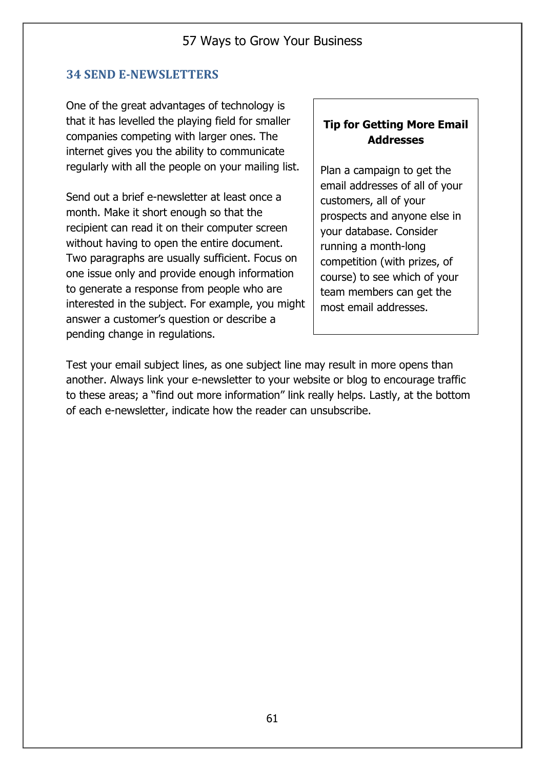#### **34 SEND E-NEWSLETTERS**

One of the great advantages of technology is that it has levelled the playing field for smaller companies competing with larger ones. The internet gives you the ability to communicate regularly with all the people on your mailing list.

Send out a brief e-newsletter at least once a month. Make it short enough so that the recipient can read it on their computer screen without having to open the entire document. Two paragraphs are usually sufficient. Focus on one issue only and provide enough information to generate a response from people who are interested in the subject. For example, you might answer a customer's question or describe a pending change in regulations.

#### **Tip for Getting More Email Addresses**

Plan a campaign to get the email addresses of all of your customers, all of your prospects and anyone else in your database. Consider running a month-long competition (with prizes, of course) to see which of your team members can get the most email addresses.

Test your email subject lines, as one subject line may result in more opens than another. Always link your e-newsletter to your website or blog to encourage traffic to these areas; a "find out more information" link really helps. Lastly, at the bottom of each e-newsletter, indicate how the reader can unsubscribe.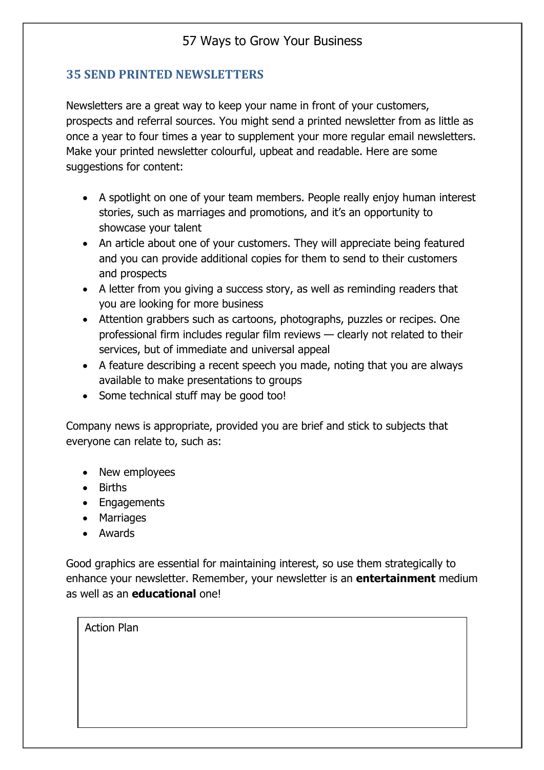#### **35 SEND PRINTED NEWSLETTERS**

Newsletters are a great way to keep your name in front of your customers, prospects and referral sources. You might send a printed newsletter from as little as once a year to four times a year to supplement your more regular email newsletters. Make your printed newsletter colourful, upbeat and readable. Here are some suggestions for content:

- A spotlight on one of your team members. People really enjoy human interest stories, such as marriages and promotions, and it's an opportunity to showcase your talent
- An article about one of your customers. They will appreciate being featured and you can provide additional copies for them to send to their customers and prospects
- A letter from you giving a success story, as well as reminding readers that you are looking for more business
- Attention grabbers such as cartoons, photographs, puzzles or recipes. One professional firm includes regular film reviews — clearly not related to their services, but of immediate and universal appeal
- A feature describing a recent speech you made, noting that you are always available to make presentations to groups
- Some technical stuff may be good too!

Company news is appropriate, provided you are brief and stick to subjects that everyone can relate to, such as:

- New employees
- Births
- Engagements
- Marriages
- Awards

Good graphics are essential for maintaining interest, so use them strategically to enhance your newsletter. Remember, your newsletter is an **entertainment** medium as well as an **educational** one!

| <b>Action Plan</b> |  |  |
|--------------------|--|--|
|                    |  |  |
|                    |  |  |
|                    |  |  |
|                    |  |  |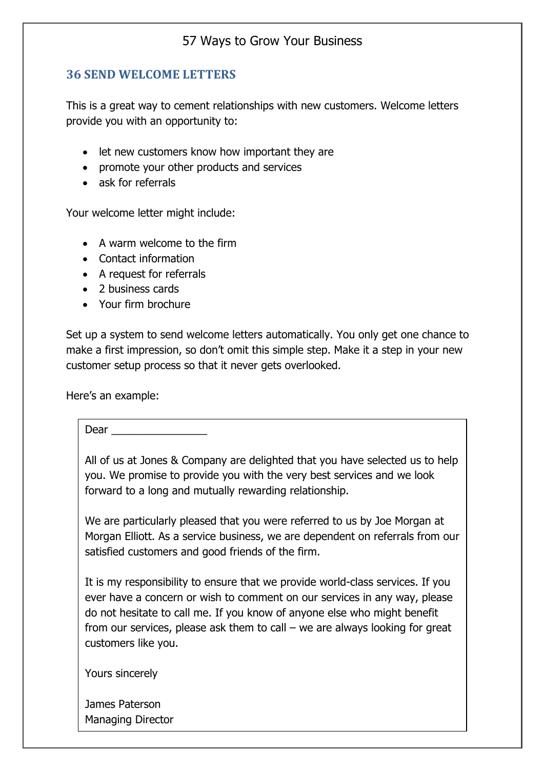#### **36 SEND WELCOME LETTERS**

This is a great way to cement relationships with new customers. Welcome letters provide you with an opportunity to:

- let new customers know how important they are
- promote your other products and services
- ask for referrals

Your welcome letter might include:

- A warm welcome to the firm
- Contact information
- A request for referrals
- 2 business cards
- Your firm brochure

Set up a system to send welcome letters automatically. You only get one chance to make a first impression, so don't omit this simple step. Make it a step in your new customer setup process so that it never gets overlooked.

Here's an example:

Dear  $\Box$ 

All of us at Jones & Company are delighted that you have selected us to help you. We promise to provide you with the very best services and we look forward to a long and mutually rewarding relationship.

We are particularly pleased that you were referred to us by Joe Morgan at Morgan Elliott. As a service business, we are dependent on referrals from our satisfied customers and good friends of the firm.

It is my responsibility to ensure that we provide world-class services. If you ever have a concern or wish to comment on our services in any way, please do not hesitate to call me. If you know of anyone else who might benefit from our services, please ask them to call – we are always looking for great customers like you.

Yours sincerely

James Paterson Managing Director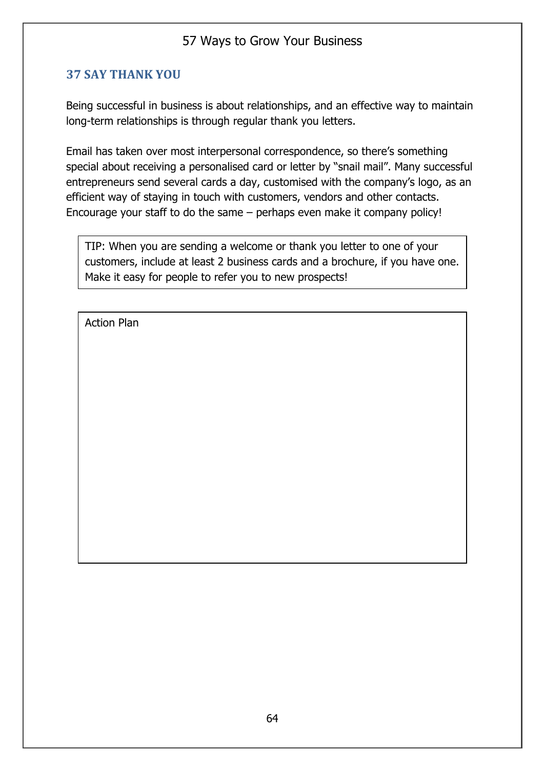### **37 SAY THANK YOU**

Being successful in business is about relationships, and an effective way to maintain long-term relationships is through regular thank you letters.

Email has taken over most interpersonal correspondence, so there's something special about receiving a personalised card or letter by "snail mail". Many successful entrepreneurs send several cards a day, customised with the company's logo, as an efficient way of staying in touch with customers, vendors and other contacts. Encourage your staff to do the same – perhaps even make it company policy!

TIP: When you are sending a welcome or thank you letter to one of your customers, include at least 2 business cards and a brochure, if you have one. Make it easy for people to refer you to new prospects!

Action Plan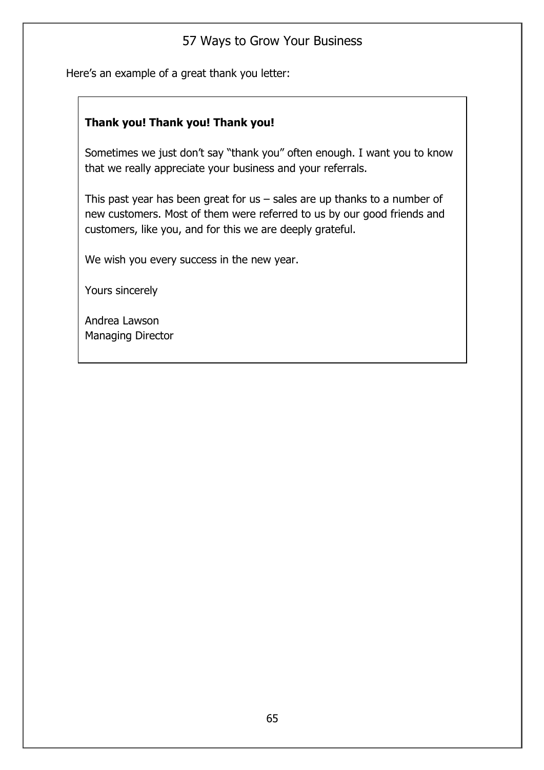Here's an example of a great thank you letter:

### **Thank you! Thank you! Thank you!**

Sometimes we just don't say "thank you" often enough. I want you to know that we really appreciate your business and your referrals.

This past year has been great for us  $-$  sales are up thanks to a number of new customers. Most of them were referred to us by our good friends and customers, like you, and for this we are deeply grateful.

We wish you every success in the new year.

Yours sincerely

Andrea Lawson Managing Director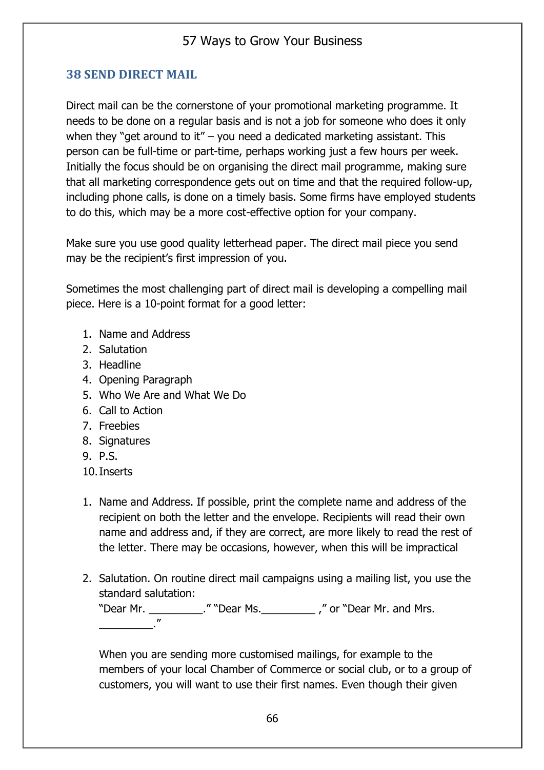### **38 SEND DIRECT MAIL**

Direct mail can be the cornerstone of your promotional marketing programme. It needs to be done on a regular basis and is not a job for someone who does it only when they "get around to it" – you need a dedicated marketing assistant. This person can be full-time or part-time, perhaps working just a few hours per week. Initially the focus should be on organising the direct mail programme, making sure that all marketing correspondence gets out on time and that the required follow-up, including phone calls, is done on a timely basis. Some firms have employed students to do this, which may be a more cost-effective option for your company.

Make sure you use good quality letterhead paper. The direct mail piece you send may be the recipient's first impression of you.

Sometimes the most challenging part of direct mail is developing a compelling mail piece. Here is a 10-point format for a good letter:

- 1. Name and Address
- 2. Salutation
- 3. Headline
- 4. Opening Paragraph
- 5. Who We Are and What We Do
- 6. Call to Action
- 7. Freebies
- 8. Signatures
- 9. P.S.
- 10.Inserts
- 1. Name and Address. If possible, print the complete name and address of the recipient on both the letter and the envelope. Recipients will read their own name and address and, if they are correct, are more likely to read the rest of the letter. There may be occasions, however, when this will be impractical
- 2. Salutation. On routine direct mail campaigns using a mailing list, you use the standard salutation:

"Dear Mr. \_\_\_\_\_\_\_\_\_\_\_." "Dear Ms. \_\_\_\_\_\_\_\_\_\_\_\_\_\_," or "Dear Mr. and Mrs. \_\_\_\_\_\_\_\_\_."

When you are sending more customised mailings, for example to the members of your local Chamber of Commerce or social club, or to a group of customers, you will want to use their first names. Even though their given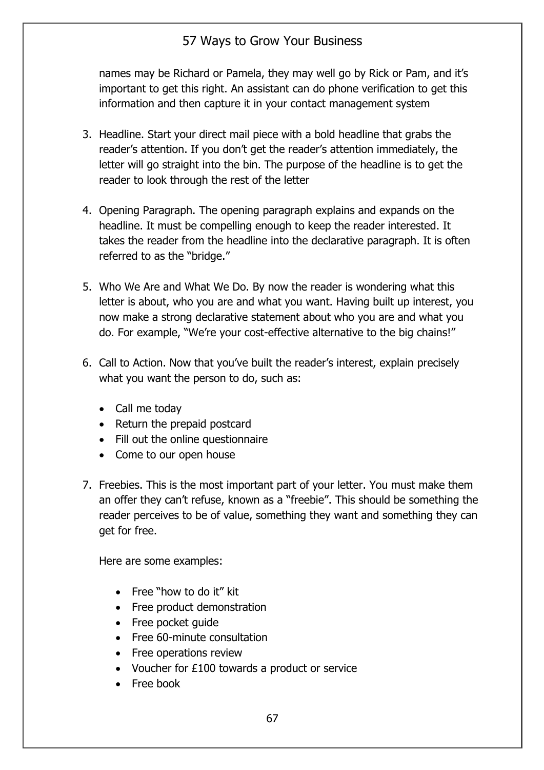names may be Richard or Pamela, they may well go by Rick or Pam, and it's important to get this right. An assistant can do phone verification to get this information and then capture it in your contact management system

- 3. Headline. Start your direct mail piece with a bold headline that grabs the reader's attention. If you don't get the reader's attention immediately, the letter will go straight into the bin. The purpose of the headline is to get the reader to look through the rest of the letter
- 4. Opening Paragraph. The opening paragraph explains and expands on the headline. It must be compelling enough to keep the reader interested. It takes the reader from the headline into the declarative paragraph. It is often referred to as the "bridge."
- 5. Who We Are and What We Do. By now the reader is wondering what this letter is about, who you are and what you want. Having built up interest, you now make a strong declarative statement about who you are and what you do. For example, "We're your cost-effective alternative to the big chains!"
- 6. Call to Action. Now that you've built the reader's interest, explain precisely what you want the person to do, such as:
	- Call me today
	- Return the prepaid postcard
	- Fill out the online questionnaire
	- Come to our open house
- 7. Freebies. This is the most important part of your letter. You must make them an offer they can't refuse, known as a "freebie". This should be something the reader perceives to be of value, something they want and something they can get for free.

Here are some examples:

- Free "how to do it" kit
- Free product demonstration
- Free pocket quide
- Free 60-minute consultation
- Free operations review
- Voucher for £100 towards a product or service
- Free book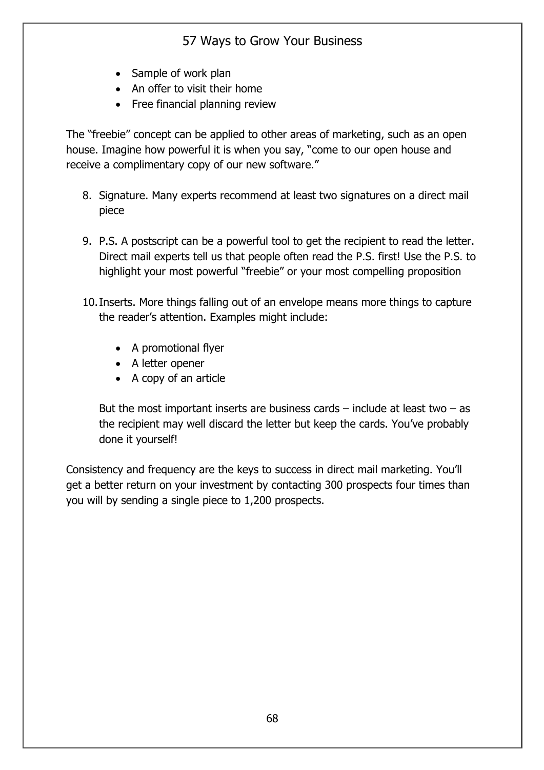- Sample of work plan
- An offer to visit their home
- Free financial planning review

The "freebie" concept can be applied to other areas of marketing, such as an open house. Imagine how powerful it is when you say, "come to our open house and receive a complimentary copy of our new software."

- 8. Signature. Many experts recommend at least two signatures on a direct mail piece
- 9. P.S. A postscript can be a powerful tool to get the recipient to read the letter. Direct mail experts tell us that people often read the P.S. first! Use the P.S. to highlight your most powerful "freebie" or your most compelling proposition
- 10.Inserts. More things falling out of an envelope means more things to capture the reader's attention. Examples might include:
	- A promotional flyer
	- A letter opener
	- A copy of an article

But the most important inserts are business cards  $-$  include at least two  $-$  as the recipient may well discard the letter but keep the cards. You've probably done it yourself!

Consistency and frequency are the keys to success in direct mail marketing. You'll get a better return on your investment by contacting 300 prospects four times than you will by sending a single piece to 1,200 prospects.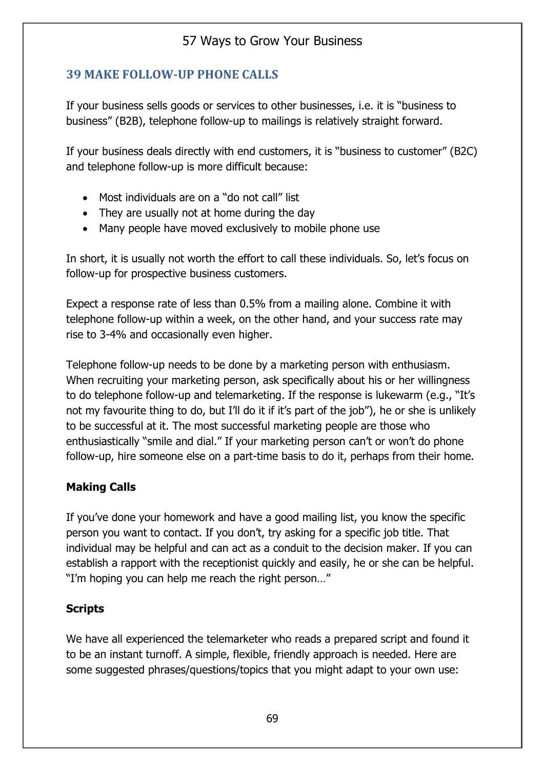### **39 MAKE FOLLOW-UP PHONE CALLS**

If your business sells goods or services to other businesses, i.e. it is "business to business" (B2B), telephone follow-up to mailings is relatively straight forward.

If your business deals directly with end customers, it is "business to customer" (B2C) and telephone follow-up is more difficult because:

- Most individuals are on a "do not call" list
- They are usually not at home during the day
- Many people have moved exclusively to mobile phone use

In short, it is usually not worth the effort to call these individuals. So, let's focus on follow-up for prospective business customers.

Expect a response rate of less than 0.5% from a mailing alone. Combine it with telephone follow-up within a week, on the other hand, and your success rate may rise to 3-4% and occasionally even higher.

Telephone follow-up needs to be done by a marketing person with enthusiasm. When recruiting your marketing person, ask specifically about his or her willingness to do telephone follow-up and telemarketing. If the response is lukewarm (e.g., "It's not my favourite thing to do, but I'll do it if it's part of the job"), he or she is unlikely to be successful at it. The most successful marketing people are those who enthusiastically "smile and dial." If your marketing person can't or won't do phone follow-up, hire someone else on a part-time basis to do it, perhaps from their home.

#### **Making Calls**

If you've done your homework and have a good mailing list, you know the specific person you want to contact. If you don't, try asking for a specific job title. That individual may be helpful and can act as a conduit to the decision maker. If you can establish a rapport with the receptionist quickly and easily, he or she can be helpful. "I'm hoping you can help me reach the right person…"

#### **Scripts**

We have all experienced the telemarketer who reads a prepared script and found it to be an instant turnoff. A simple, flexible, friendly approach is needed. Here are some suggested phrases/questions/topics that you might adapt to your own use: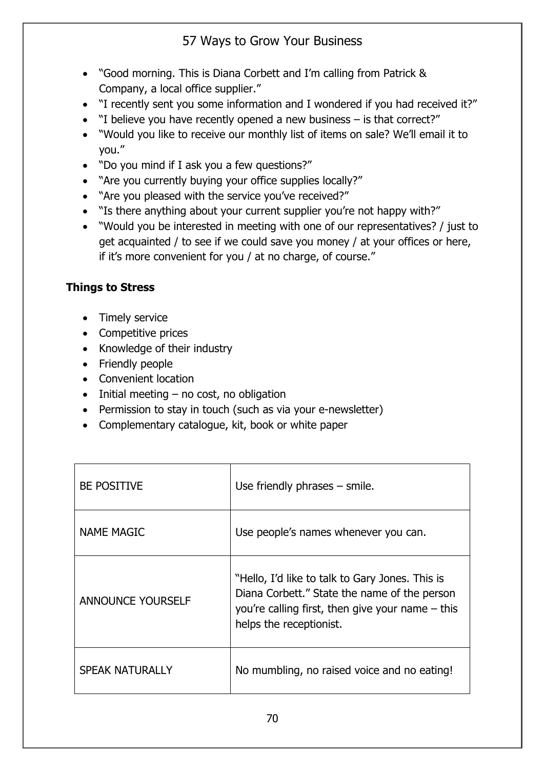- "Good morning. This is Diana Corbett and I'm calling from Patrick & Company, a local office supplier."
- "I recently sent you some information and I wondered if you had received it?"
- "I believe you have recently opened a new business is that correct?"
- "Would you like to receive our monthly list of items on sale? We'll email it to you."
- "Do you mind if I ask you a few questions?"
- "Are you currently buying your office supplies locally?"
- "Are you pleased with the service you've received?"
- "Is there anything about your current supplier you're not happy with?"
- "Would you be interested in meeting with one of our representatives? / just to get acquainted / to see if we could save you money / at your offices or here, if it's more convenient for you / at no charge, of course."

### **Things to Stress**

- Timely service
- Competitive prices
- Knowledge of their industry
- Friendly people
- Convenient location
- $\bullet$  Initial meeting no cost, no obligation
- Permission to stay in touch (such as via your e-newsletter)
- Complementary catalogue, kit, book or white paper

| <b>BE POSITIVE</b>       | Use friendly phrases $-$ smile.                                                                                                                                                  |
|--------------------------|----------------------------------------------------------------------------------------------------------------------------------------------------------------------------------|
| <b>NAME MAGIC</b>        | Use people's names whenever you can.                                                                                                                                             |
| <b>ANNOUNCE YOURSELF</b> | "Hello, I'd like to talk to Gary Jones. This is<br>Diana Corbett." State the name of the person<br>you're calling first, then give your name $-$ this<br>helps the receptionist. |
| <b>SPEAK NATURALLY</b>   | No mumbling, no raised voice and no eating!                                                                                                                                      |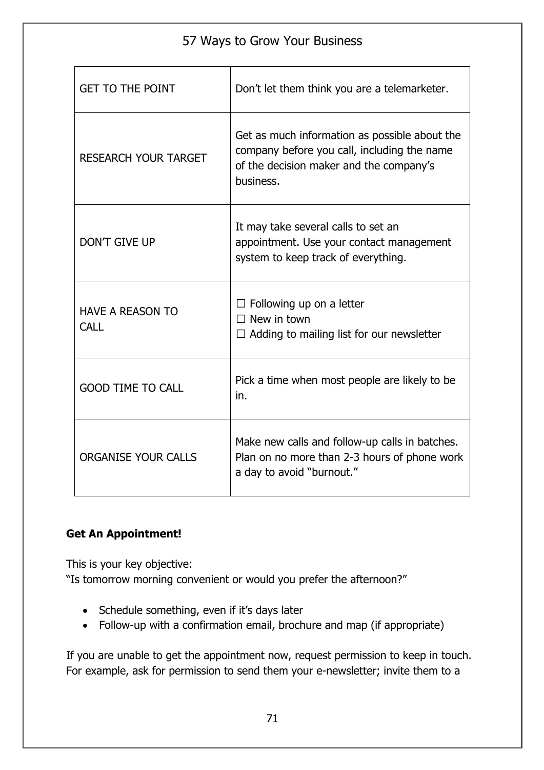| <b>GET TO THE POINT</b>                | Don't let them think you are a telemarketer.                                                                                                         |  |  |
|----------------------------------------|------------------------------------------------------------------------------------------------------------------------------------------------------|--|--|
| <b>RESEARCH YOUR TARGET</b>            | Get as much information as possible about the<br>company before you call, including the name<br>of the decision maker and the company's<br>business. |  |  |
| <b>DON'T GIVE UP</b>                   | It may take several calls to set an<br>appointment. Use your contact management<br>system to keep track of everything.                               |  |  |
| <b>HAVE A REASON TO</b><br><b>CALL</b> | $\Box$ Following up on a letter<br>$\Box$ New in town<br>$\Box$ Adding to mailing list for our newsletter                                            |  |  |
| <b>GOOD TIME TO CALL</b>               | Pick a time when most people are likely to be<br>in.                                                                                                 |  |  |
| <b>ORGANISE YOUR CALLS</b>             | Make new calls and follow-up calls in batches.<br>Plan on no more than 2-3 hours of phone work<br>a day to avoid "burnout."                          |  |  |

#### **Get An Appointment!**

This is your key objective:

"Is tomorrow morning convenient or would you prefer the afternoon?"

- Schedule something, even if it's days later
- Follow-up with a confirmation email, brochure and map (if appropriate)

If you are unable to get the appointment now, request permission to keep in touch. For example, ask for permission to send them your e-newsletter; invite them to a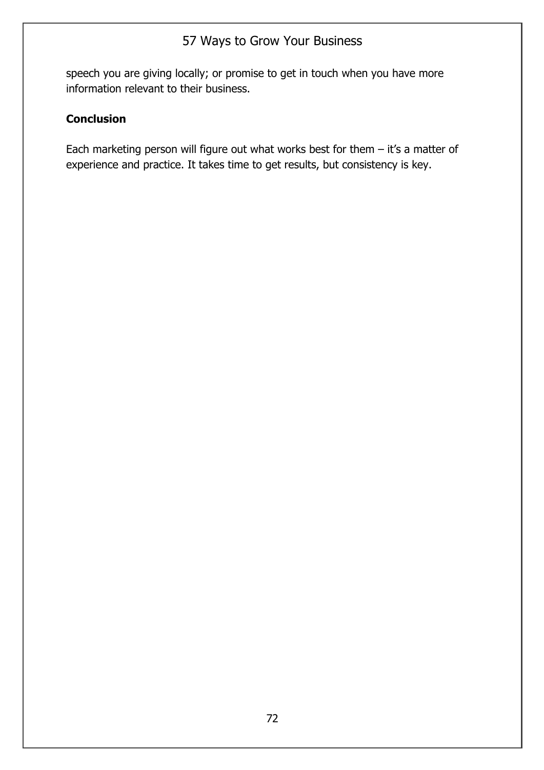speech you are giving locally; or promise to get in touch when you have more information relevant to their business.

#### **Conclusion**

Each marketing person will figure out what works best for them  $-$  it's a matter of experience and practice. It takes time to get results, but consistency is key.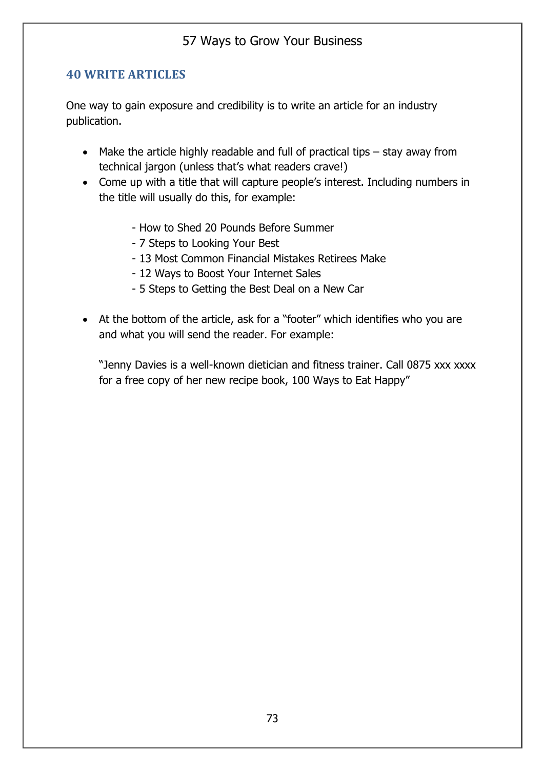### **40 WRITE ARTICLES**

One way to gain exposure and credibility is to write an article for an industry publication.

- Make the article highly readable and full of practical tips stay away from technical jargon (unless that's what readers crave!)
- Come up with a title that will capture people's interest. Including numbers in the title will usually do this, for example:
	- How to Shed 20 Pounds Before Summer
	- 7 Steps to Looking Your Best
	- 13 Most Common Financial Mistakes Retirees Make
	- 12 Ways to Boost Your Internet Sales
	- 5 Steps to Getting the Best Deal on a New Car
- At the bottom of the article, ask for a "footer" which identifies who you are and what you will send the reader. For example:

"Jenny Davies is a well-known dietician and fitness trainer. Call 0875 xxx xxxx for a free copy of her new recipe book, 100 Ways to Eat Happy"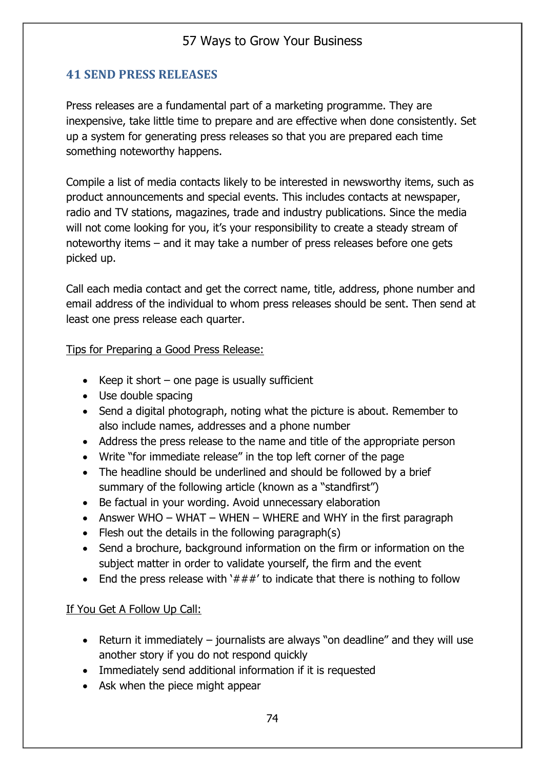### **41 SEND PRESS RELEASES**

Press releases are a fundamental part of a marketing programme. They are inexpensive, take little time to prepare and are effective when done consistently. Set up a system for generating press releases so that you are prepared each time something noteworthy happens.

Compile a list of media contacts likely to be interested in newsworthy items, such as product announcements and special events. This includes contacts at newspaper, radio and TV stations, magazines, trade and industry publications. Since the media will not come looking for you, it's your responsibility to create a steady stream of noteworthy items – and it may take a number of press releases before one gets picked up.

Call each media contact and get the correct name, title, address, phone number and email address of the individual to whom press releases should be sent. Then send at least one press release each quarter.

Tips for Preparing a Good Press Release:

- Keep it short one page is usually sufficient
- Use double spacing
- Send a digital photograph, noting what the picture is about. Remember to also include names, addresses and a phone number
- Address the press release to the name and title of the appropriate person
- Write "for immediate release" in the top left corner of the page
- The headline should be underlined and should be followed by a brief summary of the following article (known as a "standfirst")
- Be factual in your wording. Avoid unnecessary elaboration
- Answer WHO WHAT WHEN WHERE and WHY in the first paragraph
- Flesh out the details in the following paragraph(s)
- Send a brochure, background information on the firm or information on the subject matter in order to validate yourself, the firm and the event
- End the press release with ' $###'$  to indicate that there is nothing to follow

#### If You Get A Follow Up Call:

- Return it immediately journalists are always "on deadline" and they will use another story if you do not respond quickly
- Immediately send additional information if it is requested
- Ask when the piece might appear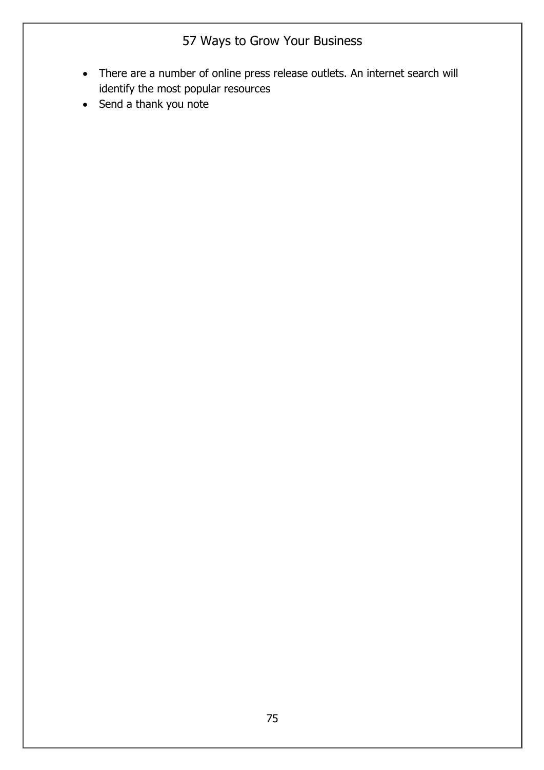- There are a number of online press release outlets. An internet search will identify the most popular resources
- Send a thank you note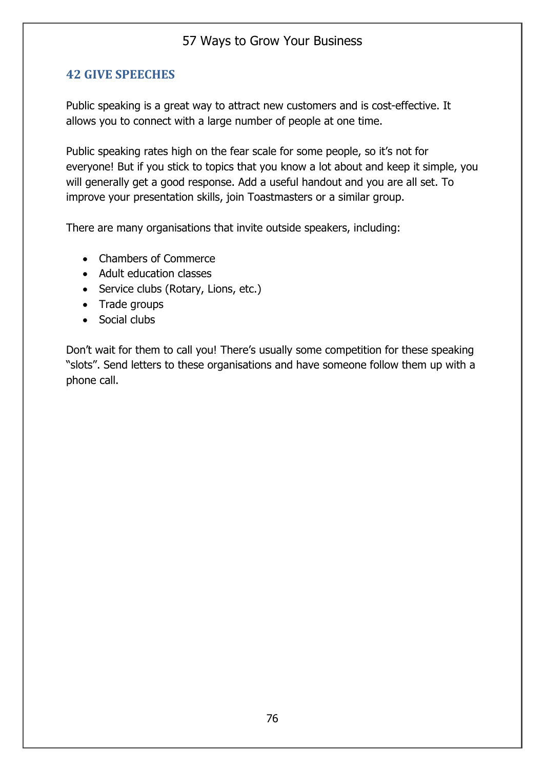### **42 GIVE SPEECHES**

Public speaking is a great way to attract new customers and is cost-effective. It allows you to connect with a large number of people at one time.

Public speaking rates high on the fear scale for some people, so it's not for everyone! But if you stick to topics that you know a lot about and keep it simple, you will generally get a good response. Add a useful handout and you are all set. To improve your presentation skills, join Toastmasters or a similar group.

There are many organisations that invite outside speakers, including:

- Chambers of Commerce
- Adult education classes
- Service clubs (Rotary, Lions, etc.)
- Trade groups
- Social clubs

Don't wait for them to call you! There's usually some competition for these speaking "slots". Send letters to these organisations and have someone follow them up with a phone call.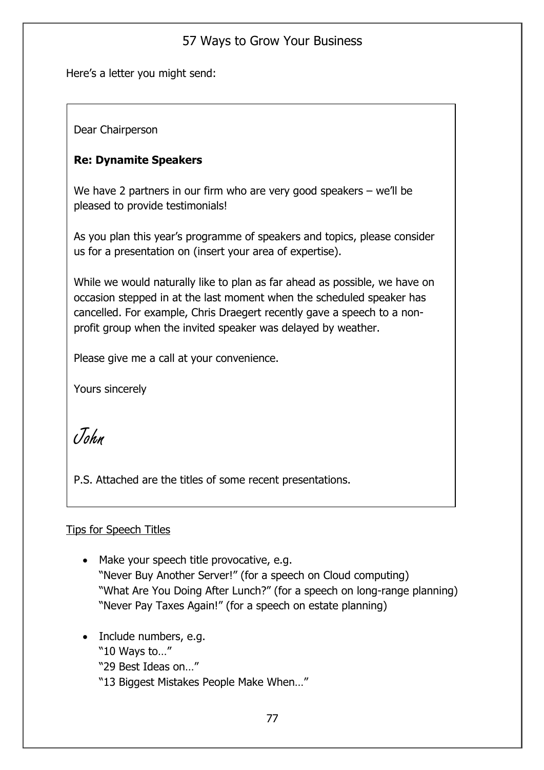Here's a letter you might send:

Dear Chairperson

### **Re: Dynamite Speakers**

We have 2 partners in our firm who are very good speakers – we'll be pleased to provide testimonials!

As you plan this year's programme of speakers and topics, please consider us for a presentation on (insert your area of expertise).

While we would naturally like to plan as far ahead as possible, we have on occasion stepped in at the last moment when the scheduled speaker has cancelled. For example, Chris Draegert recently gave a speech to a nonprofit group when the invited speaker was delayed by weather.

Please give me a call at your convenience.

Yours sincerely

John

P.S. Attached are the titles of some recent presentations.

#### Tips for Speech Titles

- Make your speech title provocative, e.g. "Never Buy Another Server!" (for a speech on Cloud computing) "What Are You Doing After Lunch?" (for a speech on long-range planning) "Never Pay Taxes Again!" (for a speech on estate planning)
- Include numbers, e.g. "10 Ways to…" "29 Best Ideas on…"
	- "13 Biggest Mistakes People Make When…"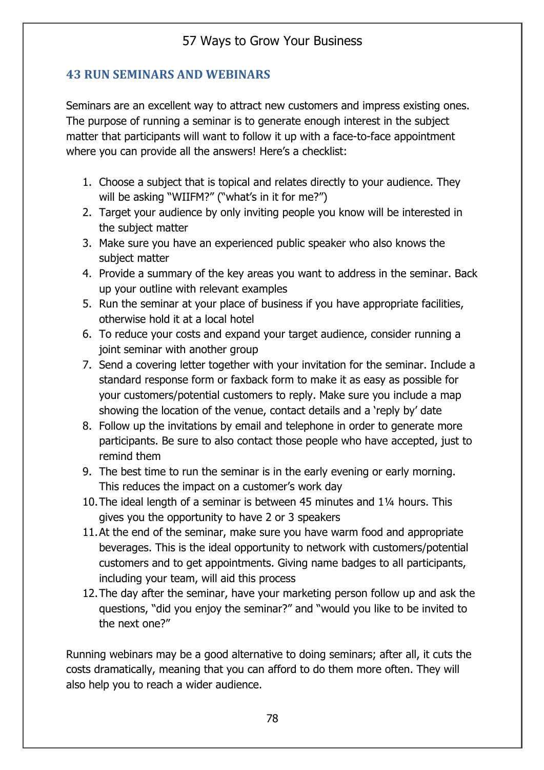### **43 RUN SEMINARS AND WEBINARS**

Seminars are an excellent way to attract new customers and impress existing ones. The purpose of running a seminar is to generate enough interest in the subject matter that participants will want to follow it up with a face-to-face appointment where you can provide all the answers! Here's a checklist:

- 1. Choose a subject that is topical and relates directly to your audience. They will be asking "WIIFM?" ("what's in it for me?")
- 2. Target your audience by only inviting people you know will be interested in the subject matter
- 3. Make sure you have an experienced public speaker who also knows the subject matter
- 4. Provide a summary of the key areas you want to address in the seminar. Back up your outline with relevant examples
- 5. Run the seminar at your place of business if you have appropriate facilities, otherwise hold it at a local hotel
- 6. To reduce your costs and expand your target audience, consider running a joint seminar with another group
- 7. Send a covering letter together with your invitation for the seminar. Include a standard response form or faxback form to make it as easy as possible for your customers/potential customers to reply. Make sure you include a map showing the location of the venue, contact details and a 'reply by' date
- 8. Follow up the invitations by email and telephone in order to generate more participants. Be sure to also contact those people who have accepted, just to remind them
- 9. The best time to run the seminar is in the early evening or early morning. This reduces the impact on a customer's work day
- 10.The ideal length of a seminar is between 45 minutes and 1¼ hours. This gives you the opportunity to have 2 or 3 speakers
- 11.At the end of the seminar, make sure you have warm food and appropriate beverages. This is the ideal opportunity to network with customers/potential customers and to get appointments. Giving name badges to all participants, including your team, will aid this process
- 12.The day after the seminar, have your marketing person follow up and ask the questions, "did you enjoy the seminar?" and "would you like to be invited to the next one?"

Running webinars may be a good alternative to doing seminars; after all, it cuts the costs dramatically, meaning that you can afford to do them more often. They will also help you to reach a wider audience.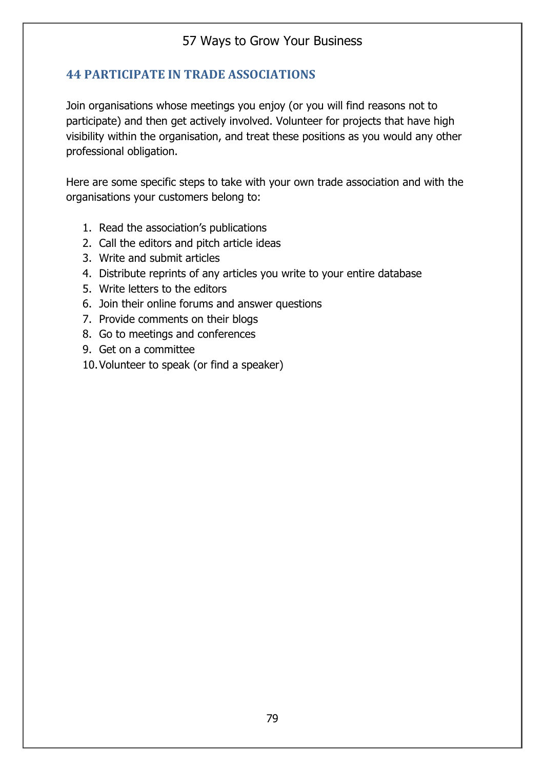### **44 PARTICIPATE IN TRADE ASSOCIATIONS**

Join organisations whose meetings you enjoy (or you will find reasons not to participate) and then get actively involved. Volunteer for projects that have high visibility within the organisation, and treat these positions as you would any other professional obligation.

Here are some specific steps to take with your own trade association and with the organisations your customers belong to:

- 1. Read the association's publications
- 2. Call the editors and pitch article ideas
- 3. Write and submit articles
- 4. Distribute reprints of any articles you write to your entire database
- 5. Write letters to the editors
- 6. Join their online forums and answer questions
- 7. Provide comments on their blogs
- 8. Go to meetings and conferences
- 9. Get on a committee
- 10.Volunteer to speak (or find a speaker)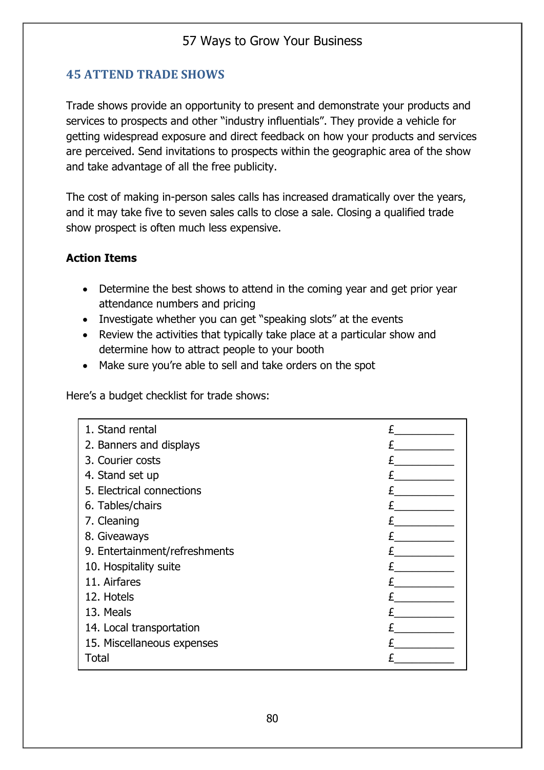## **45 ATTEND TRADE SHOWS**

Trade shows provide an opportunity to present and demonstrate your products and services to prospects and other "industry influentials". They provide a vehicle for getting widespread exposure and direct feedback on how your products and services are perceived. Send invitations to prospects within the geographic area of the show and take advantage of all the free publicity.

The cost of making in-person sales calls has increased dramatically over the years, and it may take five to seven sales calls to close a sale. Closing a qualified trade show prospect is often much less expensive.

#### **Action Items**

- Determine the best shows to attend in the coming year and get prior year attendance numbers and pricing
- Investigate whether you can get "speaking slots" at the events
- Review the activities that typically take place at a particular show and determine how to attract people to your booth
- Make sure you're able to sell and take orders on the spot

Here's a budget checklist for trade shows:

| 1. Stand rental               |  |
|-------------------------------|--|
| 2. Banners and displays       |  |
| 3. Courier costs              |  |
| 4. Stand set up               |  |
| 5. Electrical connections     |  |
| 6. Tables/chairs              |  |
| 7. Cleaning                   |  |
| 8. Giveaways                  |  |
| 9. Entertainment/refreshments |  |
| 10. Hospitality suite         |  |
| 11. Airfares                  |  |
| 12. Hotels                    |  |
| 13. Meals                     |  |
| 14. Local transportation      |  |
| 15. Miscellaneous expenses    |  |
| Total                         |  |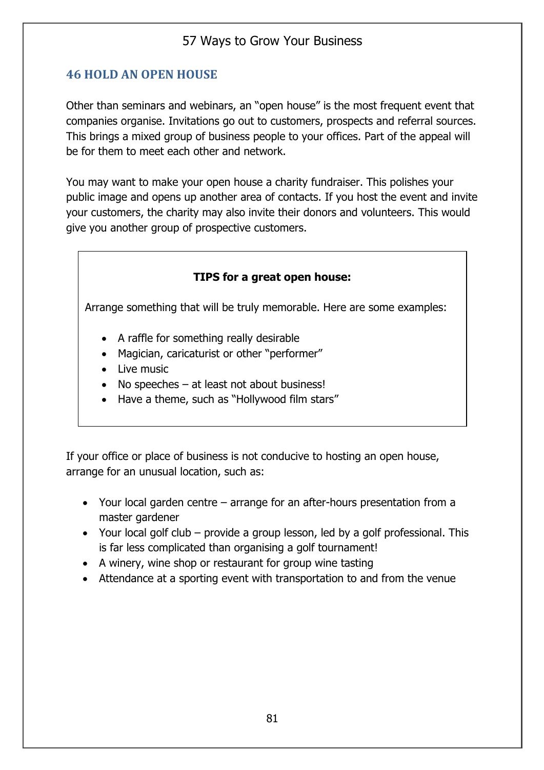### **46 HOLD AN OPEN HOUSE**

Other than seminars and webinars, an "open house" is the most frequent event that companies organise. Invitations go out to customers, prospects and referral sources. This brings a mixed group of business people to your offices. Part of the appeal will be for them to meet each other and network.

You may want to make your open house a charity fundraiser. This polishes your public image and opens up another area of contacts. If you host the event and invite your customers, the charity may also invite their donors and volunteers. This would give you another group of prospective customers.

#### **TIPS for a great open house:**

Arrange something that will be truly memorable. Here are some examples:

- A raffle for something really desirable
- Magician, caricaturist or other "performer"
- Live music
- No speeches at least not about business!
- Have a theme, such as "Hollywood film stars"

If your office or place of business is not conducive to hosting an open house, arrange for an unusual location, such as:

- Your local garden centre arrange for an after-hours presentation from a master gardener
- Your local golf club provide a group lesson, led by a golf professional. This is far less complicated than organising a golf tournament!
- A winery, wine shop or restaurant for group wine tasting
- Attendance at a sporting event with transportation to and from the venue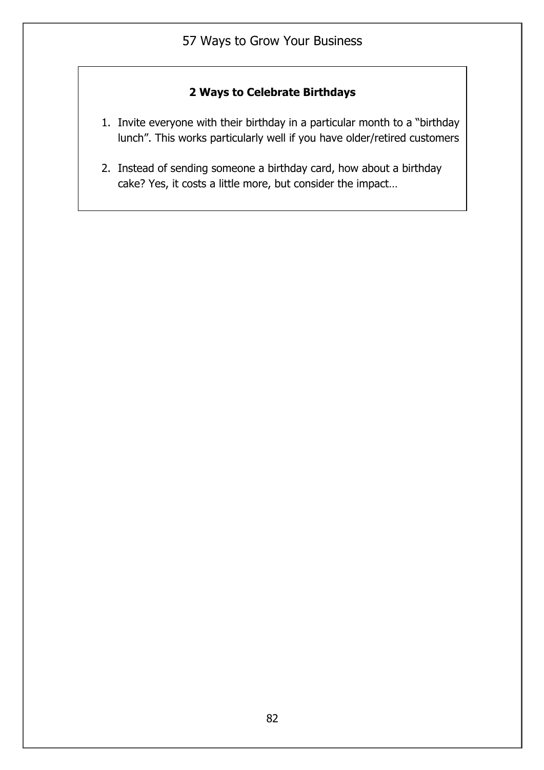# **2 Ways to Celebrate Birthdays**

- 1. Invite everyone with their birthday in a particular month to a "birthday lunch". This works particularly well if you have older/retired customers
- 2. Instead of sending someone a birthday card, how about a birthday cake? Yes, it costs a little more, but consider the impact…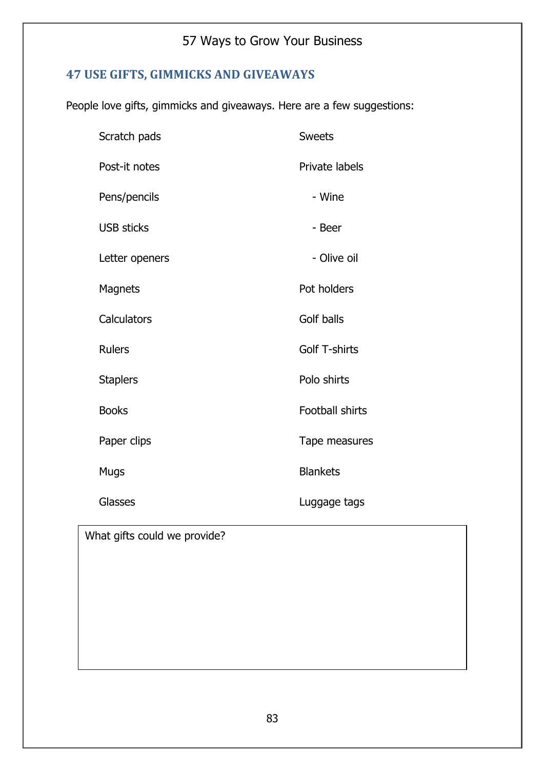# **47 USE GIFTS, GIMMICKS AND GIVEAWAYS**

People love gifts, gimmicks and giveaways. Here are a few suggestions:

| Scratch pads      | <b>Sweets</b>        |
|-------------------|----------------------|
| Post-it notes     | Private labels       |
| Pens/pencils      | - Wine               |
| <b>USB sticks</b> | - Beer               |
| Letter openers    | - Olive oil          |
| <b>Magnets</b>    | Pot holders          |
| Calculators       | Golf balls           |
| <b>Rulers</b>     | <b>Golf T-shirts</b> |
| <b>Staplers</b>   | Polo shirts          |
| <b>Books</b>      | Football shirts      |
| Paper clips       | Tape measures        |
| <b>Mugs</b>       | <b>Blankets</b>      |
| Glasses           | Luggage tags         |

What gifts could we provide?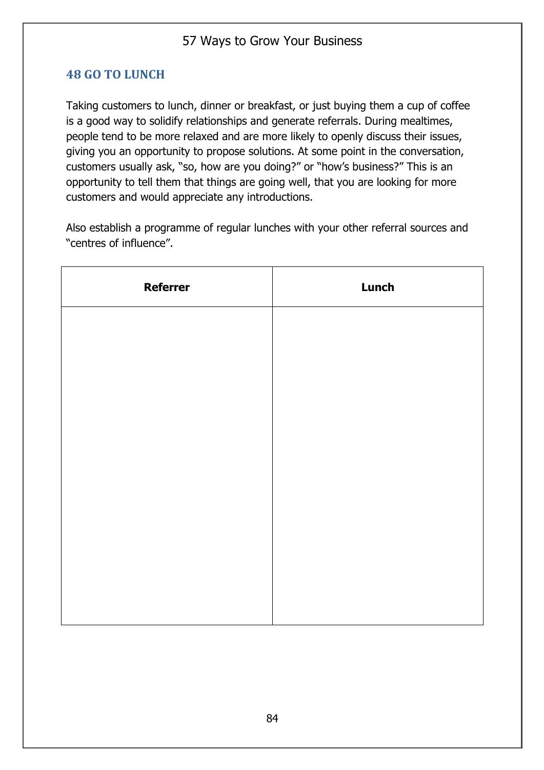### **48 GO TO LUNCH**

Taking customers to lunch, dinner or breakfast, or just buying them a cup of coffee is a good way to solidify relationships and generate referrals. During mealtimes, people tend to be more relaxed and are more likely to openly discuss their issues, giving you an opportunity to propose solutions. At some point in the conversation, customers usually ask, "so, how are you doing?" or "how's business?" This is an opportunity to tell them that things are going well, that you are looking for more customers and would appreciate any introductions.

Also establish a programme of regular lunches with your other referral sources and "centres of influence".

| <b>Referrer</b> | <b>Lunch</b> |
|-----------------|--------------|
|                 |              |
|                 |              |
|                 |              |
|                 |              |
|                 |              |
|                 |              |
|                 |              |
|                 |              |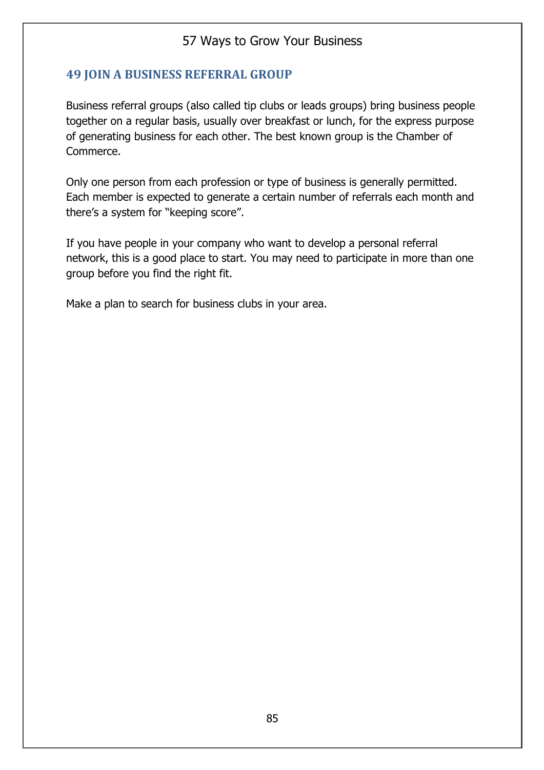#### **49 JOIN A BUSINESS REFERRAL GROUP**

Business referral groups (also called tip clubs or leads groups) bring business people together on a regular basis, usually over breakfast or lunch, for the express purpose of generating business for each other. The best known group is the Chamber of Commerce.

Only one person from each profession or type of business is generally permitted. Each member is expected to generate a certain number of referrals each month and there's a system for "keeping score".

If you have people in your company who want to develop a personal referral network, this is a good place to start. You may need to participate in more than one group before you find the right fit.

Make a plan to search for business clubs in your area.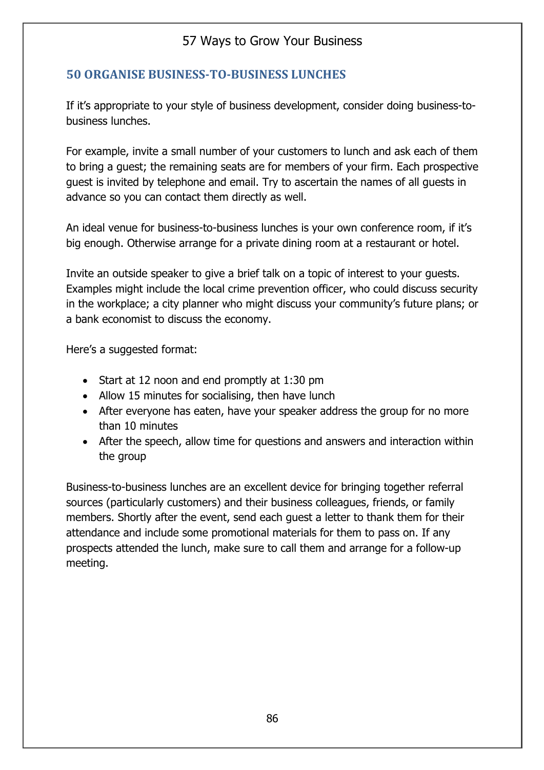### **50 ORGANISE BUSINESS-TO-BUSINESS LUNCHES**

If it's appropriate to your style of business development, consider doing business-tobusiness lunches.

For example, invite a small number of your customers to lunch and ask each of them to bring a guest; the remaining seats are for members of your firm. Each prospective guest is invited by telephone and email. Try to ascertain the names of all guests in advance so you can contact them directly as well.

An ideal venue for business-to-business lunches is your own conference room, if it's big enough. Otherwise arrange for a private dining room at a restaurant or hotel.

Invite an outside speaker to give a brief talk on a topic of interest to your guests. Examples might include the local crime prevention officer, who could discuss security in the workplace; a city planner who might discuss your community's future plans; or a bank economist to discuss the economy.

Here's a suggested format:

- Start at 12 noon and end promptly at 1:30 pm
- Allow 15 minutes for socialising, then have lunch
- After everyone has eaten, have your speaker address the group for no more than 10 minutes
- After the speech, allow time for questions and answers and interaction within the group

Business-to-business lunches are an excellent device for bringing together referral sources (particularly customers) and their business colleagues, friends, or family members. Shortly after the event, send each guest a letter to thank them for their attendance and include some promotional materials for them to pass on. If any prospects attended the lunch, make sure to call them and arrange for a follow-up meeting.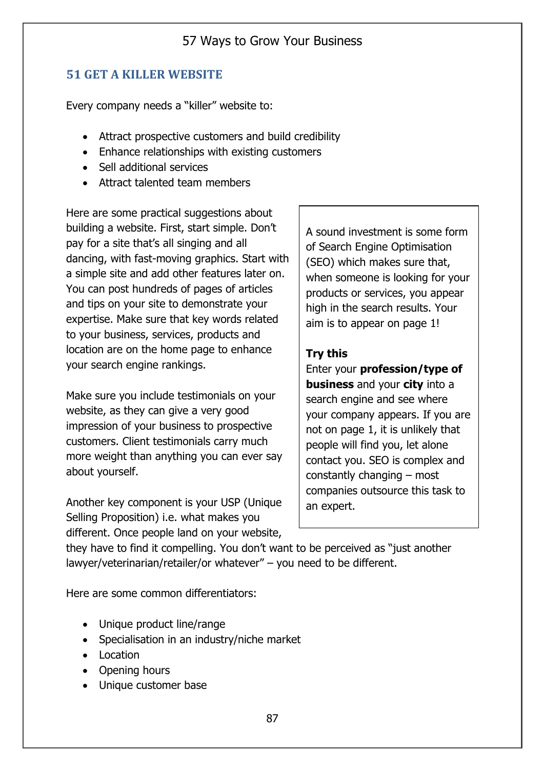#### **51 GET A KILLER WEBSITE**

Every company needs a "killer" website to:

- Attract prospective customers and build credibility
- Enhance relationships with existing customers
- Sell additional services
- Attract talented team members

Here are some practical suggestions about building a website. First, start simple. Don't pay for a site that's all singing and all dancing, with fast-moving graphics. Start with a simple site and add other features later on. You can post hundreds of pages of articles and tips on your site to demonstrate your expertise. Make sure that key words related to your business, services, products and location are on the home page to enhance your search engine rankings.

Make sure you include testimonials on your website, as they can give a very good impression of your business to prospective customers. Client testimonials carry much more weight than anything you can ever say about yourself.

Another key component is your USP (Unique Selling Proposition) i.e. what makes you different. Once people land on your website,

A sound investment is some form of Search Engine Optimisation (SEO) which makes sure that, when someone is looking for your products or services, you appear high in the search results. Your aim is to appear on page 1!

#### **Try this**

Enter your **profession/type of business** and your **city** into a search engine and see where your company appears. If you are not on page 1, it is unlikely that people will find you, let alone contact you. SEO is complex and constantly changing – most companies outsource this task to an expert.

they have to find it compelling. You don't want to be perceived as "just another lawyer/veterinarian/retailer/or whatever" – you need to be different.

Here are some common differentiators:

- Unique product line/range
- Specialisation in an industry/niche market
- Location
- Opening hours
- Unique customer base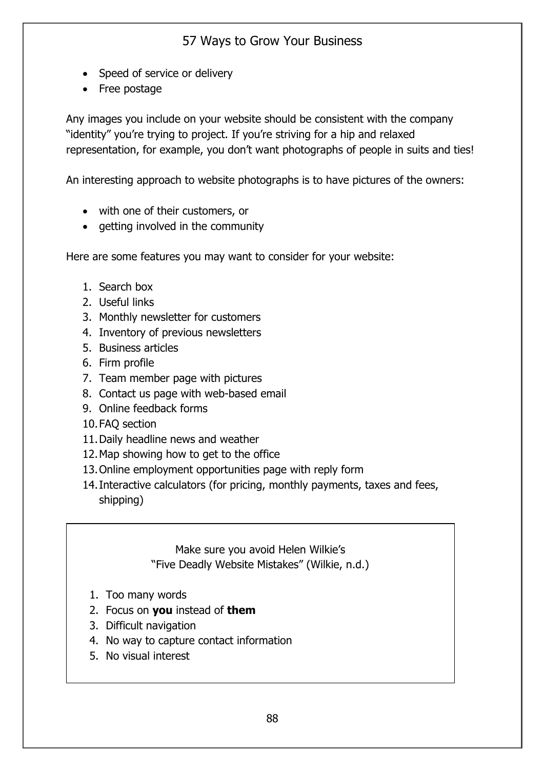- Speed of service or delivery
- Free postage

Any images you include on your website should be consistent with the company "identity" you're trying to project. If you're striving for a hip and relaxed representation, for example, you don't want photographs of people in suits and ties!

An interesting approach to website photographs is to have pictures of the owners:

- with one of their customers, or
- getting involved in the community

Here are some features you may want to consider for your website:

- 1. Search box
- 2. Useful links
- 3. Monthly newsletter for customers
- 4. Inventory of previous newsletters
- 5. Business articles
- 6. Firm profile
- 7. Team member page with pictures
- 8. Contact us page with web-based email
- 9. Online feedback forms
- 10.FAQ section
- 11.Daily headline news and weather
- 12.Map showing how to get to the office
- 13.Online employment opportunities page with reply form
- 14.Interactive calculators (for pricing, monthly payments, taxes and fees, shipping)

Make sure you avoid Helen Wilkie's "Five Deadly Website Mistakes" (Wilkie, n.d.)

- 1. Too many words
- 2. Focus on **you** instead of **them**
- 3. Difficult navigation
- 4. No way to capture contact information
- 5. No visual interest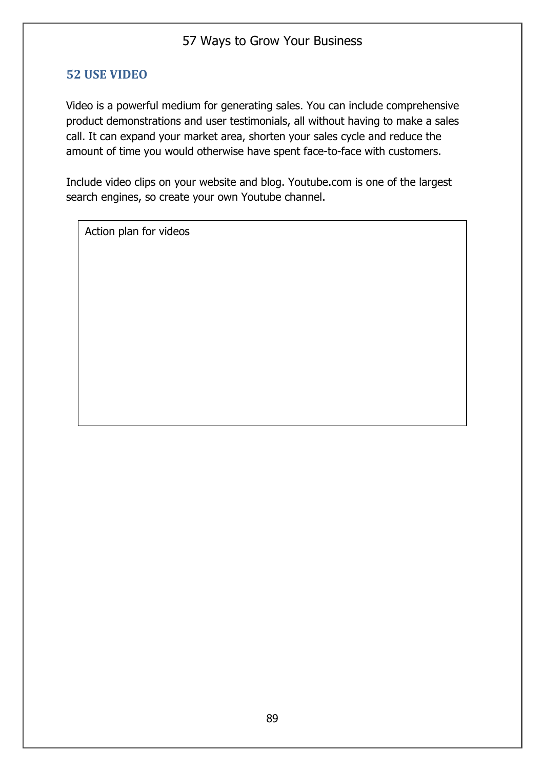#### **52 USE VIDEO**

Video is a powerful medium for generating sales. You can include comprehensive product demonstrations and user testimonials, all without having to make a sales call. It can expand your market area, shorten your sales cycle and reduce the amount of time you would otherwise have spent face-to-face with customers.

Include video clips on your website and blog. Youtube.com is one of the largest search engines, so create your own Youtube channel.

Action plan for videos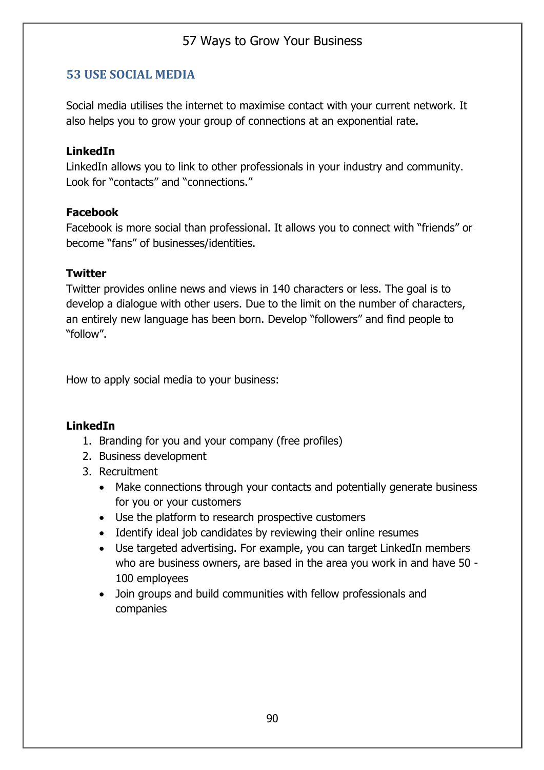#### **53 USE SOCIAL MEDIA**

Social media utilises the internet to maximise contact with your current network. It also helps you to grow your group of connections at an exponential rate.

#### **LinkedIn**

LinkedIn allows you to link to other professionals in your industry and community. Look for "contacts" and "connections."

#### **Facebook**

Facebook is more social than professional. It allows you to connect with "friends" or become "fans" of businesses/identities.

#### **Twitter**

Twitter provides online news and views in 140 characters or less. The goal is to develop a dialogue with other users. Due to the limit on the number of characters, an entirely new language has been born. Develop "followers" and find people to "follow".

How to apply social media to your business:

#### **LinkedIn**

- 1. Branding for you and your company (free profiles)
- 2. Business development
- 3. Recruitment
	- Make connections through your contacts and potentially generate business for you or your customers
	- Use the platform to research prospective customers
	- Identify ideal job candidates by reviewing their online resumes
	- Use targeted advertising. For example, you can target LinkedIn members who are business owners, are based in the area you work in and have 50 - 100 employees
	- Join groups and build communities with fellow professionals and companies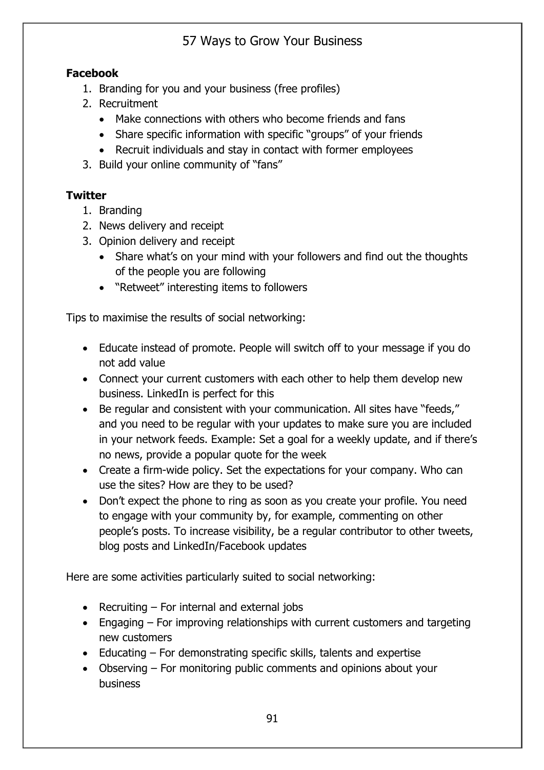### **Facebook**

- 1. Branding for you and your business (free profiles)
- 2. Recruitment
	- Make connections with others who become friends and fans
	- Share specific information with specific "groups" of your friends
	- Recruit individuals and stay in contact with former employees
- 3. Build your online community of "fans"

## **Twitter**

- 1. Branding
- 2. News delivery and receipt
- 3. Opinion delivery and receipt
	- Share what's on your mind with your followers and find out the thoughts of the people you are following
	- "Retweet" interesting items to followers

Tips to maximise the results of social networking:

- Educate instead of promote. People will switch off to your message if you do not add value
- Connect your current customers with each other to help them develop new business. LinkedIn is perfect for this
- Be regular and consistent with your communication. All sites have "feeds," and you need to be regular with your updates to make sure you are included in your network feeds. Example: Set a goal for a weekly update, and if there's no news, provide a popular quote for the week
- Create a firm-wide policy. Set the expectations for your company. Who can use the sites? How are they to be used?
- Don't expect the phone to ring as soon as you create your profile. You need to engage with your community by, for example, commenting on other people's posts. To increase visibility, be a regular contributor to other tweets, blog posts and LinkedIn/Facebook updates

Here are some activities particularly suited to social networking:

- Recruiting For internal and external jobs
- Engaging For improving relationships with current customers and targeting new customers
- Educating For demonstrating specific skills, talents and expertise
- Observing For monitoring public comments and opinions about your business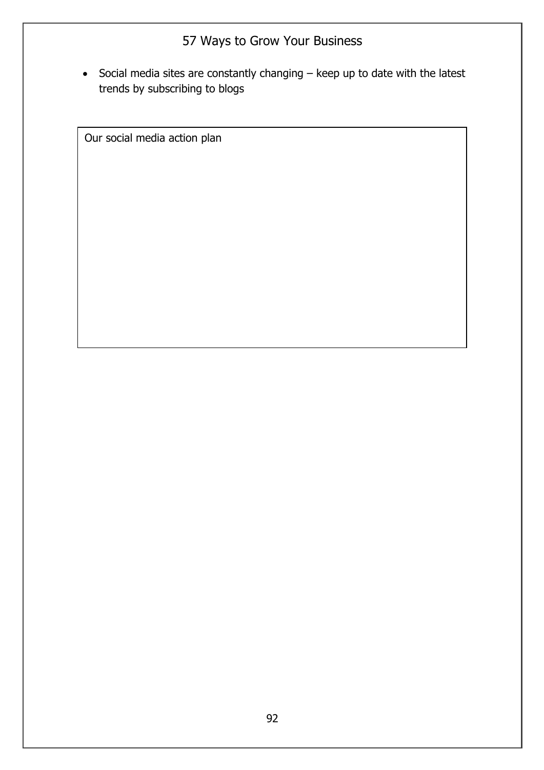• Social media sites are constantly changing – keep up to date with the latest trends by subscribing to blogs

Our social media action plan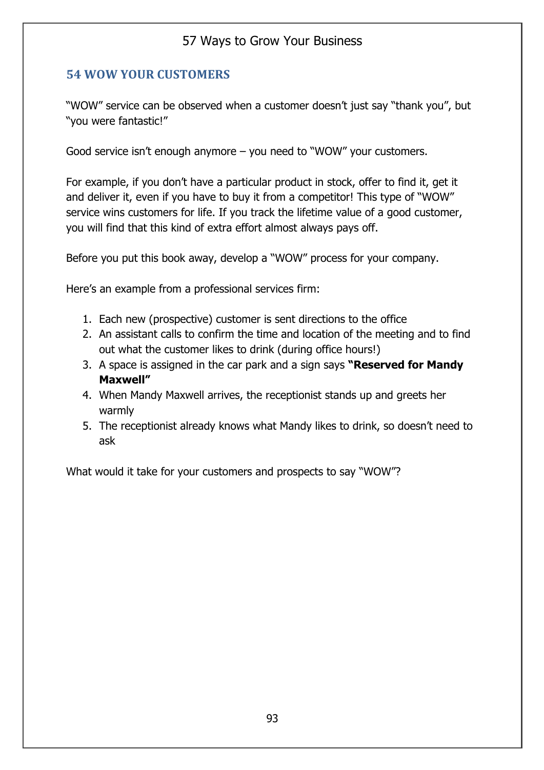### **54 WOW YOUR CUSTOMERS**

"WOW" service can be observed when a customer doesn't just say "thank you", but "you were fantastic!"

Good service isn't enough anymore – you need to "WOW" your customers.

For example, if you don't have a particular product in stock, offer to find it, get it and deliver it, even if you have to buy it from a competitor! This type of "WOW" service wins customers for life. If you track the lifetime value of a good customer, you will find that this kind of extra effort almost always pays off.

Before you put this book away, develop a "WOW" process for your company.

Here's an example from a professional services firm:

- 1. Each new (prospective) customer is sent directions to the office
- 2. An assistant calls to confirm the time and location of the meeting and to find out what the customer likes to drink (during office hours!)
- 3. A space is assigned in the car park and a sign says **"Reserved for Mandy Maxwell"**
- 4. When Mandy Maxwell arrives, the receptionist stands up and greets her warmly
- 5. The receptionist already knows what Mandy likes to drink, so doesn't need to ask

What would it take for your customers and prospects to say "WOW"?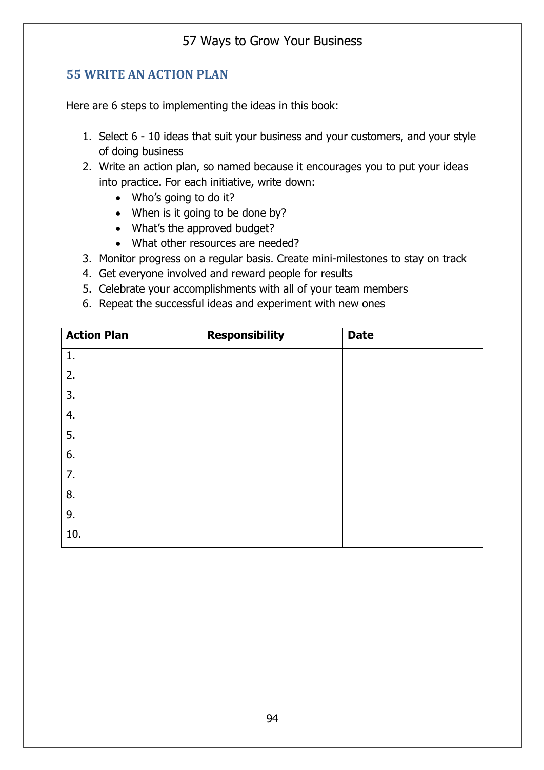#### **55 WRITE AN ACTION PLAN**

Here are 6 steps to implementing the ideas in this book:

- 1. Select 6 10 ideas that suit your business and your customers, and your style of doing business
- 2. Write an action plan, so named because it encourages you to put your ideas into practice. For each initiative, write down:
	- Who's going to do it?
	- When is it going to be done by?
	- What's the approved budget?
	- What other resources are needed?
- 3. Monitor progress on a regular basis. Create mini-milestones to stay on track
- 4. Get everyone involved and reward people for results
- 5. Celebrate your accomplishments with all of your team members
- 6. Repeat the successful ideas and experiment with new ones

| <b>Action Plan</b> | <b>Responsibility</b> | <b>Date</b> |
|--------------------|-----------------------|-------------|
| 1.                 |                       |             |
| 2.                 |                       |             |
| 3.                 |                       |             |
| 4.                 |                       |             |
| 5.                 |                       |             |
| 6.                 |                       |             |
| 7.                 |                       |             |
| 8.                 |                       |             |
| 9.                 |                       |             |
| 10.                |                       |             |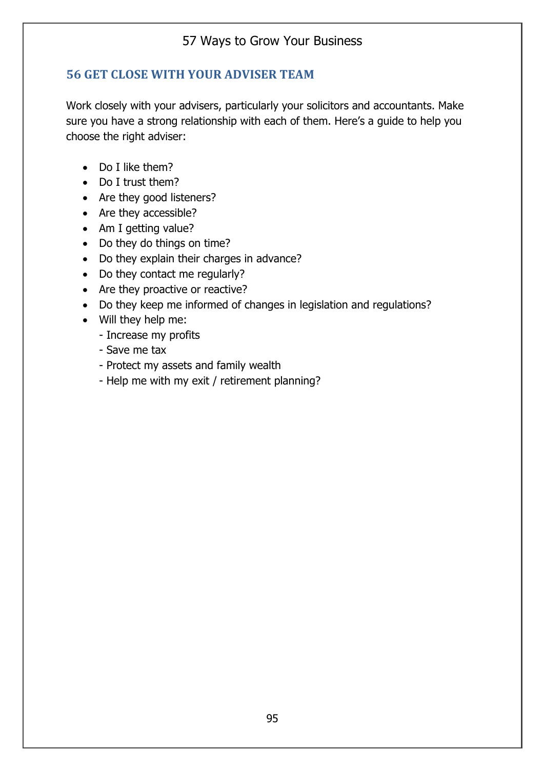### **56 GET CLOSE WITH YOUR ADVISER TEAM**

Work closely with your advisers, particularly your solicitors and accountants. Make sure you have a strong relationship with each of them. Here's a guide to help you choose the right adviser:

- Do I like them?
- Do I trust them?
- Are they good listeners?
- Are they accessible?
- Am I getting value?
- Do they do things on time?
- Do they explain their charges in advance?
- Do they contact me regularly?
- Are they proactive or reactive?
- Do they keep me informed of changes in legislation and regulations?
- Will they help me:
	- Increase my profits
	- Save me tax
	- Protect my assets and family wealth
	- Help me with my exit / retirement planning?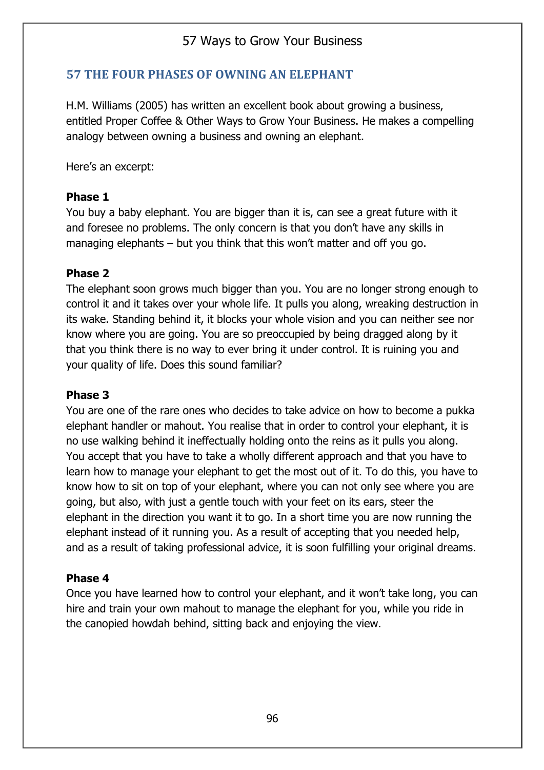### **57 THE FOUR PHASES OF OWNING AN ELEPHANT**

H.M. Williams (2005) has written an excellent book about growing a business, entitled Proper Coffee & Other Ways to Grow Your Business. He makes a compelling analogy between owning a business and owning an elephant.

Here's an excerpt:

#### **Phase 1**

You buy a baby elephant. You are bigger than it is, can see a great future with it and foresee no problems. The only concern is that you don't have any skills in managing elephants – but you think that this won't matter and off you go.

#### **Phase 2**

The elephant soon grows much bigger than you. You are no longer strong enough to control it and it takes over your whole life. It pulls you along, wreaking destruction in its wake. Standing behind it, it blocks your whole vision and you can neither see nor know where you are going. You are so preoccupied by being dragged along by it that you think there is no way to ever bring it under control. It is ruining you and your quality of life. Does this sound familiar?

#### **Phase 3**

You are one of the rare ones who decides to take advice on how to become a pukka elephant handler or mahout. You realise that in order to control your elephant, it is no use walking behind it ineffectually holding onto the reins as it pulls you along. You accept that you have to take a wholly different approach and that you have to learn how to manage your elephant to get the most out of it. To do this, you have to know how to sit on top of your elephant, where you can not only see where you are going, but also, with just a gentle touch with your feet on its ears, steer the elephant in the direction you want it to go. In a short time you are now running the elephant instead of it running you. As a result of accepting that you needed help, and as a result of taking professional advice, it is soon fulfilling your original dreams.

#### **Phase 4**

Once you have learned how to control your elephant, and it won't take long, you can hire and train your own mahout to manage the elephant for you, while you ride in the canopied howdah behind, sitting back and enjoying the view.